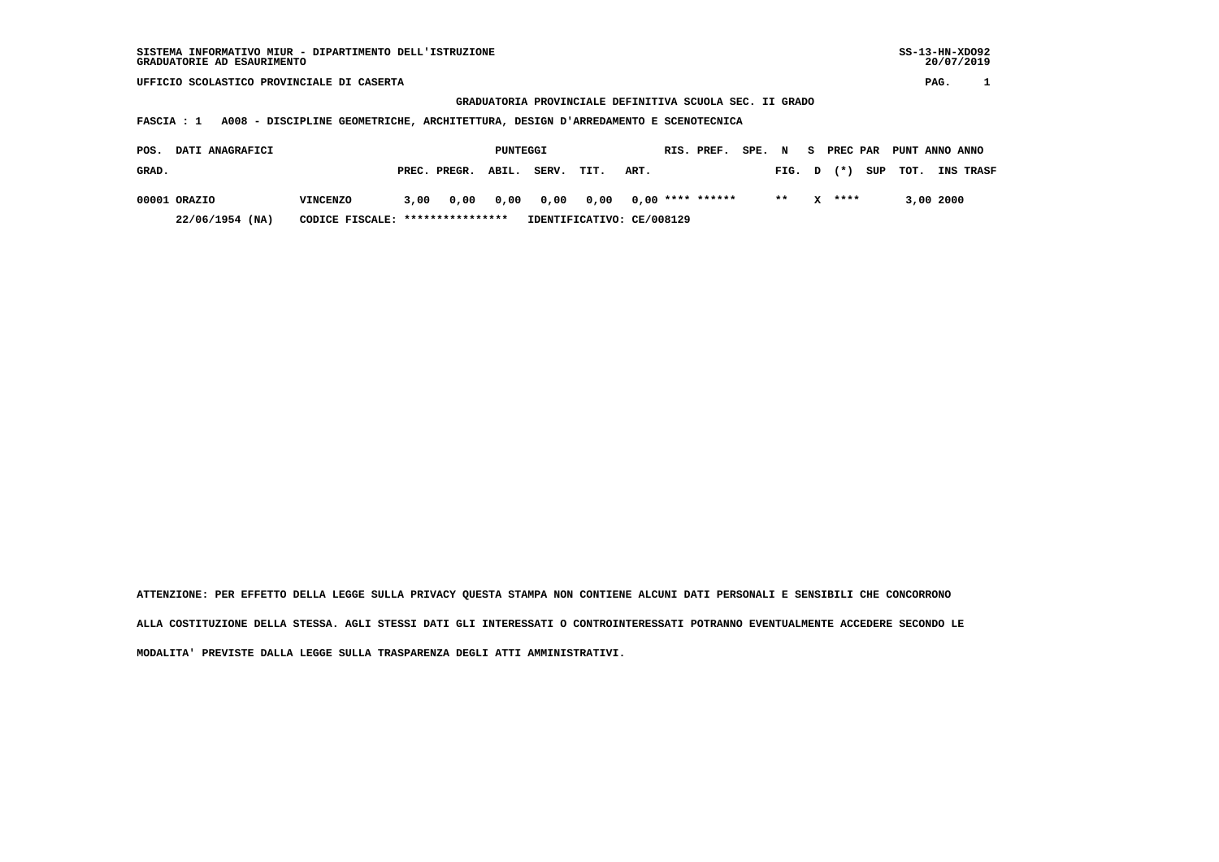| SISTEMA INFORMATIVO MIUR - DIPARTIMENTO DELL'ISTRUZIONE | $SS-13-HN-XDO92$ |
|---------------------------------------------------------|------------------|
| GRADUATORIE AD ESAURIMENTO                              | 20/07/2019       |

 **GRADUATORIA PROVINCIALE DEFINITIVA SCUOLA SEC. II GRADO**

 **FASCIA : 1 A008 - DISCIPLINE GEOMETRICHE, ARCHITETTURA, DESIGN D'ARREDAMENTO E SCENOTECNICA**

| POS.  | DATI ANAGRAFICI |                                  |      |                    | PUNTEGGI |            |                           |      | RIS. PREF.       | SPE. N |                |          | S PREC PAR PUNT ANNO ANNO |           |                  |
|-------|-----------------|----------------------------------|------|--------------------|----------|------------|---------------------------|------|------------------|--------|----------------|----------|---------------------------|-----------|------------------|
| GRAD. |                 |                                  |      | PREC. PREGR. ABIL. |          | SERV. TIT. |                           | ART. |                  |        | FIG. D (*) SUP |          | тот.                      |           | <b>INS TRASF</b> |
|       | 00001 ORAZIO    | VINCENZO                         | 3,00 | 0,00 0,00          |          |            | 0,00 0,00                 |      | 0,00 **** ****** |        | $* *$          | $X$ **** |                           | 3,00 2000 |                  |
|       | 22/06/1954 (NA) | CODICE FISCALE: **************** |      |                    |          |            | IDENTIFICATIVO: CE/008129 |      |                  |        |                |          |                           |           |                  |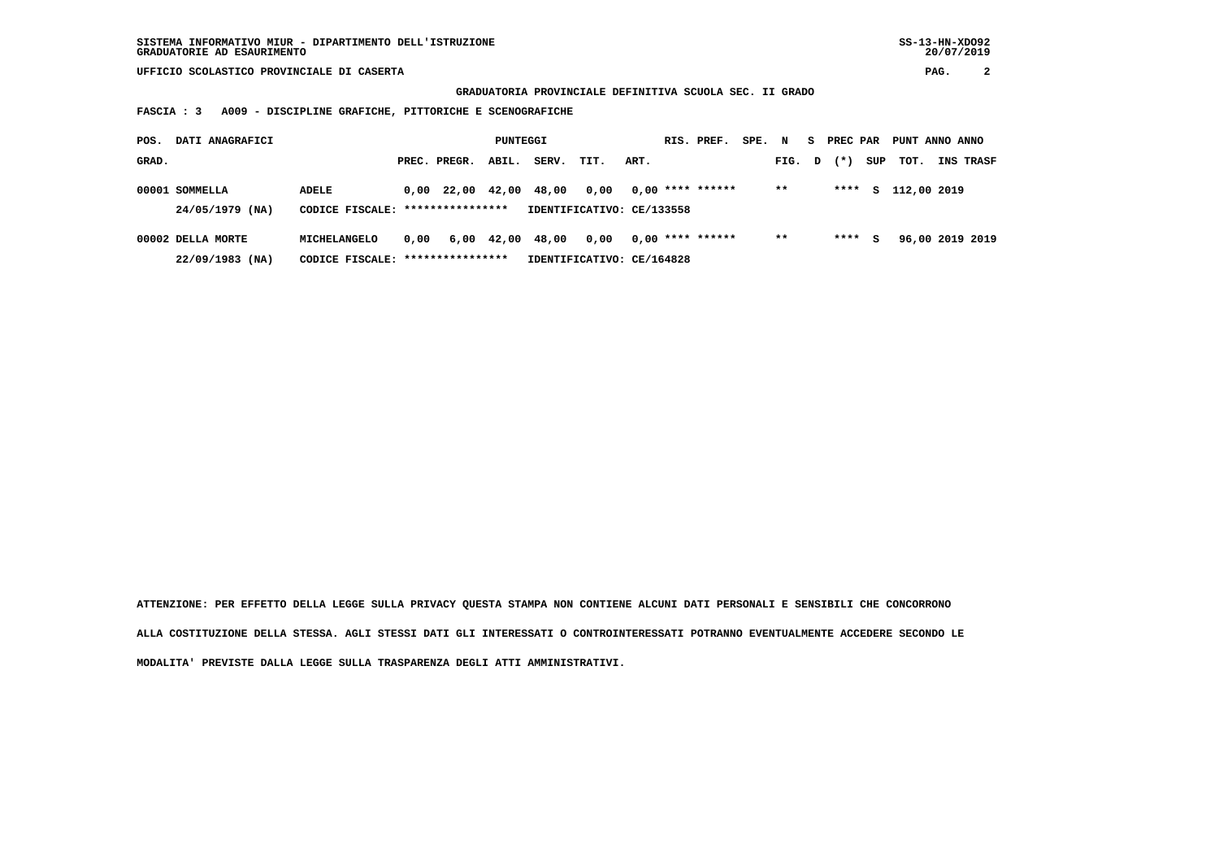**GRADUATORIA PROVINCIALE DEFINITIVA SCUOLA SEC. II GRADO**

 **FASCIA : 3 A009 - DISCIPLINE GRAFICHE, PITTORICHE E SCENOGRAFICHE**

| POS.  | DATI ANAGRAFICI                        |                                                          |      |                                | PUNTEGGI |                  |                                   |      | RIS. PREF.         | SPE. | N     | s. | <b>PREC PAR</b> |     | PUNT ANNO ANNO |                 |
|-------|----------------------------------------|----------------------------------------------------------|------|--------------------------------|----------|------------------|-----------------------------------|------|--------------------|------|-------|----|-----------------|-----|----------------|-----------------|
| GRAD. |                                        |                                                          |      | PREC. PREGR.                   | ABIL.    | SERV.            | TIT.                              | ART. |                    |      | FIG.  | D  | $(* )$          | SUP | тот.           | INS TRASF       |
|       | 00001 SOMMELLA<br>24/05/1979 (NA)      | ADELE<br>CODICE FISCALE: *****************               |      | $0.00 \quad 22.00 \quad 42.00$ |          | 48,00            | 0,00<br>IDENTIFICATIVO: CE/133558 |      | $0.00$ **** ****** |      | $* *$ |    | ****            |     | s 112,00 2019  |                 |
|       | 00002 DELLA MORTE<br>$22/09/1983$ (NA) | <b>MICHELANGELO</b><br>CODICE FISCALE: ***************** | 0.00 |                                |          | 6,00 42,00 48,00 | 0,00<br>IDENTIFICATIVO: CE/164828 |      | $0.00$ **** ****** |      | $* *$ |    | ****            | s   |                | 96,00 2019 2019 |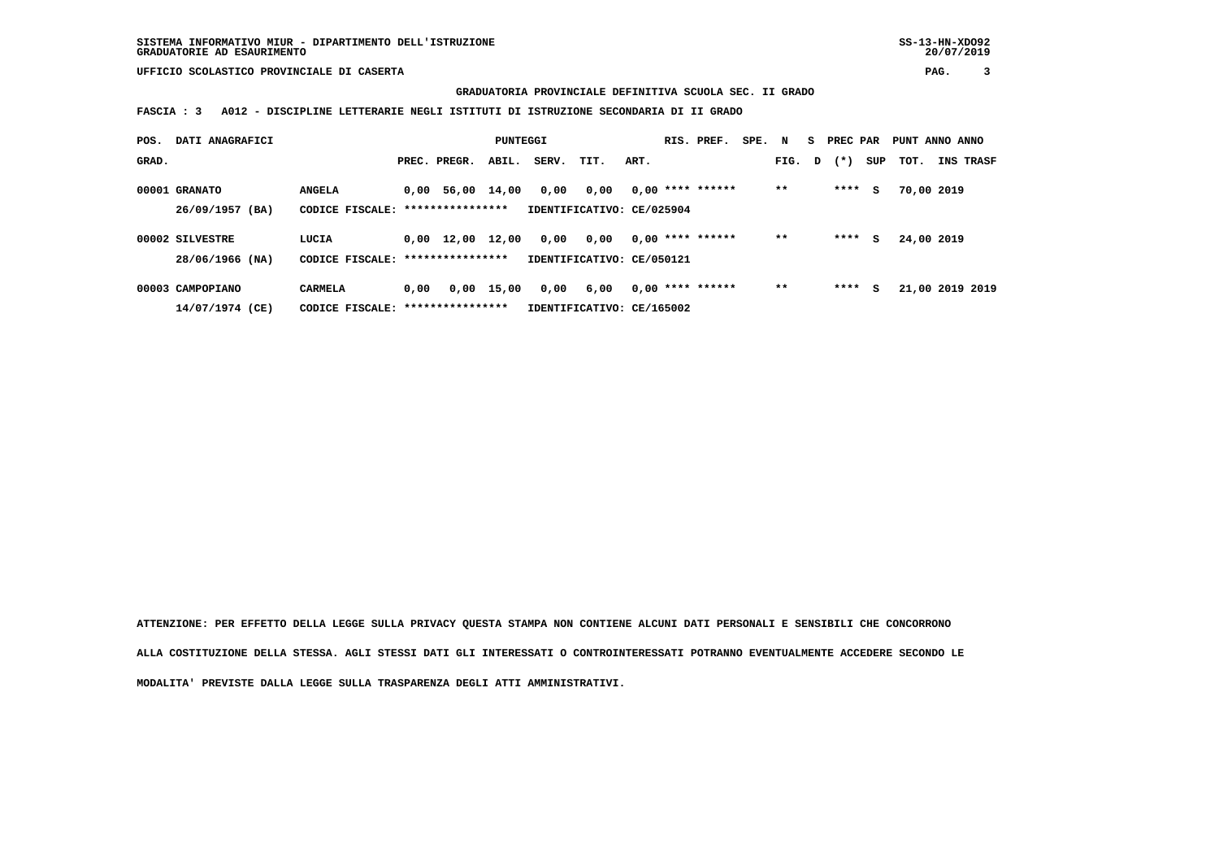**GRADUATORIA PROVINCIALE DEFINITIVA SCUOLA SEC. II GRADO**

 **FASCIA : 3 A012 - DISCIPLINE LETTERARIE NEGLI ISTITUTI DI ISTRUZIONE SECONDARIA DI II GRADO**

| POS.  | DATI ANAGRAFICI  |                                   |      |                                | PUNTEGGI   |                           |      |      | RIS. PREF.         | SPE. N |       |   | S PREC PAR |     | PUNT ANNO ANNO  |                  |
|-------|------------------|-----------------------------------|------|--------------------------------|------------|---------------------------|------|------|--------------------|--------|-------|---|------------|-----|-----------------|------------------|
| GRAD. |                  |                                   |      | PREC. PREGR.                   | ABIL.      | SERV.                     | TIT. | ART. |                    |        | FIG.  | D | $(*)$      | SUP | тот.            | <b>INS TRASF</b> |
|       | 00001 GRANATO    | <b>ANGELA</b>                     |      | $0.00$ 56,00 14,00             |            | 0,00                      | 0,00 |      | $0.00$ **** ****** |        | $* *$ |   | $***$ S    |     | 70,00 2019      |                  |
|       | 26/09/1957 (BA)  | CODICE FISCALE: ***************** |      |                                |            | IDENTIFICATIVO: CE/025904 |      |      |                    |        |       |   |            |     |                 |                  |
|       | 00002 SILVESTRE  | LUCIA                             |      | $0.00 \quad 12.00 \quad 12.00$ |            | 0,00                      | 0,00 |      | $0.00$ **** ****** |        | $**$  |   | **** S     |     | 24,00 2019      |                  |
|       | 28/06/1966 (NA)  | CODICE FISCALE:                   |      | ****************               |            | IDENTIFICATIVO: CE/050121 |      |      |                    |        |       |   |            |     |                 |                  |
|       | 00003 CAMPOPIANO | <b>CARMELA</b>                    | 0,00 |                                | 0,00 15,00 | 0.00                      | 6,00 |      | $0.00$ **** ****** |        | $* *$ |   | $***$ S    |     | 21,00 2019 2019 |                  |
|       | 14/07/1974 (CE)  | CODICE FISCALE:                   |      | ****************               |            | IDENTIFICATIVO: CE/165002 |      |      |                    |        |       |   |            |     |                 |                  |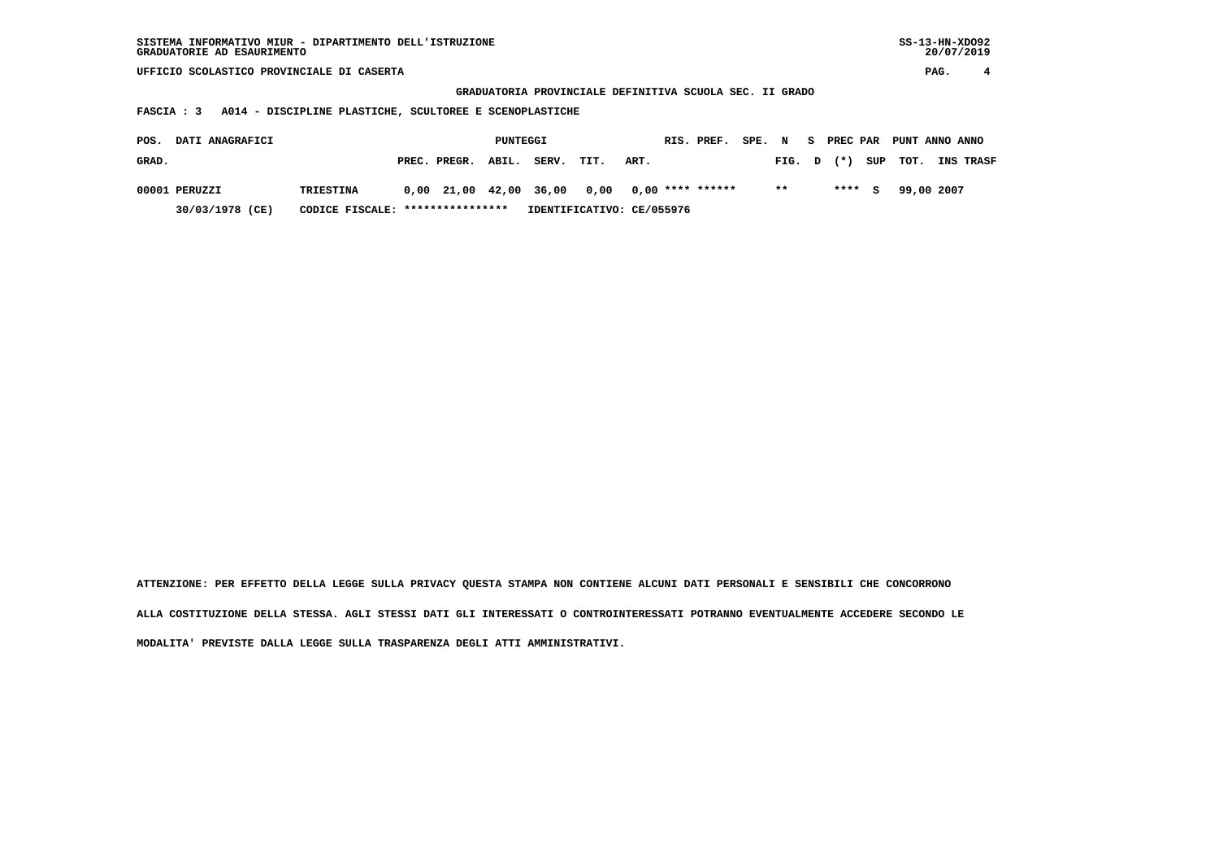| SISTEMA INFORMATIVO MIUR - DIPARTIMENTO DELL'ISTRUZIONE<br>GRADUATORIE AD ESAURIMENTO | SS-13-HN-XD092<br>20/07/2019 |  |
|---------------------------------------------------------------------------------------|------------------------------|--|
| UFFICIO SCOLASTICO PROVINCIALE DI CASERTA                                             | PAG.                         |  |

 $SS-13-HN-XDO92$  $20/07/2019$ 

 **GRADUATORIA PROVINCIALE DEFINITIVA SCUOLA SEC. II GRADO**

# **FASCIA : 3 A014 - DISCIPLINE PLASTICHE, SCULTOREE E SCENOPLASTICHE**

| POS.  | <b>DATI ANAGRAFICI</b> |                                  |                    | PUNTEGGI |       |                                                |      | RIS. PREF. SPE. N S PREC PAR PUNT ANNO ANNO |              |         |  |            |                               |
|-------|------------------------|----------------------------------|--------------------|----------|-------|------------------------------------------------|------|---------------------------------------------|--------------|---------|--|------------|-------------------------------|
| GRAD. |                        |                                  | PREC. PREGR. ABIL. |          | SERV. | TIT.                                           | ART. |                                             |              |         |  |            | FIG. D (*) SUP TOT. INS TRASF |
|       | 00001 PERUZZI          | <b>TRIESTINA</b>                 |                    |          |       | $0,00$ 21,00 42,00 36,00 0,00 0,00 **** ****** |      |                                             | $\star\star$ | $***$ S |  | 99,00 2007 |                               |
|       | 30/03/1978 (CE)        | CODICE FISCALE: **************** |                    |          |       | IDENTIFICATIVO: CE/055976                      |      |                                             |              |         |  |            |                               |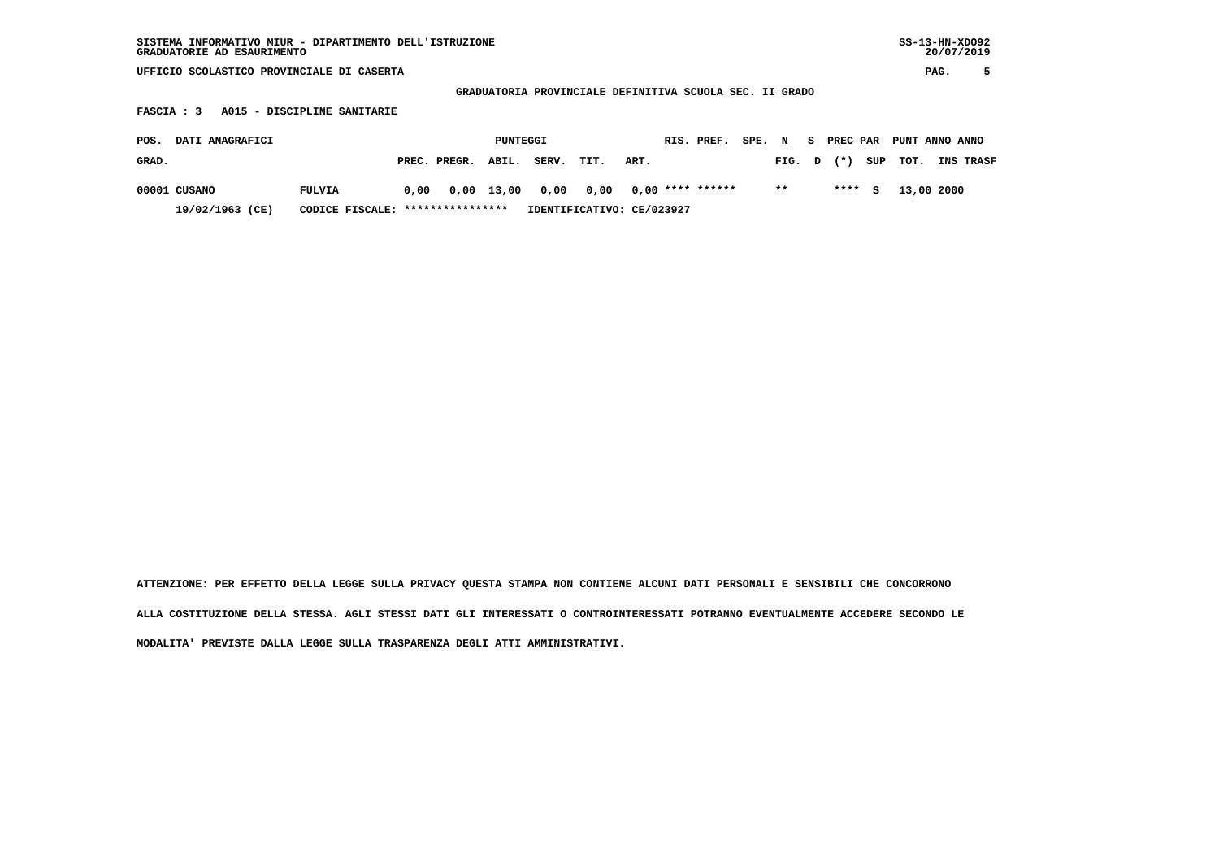| SISTEMA INFORMATIVO MIUR - DIPARTIMENTO DELL'ISTRUZIONE<br>GRADUATORIE AD ESAURIMENTO | $SS-13-HN-XDO92$<br>20/07/2019 |
|---------------------------------------------------------------------------------------|--------------------------------|
| UFFICIO SCOLASTICO PROVINCIALE DI CASERTA                                             | PAG.                           |
| GRADUATORIA PROVINCIALE DEFINITIVA SCUOLA SEC. II GRADO                               |                                |
| FASCIA : 3 A015 - DISCIPLINE SANITARIE                                                |                                |

| POS.  | <b>DATI ANAGRAFICI</b>                              |        |      |                    | PUNTEGGI |       |                                       |      | RIS. PREF. | SPE. N |        | - S | PREC PAR |     | PUNT ANNO ANNO |                  |
|-------|-----------------------------------------------------|--------|------|--------------------|----------|-------|---------------------------------------|------|------------|--------|--------|-----|----------|-----|----------------|------------------|
| GRAD. |                                                     |        |      | PREC. PREGR. ABIL. |          | SERV. | TIT.                                  | ART. |            |        | FIG. D |     | $(* )$   |     | SUP TOT.       | <b>INS TRASF</b> |
|       | 00001 CUSANO                                        | FULVIA | 0.00 |                    |          |       | 0,00 13,00 0,00 0,00 0,00 **** ****** |      |            |        | $***$  |     | ****     | - 5 | 13,00 2000     |                  |
|       | CODICE FISCALE: ****************<br>19/02/1963 (CE) |        |      |                    |          |       | IDENTIFICATIVO: CE/023927             |      |            |        |        |     |          |     |                |                  |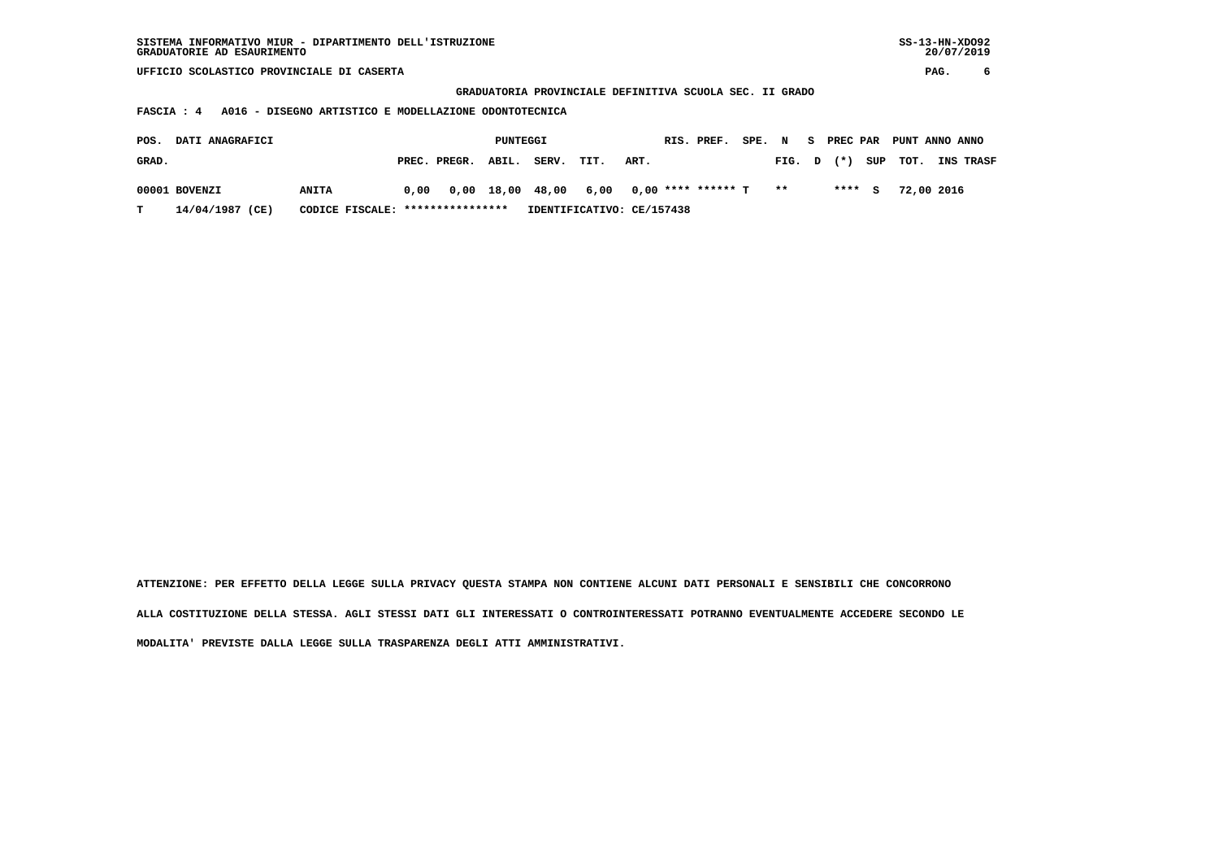| SISTEMA INFORMATIVO MIUR - DIPARTIMENTO DELL'ISTRUZIONE<br>GRADUATORIE AD ESAURIMENTO |                       |                           |                                                         | $SS-13-HN-XDO92$<br>20/07/2019         |  |  |  |  |  |  |  |  |  |
|---------------------------------------------------------------------------------------|-----------------------|---------------------------|---------------------------------------------------------|----------------------------------------|--|--|--|--|--|--|--|--|--|
| UFFICIO SCOLASTICO PROVINCIALE DI CASERTA                                             |                       |                           |                                                         | 6<br>PAG.                              |  |  |  |  |  |  |  |  |  |
|                                                                                       |                       |                           | GRADUATORIA PROVINCIALE DEFINITIVA SCUOLA SEC. II GRADO |                                        |  |  |  |  |  |  |  |  |  |
| A016 - DISEGNO ARTISTICO E MODELLAZIONE ODONTOTECNICA<br>FASCIA : 4                   |                       |                           |                                                         |                                        |  |  |  |  |  |  |  |  |  |
| SPE. N<br>PREC PAR<br>DATI ANAGRAFICI<br>PUNTEGGI<br>RIS. PREF.<br>POS.<br>s.         |                       |                           |                                                         |                                        |  |  |  |  |  |  |  |  |  |
|                                                                                       |                       |                           |                                                         | PUNT ANNO ANNO                         |  |  |  |  |  |  |  |  |  |
| GRAD.                                                                                 | PREC. PREGR.<br>ABIL. | SERV.<br>TIT.<br>ART.     | FIG.                                                    | INS TRASF<br>$(*)$<br>SUP<br>TOT.<br>D |  |  |  |  |  |  |  |  |  |
|                                                                                       |                       |                           |                                                         |                                        |  |  |  |  |  |  |  |  |  |
| 00001 BOVENZI<br><b>ANITA</b>                                                         | 18,00<br>0.00<br>0,00 | 48,00<br>6,00             | $0,00$ **** ****** T<br>$* *$                           | ****<br>72,00 2016<br>s                |  |  |  |  |  |  |  |  |  |
| 14/04/1987 (CE)<br>т<br>CODICE FISCALE:                                               | ****************      | IDENTIFICATIVO: CE/157438 |                                                         |                                        |  |  |  |  |  |  |  |  |  |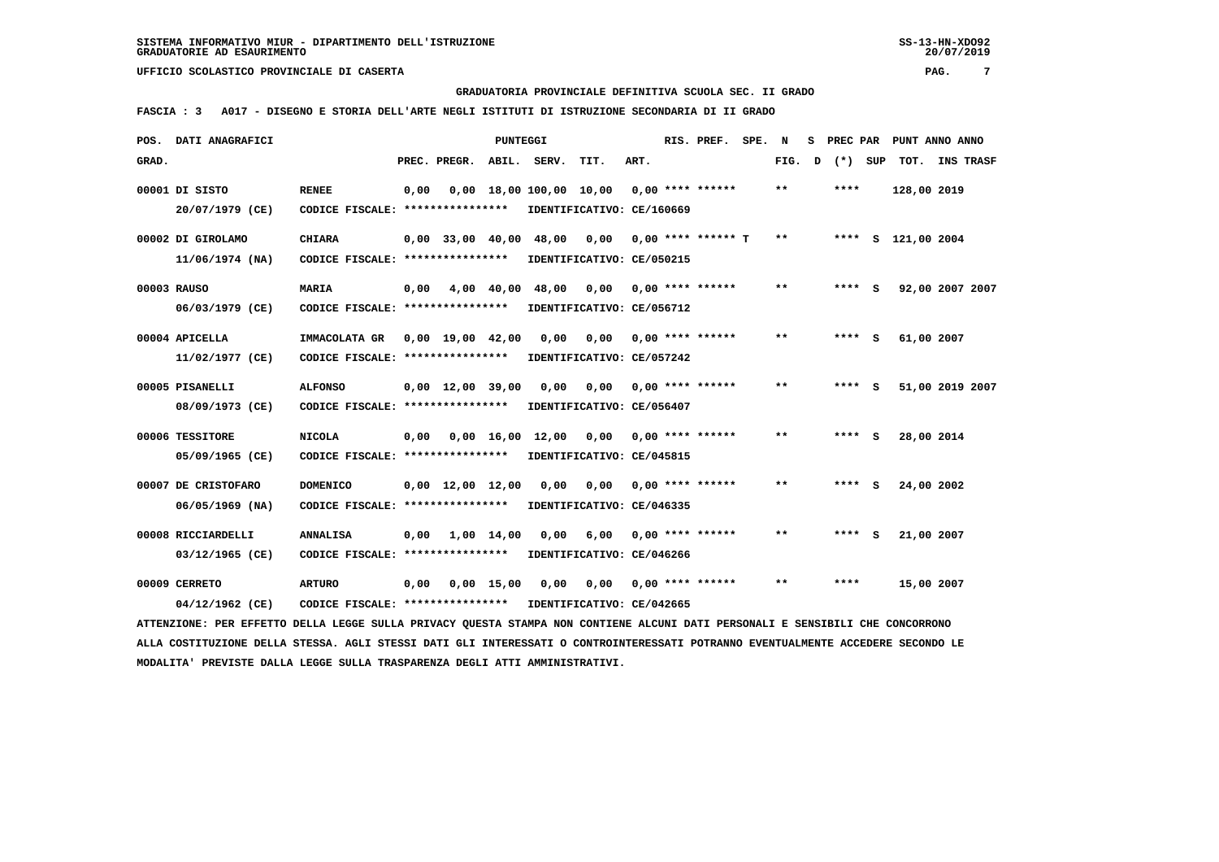#### **GRADUATORIA PROVINCIALE DEFINITIVA SCUOLA SEC. II GRADO**

 **FASCIA : 3 A017 - DISEGNO E STORIA DELL'ARTE NEGLI ISTITUTI DI ISTRUZIONE SECONDARIA DI II GRADO**

| POS.  | DATI ANAGRAFICI                                                                                                               |                                   |      |                                | PUNTEGGI     |                                                  |                           |      | RIS. PREF.                | SPE. N |              | s | PREC PAR | PUNT ANNO ANNO     |           |
|-------|-------------------------------------------------------------------------------------------------------------------------------|-----------------------------------|------|--------------------------------|--------------|--------------------------------------------------|---------------------------|------|---------------------------|--------|--------------|---|----------|--------------------|-----------|
| GRAD. |                                                                                                                               |                                   |      | PREC. PREGR.                   |              | ABIL. SERV.                                      | TIT.                      | ART. |                           |        | FIG.         | D | (*) SUP  | TOT.               | INS TRASF |
|       | 00001 DI SISTO                                                                                                                | <b>RENEE</b>                      | 0,00 |                                |              | $0,00$ 18,00 100,00 10,00 0,00 **** ******       |                           |      |                           |        | **           |   | ****     | 128,00 2019        |           |
|       | 20/07/1979 (CE)                                                                                                               | CODICE FISCALE: ***************** |      |                                |              |                                                  | IDENTIFICATIVO: CE/160669 |      |                           |        |              |   |          |                    |           |
|       | 00002 DI GIROLAMO                                                                                                             | <b>CHIARA</b>                     |      |                                |              | $0,00$ 33,00 40,00 48,00 0,00 0,00 **** ****** T |                           |      |                           |        | $\star\star$ |   |          | **** S 121,00 2004 |           |
|       | $11/06/1974$ (NA)                                                                                                             | CODICE FISCALE: ***************** |      |                                |              |                                                  | IDENTIFICATIVO: CE/050215 |      |                           |        |              |   |          |                    |           |
|       | 00003 RAUSO                                                                                                                   | <b>MARIA</b>                      | 0,00 |                                |              | 4,00 40,00 48,00                                 | 0,00                      |      | $0.00$ **** ******        |        | $***$        |   | $***$ S  | 92,00 2007 2007    |           |
|       | 06/03/1979 (CE)                                                                                                               | CODICE FISCALE: ****************  |      |                                |              |                                                  | IDENTIFICATIVO: CE/056712 |      |                           |        |              |   |          |                    |           |
|       | 00004 APICELLA                                                                                                                | IMMACOLATA GR                     |      | 0,00 19,00 42,00               |              | 0,00                                             |                           |      | $0,00$ $0,00$ **** ****** |        | $***$        |   | **** S   | 61,00 2007         |           |
|       | 11/02/1977 (CE)                                                                                                               | CODICE FISCALE: ****************  |      |                                |              |                                                  | IDENTIFICATIVO: CE/057242 |      |                           |        |              |   |          |                    |           |
|       | 00005 PISANELLI                                                                                                               | <b>ALFONSO</b>                    |      | $0,00 \quad 12,00 \quad 39,00$ |              | 0,00                                             | 0,00                      |      | $0.00$ **** ******        |        | $***$        |   | $***$ S  | 51,00 2019 2007    |           |
|       | 08/09/1973 (CE)                                                                                                               | CODICE FISCALE: ****************  |      |                                |              |                                                  | IDENTIFICATIVO: CE/056407 |      |                           |        |              |   |          |                    |           |
|       | 00006 TESSITORE                                                                                                               | <b>NICOLA</b>                     | 0,00 |                                |              | 0,00 16,00 12,00                                 | 0,00                      |      | $0.00$ **** ******        |        | $***$        |   | $***$ S  | 28,00 2014         |           |
|       | 05/09/1965 (CE)                                                                                                               | CODICE FISCALE: ****************  |      |                                |              |                                                  | IDENTIFICATIVO: CE/045815 |      |                           |        |              |   |          |                    |           |
|       | 00007 DE CRISTOFARO                                                                                                           | <b>DOMENICO</b>                   |      | $0,00 \quad 12,00 \quad 12,00$ |              | 0,00                                             |                           |      | $0.00$ $0.00$ **** ****** |        | $* *$        |   | **** S   | 24,00 2002         |           |
|       | $06/05/1969$ (NA)                                                                                                             | CODICE FISCALE: ***************** |      |                                |              |                                                  | IDENTIFICATIVO: CE/046335 |      |                           |        |              |   |          |                    |           |
|       | 00008 RICCIARDELLI                                                                                                            | <b>ANNALISA</b>                   | 0,00 |                                | 1,00 14,00   | 0,00                                             | 6,00                      |      | $0.00$ **** ******        |        | $***$        |   | **** S   | 21,00 2007         |           |
|       | 03/12/1965 (CE)                                                                                                               | CODICE FISCALE: ****************  |      |                                |              |                                                  | IDENTIFICATIVO: CE/046266 |      |                           |        |              |   |          |                    |           |
|       | 00009 CERRETO                                                                                                                 | <b>ARTURO</b>                     | 0,00 |                                | $0,00$ 15,00 | 0,00                                             | 0,00                      |      | $0,00$ **** ******        |        | $***$        |   | ****     | 15,00 2007         |           |
|       | 04/12/1962 (CE)                                                                                                               | CODICE FISCALE: ****************  |      |                                |              |                                                  | IDENTIFICATIVO: CE/042665 |      |                           |        |              |   |          |                    |           |
|       | ATTENZIONE: PER EFFETTO DELLA LEGGE SULLA PRIVACY QUESTA STAMPA NON CONTIENE ALCUNI DATI PERSONALI E SENSIBILI CHE CONCORRONO |                                   |      |                                |              |                                                  |                           |      |                           |        |              |   |          |                    |           |

 **ALLA COSTITUZIONE DELLA STESSA. AGLI STESSI DATI GLI INTERESSATI O CONTROINTERESSATI POTRANNO EVENTUALMENTE ACCEDERE SECONDO LE MODALITA' PREVISTE DALLA LEGGE SULLA TRASPARENZA DEGLI ATTI AMMINISTRATIVI.**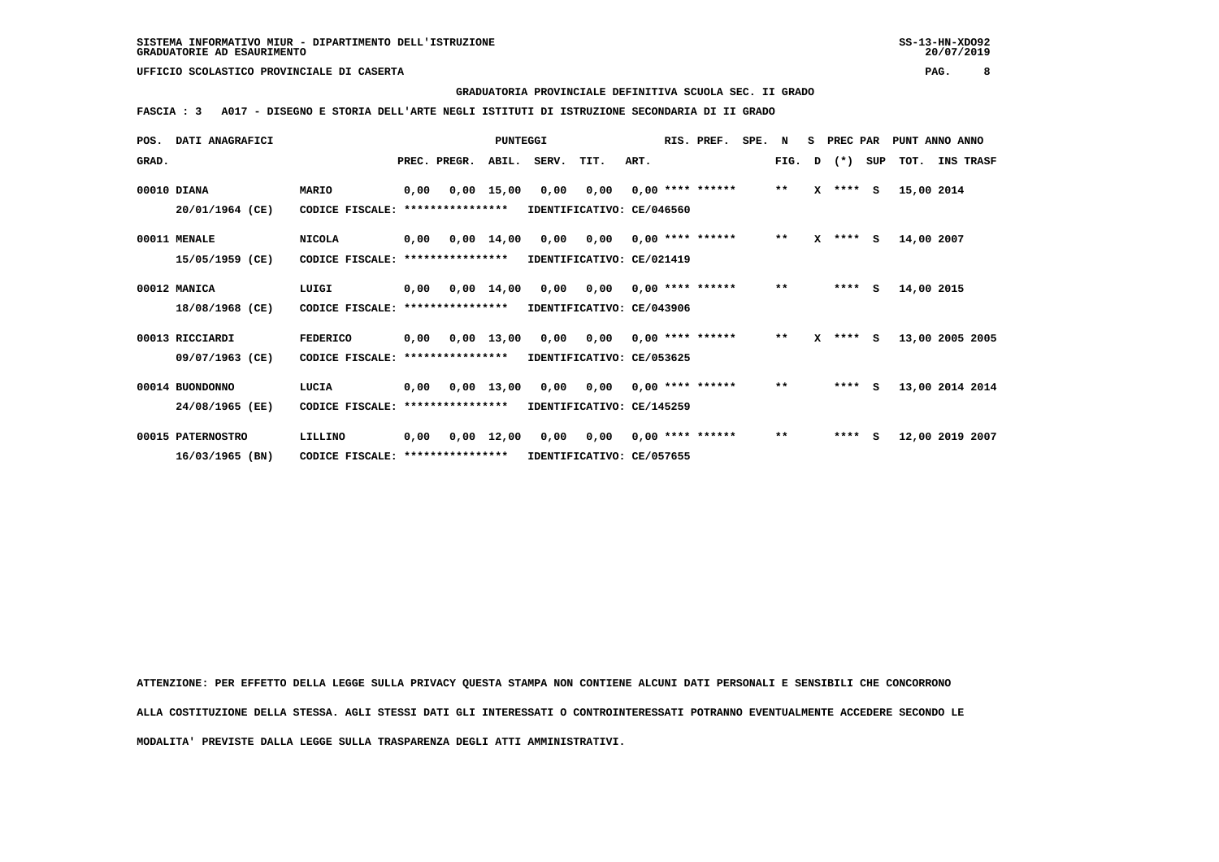#### **GRADUATORIA PROVINCIALE DEFINITIVA SCUOLA SEC. II GRADO**

 **FASCIA : 3 A017 - DISEGNO E STORIA DELL'ARTE NEGLI ISTITUTI DI ISTRUZIONE SECONDARIA DI II GRADO**

| POS.  | <b>DATI ANAGRAFICI</b> |                                  |      |                       | <b>PUNTEGGI</b>    |       |                           |      | RIS. PREF.         | SPE. | N            | s            | PREC PAR |     | PUNT ANNO ANNO  |           |
|-------|------------------------|----------------------------------|------|-----------------------|--------------------|-------|---------------------------|------|--------------------|------|--------------|--------------|----------|-----|-----------------|-----------|
| GRAD. |                        |                                  |      | PREC. PREGR.          | ABIL.              | SERV. | TIT.                      | ART. |                    |      | FIG.         | D            | $(*)$    | SUP | TOT.            | INS TRASF |
|       | 00010 DIANA            | MARIO                            | 0,00 |                       | $0,00$ 15,00       | 0,00  | 0,00                      |      | $0,00$ **** ****** |      | $\star\star$ | $\mathbf{x}$ | ****     | s   | 15,00 2014      |           |
|       | 20/01/1964 (CE)        | CODICE FISCALE:                  |      | ****************      |                    |       | IDENTIFICATIVO: CE/046560 |      |                    |      |              |              |          |     |                 |           |
|       | 00011 MENALE           | <b>NICOLA</b>                    | 0,00 |                       | $0,00 \quad 14,00$ | 0,00  | 0,00                      |      | $0.00$ **** ****** |      | $***$        |              | $X$ **** | S.  | 14,00 2007      |           |
|       | 15/05/1959 (CE)        | CODICE FISCALE:                  |      | ****************      |                    |       | IDENTIFICATIVO: CE/021419 |      |                    |      |              |              |          |     |                 |           |
|       | 00012 MANICA           | LUIGI                            |      | $0,00$ $0,00$ $14,00$ |                    | 0,00  | 0,00                      |      | $0,00$ **** ****** |      | $\star\star$ |              | $***$ S  |     | 14,00 2015      |           |
|       | 18/08/1968 (CE)        | CODICE FISCALE: **************** |      |                       |                    |       | IDENTIFICATIVO: CE/043906 |      |                    |      |              |              |          |     |                 |           |
|       | 00013 RICCIARDI        | <b>FEDERICO</b>                  | 0,00 |                       | $0,00$ 13,00       | 0,00  | 0,00                      |      | $0.00$ **** ****** |      | $* *$        | x            | $***$ S  |     | 13,00 2005 2005 |           |
|       | 09/07/1963 (CE)        | CODICE FISCALE:                  |      | ****************      |                    |       | IDENTIFICATIVO: CE/053625 |      |                    |      |              |              |          |     |                 |           |
|       | 00014 BUONDONNO        | LUCIA                            | 0,00 | 0,00 13,00            |                    | 0,00  | 0,00                      |      | $0.00$ **** ****** |      | $***$        |              | $***$ S  |     | 13,00 2014 2014 |           |
|       | 24/08/1965 (EE)        | CODICE FISCALE:                  |      | ****************      |                    |       | IDENTIFICATIVO: CE/145259 |      |                    |      |              |              |          |     |                 |           |
|       | 00015 PATERNOSTRO      | LILLINO                          | 0,00 |                       | $0,00 \quad 12,00$ | 0,00  | 0,00                      |      | $0,00$ **** ****** |      | $\star\star$ |              | ****     | s   | 12,00 2019 2007 |           |
|       | 16/03/1965 (BN)        | CODICE FISCALE: **************** |      |                       |                    |       | IDENTIFICATIVO: CE/057655 |      |                    |      |              |              |          |     |                 |           |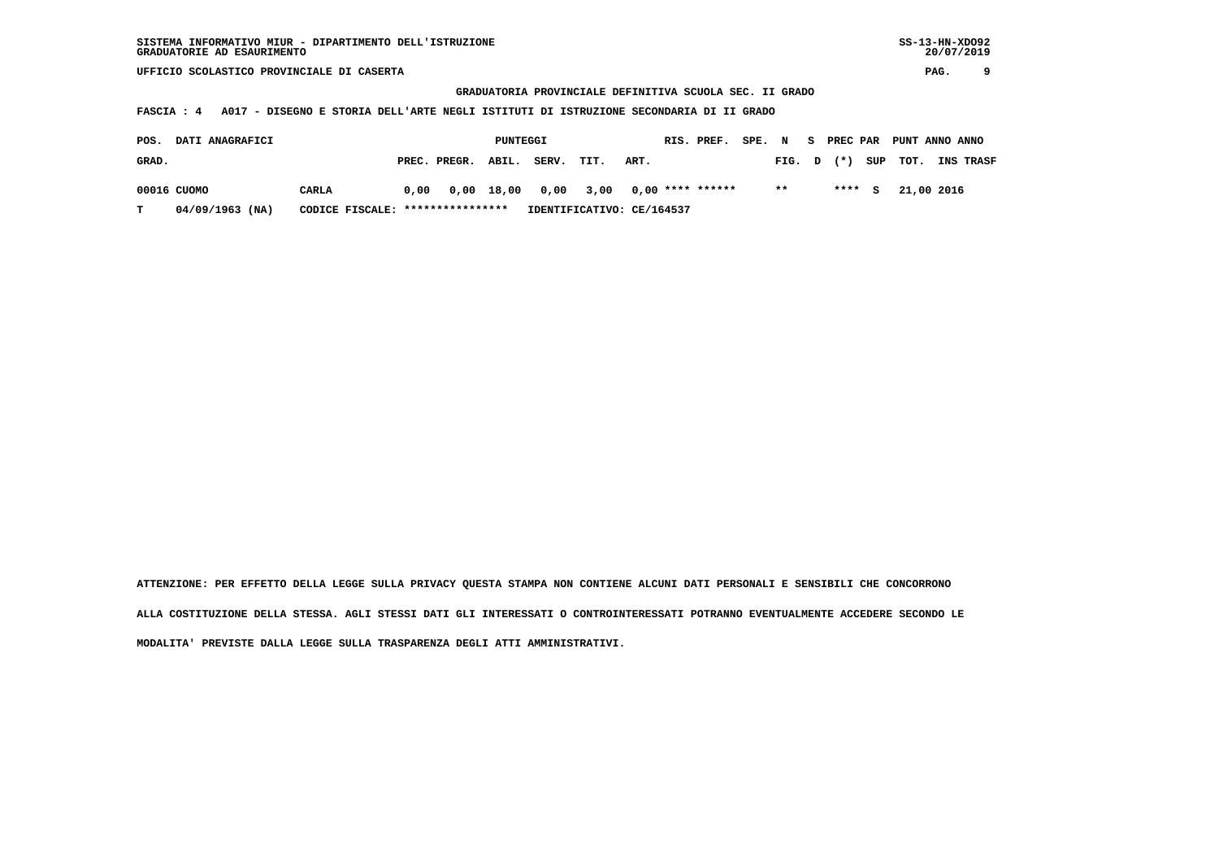**GRADUATORIA PROVINCIALE DEFINITIVA SCUOLA SEC. II GRADO**

 **FASCIA : 4 A017 - DISEGNO E STORIA DELL'ARTE NEGLI ISTITUTI DI ISTRUZIONE SECONDARIA DI II GRADO**

| POS.  | <b>DATI ANAGRAFICI</b><br>PREC. PREGR. |                                  |      |  |       | PUNTEGGI             |                           |      | RIS. PREF.       | SPE. N |        | s. |       |          | PREC PAR PUNT ANNO ANNO |            |                  |
|-------|----------------------------------------|----------------------------------|------|--|-------|----------------------|---------------------------|------|------------------|--------|--------|----|-------|----------|-------------------------|------------|------------------|
| GRAD. |                                        |                                  |      |  | ABIL. | SERV.                | TIT.                      | ART. |                  |        | FIG. D |    | $(*)$ | SUP      | тот.                    |            | <b>INS TRASF</b> |
|       | 00016 CUOMO                            | CARLA                            | 0,00 |  |       | 0,00 18,00 0,00 3,00 |                           |      | 0,00 **** ****** |        | $* *$  |    | ****  | <b>S</b> |                         | 21,00 2016 |                  |
| T.    | $04/09/1963$ (NA)                      | CODICE FISCALE: **************** |      |  |       |                      | IDENTIFICATIVO: CE/164537 |      |                  |        |        |    |       |          |                         |            |                  |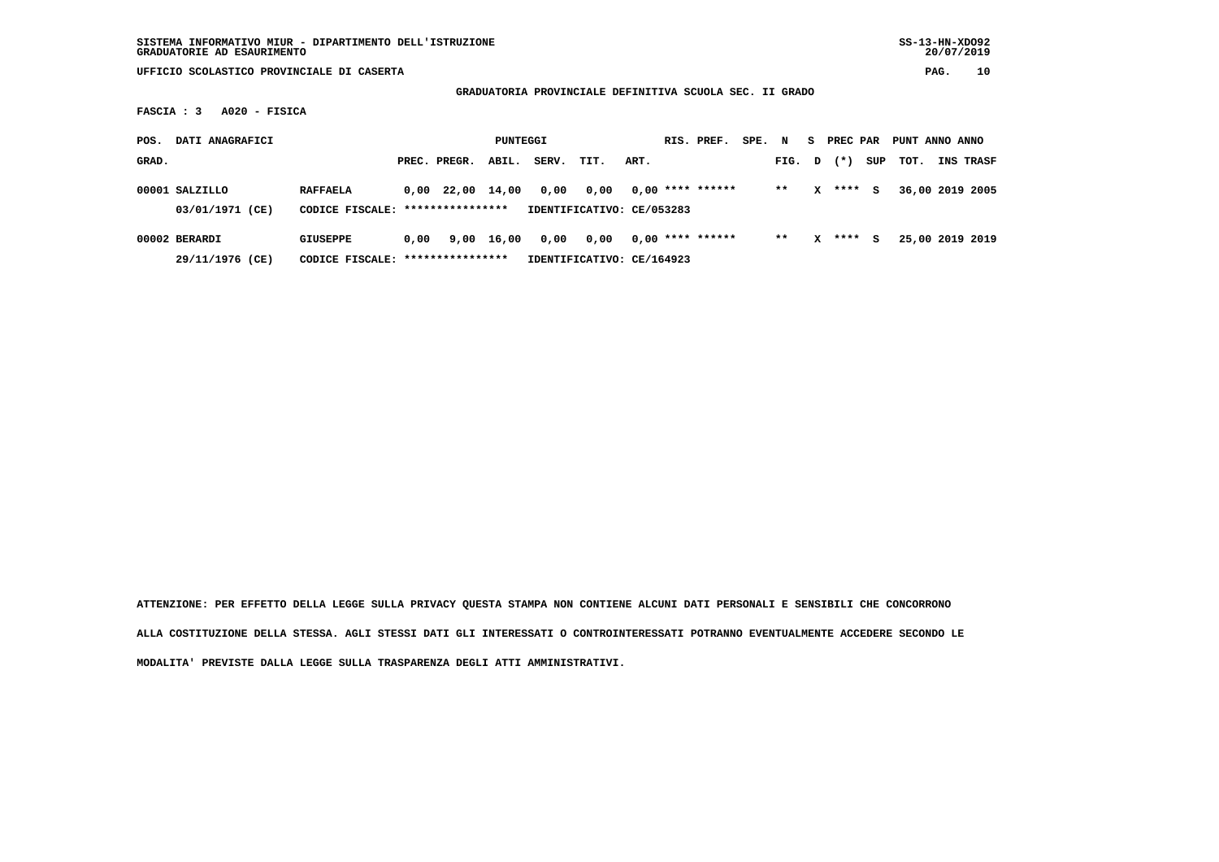**GRADUATORIA PROVINCIALE DEFINITIVA SCUOLA SEC. II GRADO**

 **FASCIA : 3 A020 - FISICA**

| POS.  | DATI ANAGRAFICI                   |                                                     |      |              | PUNTEGGI   |       |                                   |      | RIS. PREF.         | SPE. | N      | s | PREC PAR |     | PUNT ANNO ANNO |                  |
|-------|-----------------------------------|-----------------------------------------------------|------|--------------|------------|-------|-----------------------------------|------|--------------------|------|--------|---|----------|-----|----------------|------------------|
| GRAD. |                                   |                                                     |      | PREC. PREGR. | ABIL.      | SERV. | TIT.                              | ART. |                    |      | FIG. D |   | $(* )$   | SUP | тот.           | <b>INS TRASF</b> |
|       | 00001 SALZILLO<br>03/01/1971 (CE) | <b>RAFFAELA</b><br>CODICE FISCALE: **************** |      | 0,00 22,00   | 14,00      | 0,00  | 0,00<br>IDENTIFICATIVO: CE/053283 |      | $0.00$ **** ****** |      | $**$   | x | ****     | s   |                | 36,00 2019 2005  |
|       | 00002 BERARDI<br>29/11/1976 (CE)  | GIUSEPPE<br>CODICE FISCALE: *****************       | 0,00 |              | 9,00 16,00 | 0,00  | 0.00<br>IDENTIFICATIVO: CE/164923 |      | $0.00$ **** ****** |      | $**$   | x | ****     | s   |                | 25,00 2019 2019  |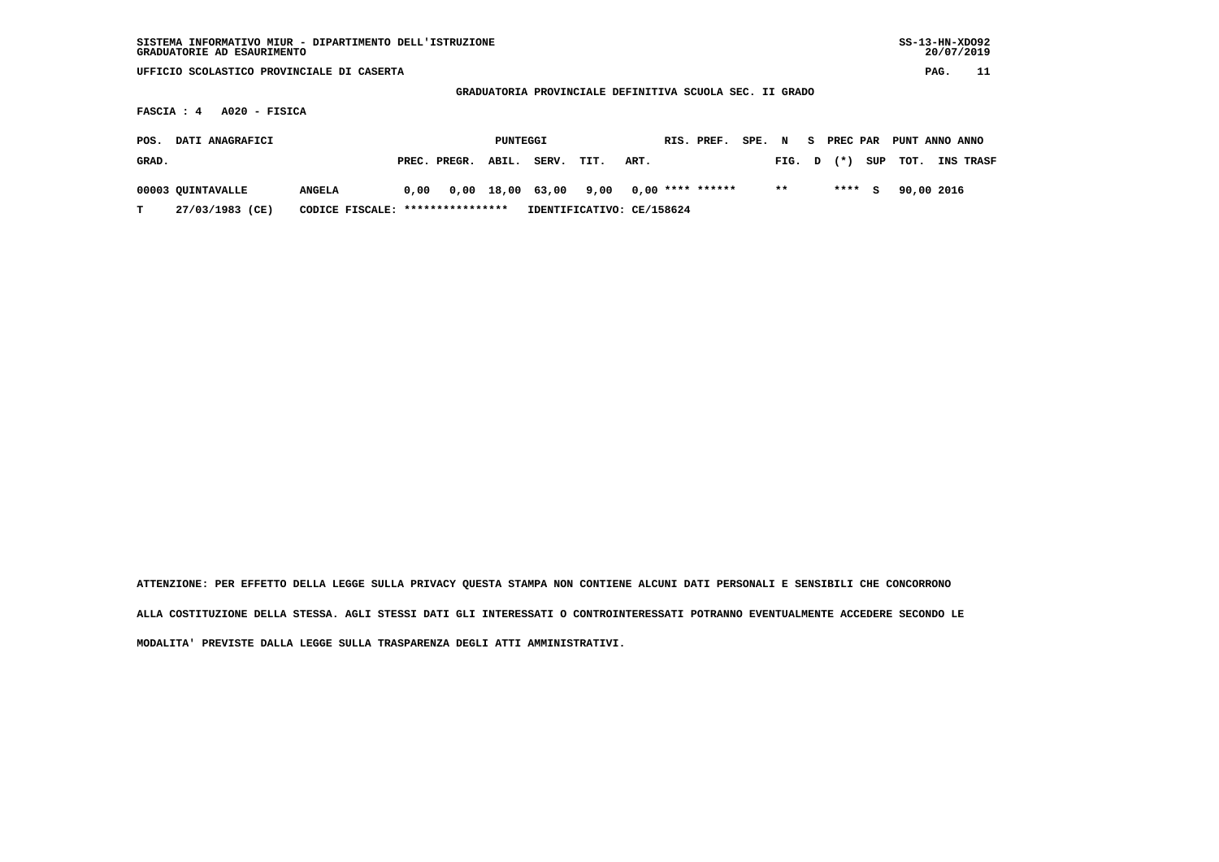| SISTEMA INFORMATIVO MIUR - DIPARTIMENTO DELL'ISTRUZIONE<br>GRADUATORIE AD ESAURIMENTO |                                   |      |              |          |                  |                           |      |  |                    |        |       |    |          |     | $SS-13-HN-XDO92$ |      | 20/07/2019 |
|---------------------------------------------------------------------------------------|-----------------------------------|------|--------------|----------|------------------|---------------------------|------|--|--------------------|--------|-------|----|----------|-----|------------------|------|------------|
| UFFICIO SCOLASTICO PROVINCIALE DI CASERTA                                             |                                   |      |              |          |                  |                           |      |  |                    |        |       |    |          |     |                  | PAG. | 11         |
| GRADUATORIA PROVINCIALE DEFINITIVA SCUOLA SEC. II GRADO                               |                                   |      |              |          |                  |                           |      |  |                    |        |       |    |          |     |                  |      |            |
| $A020 - FISICA$<br>FASCIA : 4                                                         |                                   |      |              |          |                  |                           |      |  |                    |        |       |    |          |     |                  |      |            |
| DATI ANAGRAFICI<br>POS.                                                               |                                   |      |              | PUNTEGGI |                  |                           |      |  | RIS. PREF.         | SPE. N |       | S. | PREC PAR |     | PUNT ANNO ANNO   |      |            |
| GRAD.                                                                                 |                                   |      | PREC. PREGR. | ABIL.    | SERV.            | TIT.                      | ART. |  |                    |        | FIG.  | D  | $(* )$   | SUP | TOT.             |      | INS TRASF  |
| 00003 QUINTAVALLE                                                                     | <b>ANGELA</b>                     | 0.00 |              |          | 0,00 18,00 63,00 | 9,00                      |      |  | $0,00$ **** ****** |        | $***$ |    | ****     | S.  | 90,00 2016       |      |            |
| 27/03/1983 (CE)                                                                       | CODICE FISCALE: ***************** |      |              |          |                  | IDENTIFICATIVO: CE/158624 |      |  |                    |        |       |    |          |     |                  |      |            |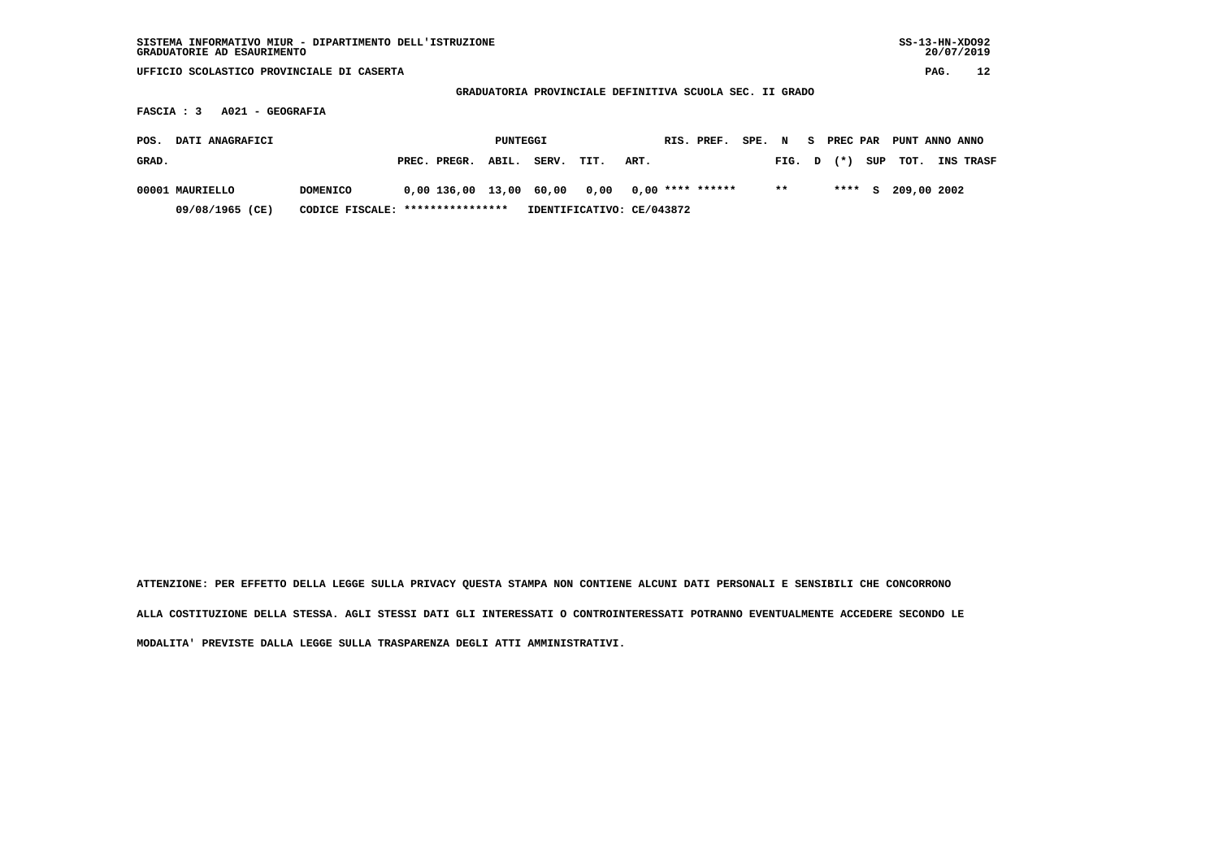| SISTEMA INFORMATIVO MIUR - DIPARTIMENTO DELL'ISTRUZIONE<br>GRADUATORIE AD ESAURIMENTO |                       |                           |                                                         |                  | $SS-13-HN-XDO92$<br>20/07/2019 |  |  |  |  |  |  |
|---------------------------------------------------------------------------------------|-----------------------|---------------------------|---------------------------------------------------------|------------------|--------------------------------|--|--|--|--|--|--|
| UFFICIO SCOLASTICO PROVINCIALE DI CASERTA                                             |                       |                           |                                                         |                  | 12<br>PAG.                     |  |  |  |  |  |  |
|                                                                                       |                       |                           | GRADUATORIA PROVINCIALE DEFINITIVA SCUOLA SEC. II GRADO |                  |                                |  |  |  |  |  |  |
| A021 - GEOGRAFIA<br>FASCIA : 3                                                        |                       |                           |                                                         |                  |                                |  |  |  |  |  |  |
|                                                                                       |                       |                           |                                                         |                  |                                |  |  |  |  |  |  |
| DATI ANAGRAFICI<br>POS.                                                               | PUNTEGGI              |                           | RIS. PREF.<br>SPE. N                                    | s.               | PREC PAR<br>PUNT ANNO ANNO     |  |  |  |  |  |  |
| GRAD.                                                                                 | PREC. PREGR.<br>ABIL. | SERV.<br>TIT.             | ART.                                                    | $(* )$<br>FIG. D | SUP<br>TOT.<br>INS TRASF       |  |  |  |  |  |  |
| 00001 MAURIELLO<br><b>DOMENICO</b>                                                    | 0,00 136,00 13,00     | 60,00<br>0,00             | $0,00$ **** ******                                      | $***$<br>****    | 209,00 2002<br>s               |  |  |  |  |  |  |
| 09/08/1965 (CE)<br>CODICE FISCALE:                                                    | ****************      | IDENTIFICATIVO: CE/043872 |                                                         |                  |                                |  |  |  |  |  |  |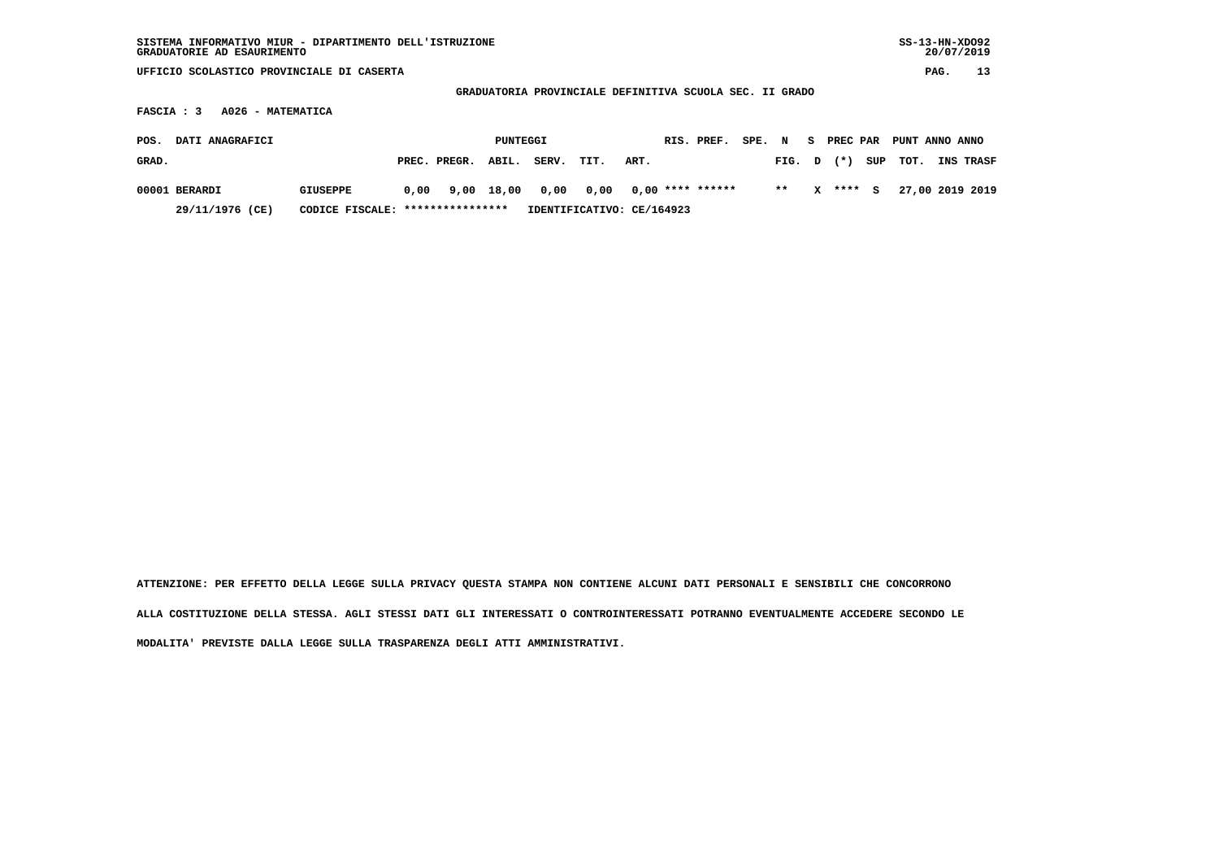| SISTEMA INFORMATIVO MIUR - DIPARTIMENTO DELL'ISTRUZIONE<br>GRADUATORIE AD ESAURIMENTO |                                   |      |              |            |       |                                                         |      |  |                    |        |        |    |          |     | $SS-13-HN-XDO92$ | 20/07/2019 |                 |
|---------------------------------------------------------------------------------------|-----------------------------------|------|--------------|------------|-------|---------------------------------------------------------|------|--|--------------------|--------|--------|----|----------|-----|------------------|------------|-----------------|
| UFFICIO SCOLASTICO PROVINCIALE DI CASERTA                                             |                                   |      |              |            |       |                                                         |      |  |                    |        |        |    |          |     |                  | PAG.       | 13              |
|                                                                                       |                                   |      |              |            |       | GRADUATORIA PROVINCIALE DEFINITIVA SCUOLA SEC. II GRADO |      |  |                    |        |        |    |          |     |                  |            |                 |
| A026 - MATEMATICA<br>FASCIA : 3                                                       |                                   |      |              |            |       |                                                         |      |  |                    |        |        |    |          |     |                  |            |                 |
| DATI ANAGRAFICI<br>POS.                                                               |                                   |      |              | PUNTEGGI   |       |                                                         |      |  | RIS. PREF.         | SPE. N |        | S. | PREC PAR |     | PUNT ANNO ANNO   |            |                 |
| GRAD.                                                                                 |                                   |      | PREC. PREGR. | ABIL.      | SERV. | TIT.                                                    | ART. |  |                    |        | FIG. D |    | $(* )$   | SUP | TOT.             |            | INS TRASF       |
| 00001 BERARDI                                                                         | <b>GIUSEPPE</b>                   | 0,00 |              | 9,00 18,00 | 0,00  | 0,00                                                    |      |  | $0,00$ **** ****** |        | $* *$  | x  | $***$ S  |     |                  |            | 27,00 2019 2019 |
| 29/11/1976 (CE)                                                                       | CODICE FISCALE: ***************** |      |              |            |       | IDENTIFICATIVO: CE/164923                               |      |  |                    |        |        |    |          |     |                  |            |                 |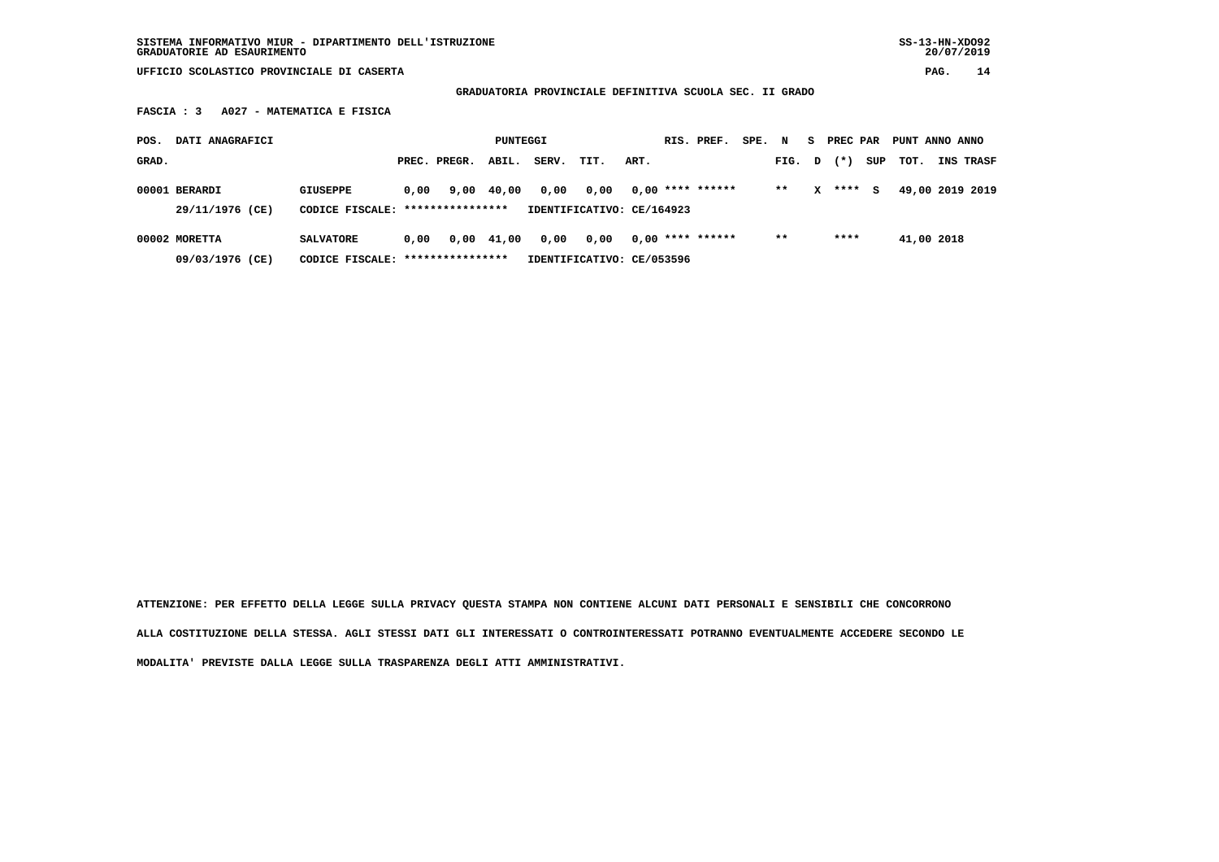**SISTEMA INFORMATIVO MIUR - DIPARTIMENTO DELL'ISTRUZIONE SS-13-HN-XDO92 GRADUATORIE AD ESAURIMENTO 20/07/2019**

 **UFFICIO SCOLASTICO PROVINCIALE DI CASERTA PAG. 14**

 **GRADUATORIA PROVINCIALE DEFINITIVA SCUOLA SEC. II GRADO**

 **FASCIA : 3 A027 - MATEMATICA E FISICA**

| POS.  | DATI ANAGRAFICI                  |                                                      |      |              | PUNTEGGI   |       |                                   |      | RIS. PREF.         | SPE. N |        | S. | PREC PAR |     | PUNT ANNO ANNO |                  |
|-------|----------------------------------|------------------------------------------------------|------|--------------|------------|-------|-----------------------------------|------|--------------------|--------|--------|----|----------|-----|----------------|------------------|
| GRAD. |                                  |                                                      |      | PREC. PREGR. | ABIL.      | SERV. | TIT.                              | ART. |                    |        | FIG. D |    | $(* )$   | SUP | TOT.           | <b>INS TRASF</b> |
|       | 00001 BERARDI<br>29/11/1976 (CE) | GIUSEPPE<br>CODICE FISCALE: ****************         | 0.00 |              | 9,00 40,00 | 0,00  | 0.00<br>IDENTIFICATIVO: CE/164923 |      | $0,00$ **** ****** |        | $* *$  | x  | ****     | s   |                | 49,00 2019 2019  |
|       | 00002 MORETTA<br>09/03/1976 (CE) | <b>SALVATORE</b><br>CODICE FISCALE: **************** | 0.00 |              | 0,00 41,00 | 0,00  | 0.00<br>IDENTIFICATIVO: CE/053596 |      | $0.00$ **** ****** |        | $* *$  |    | ****     |     | 41,00 2018     |                  |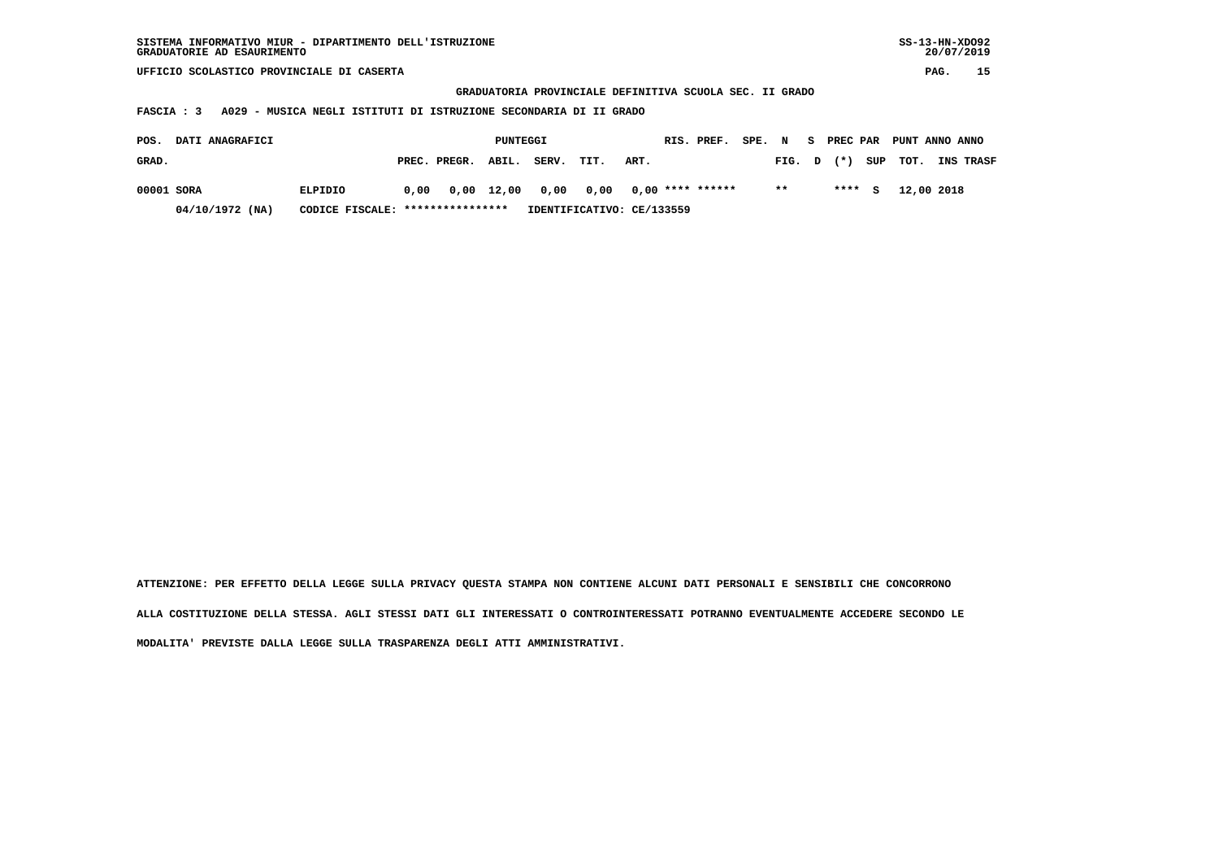| SISTEMA INFORMATIVO MIUR - DIPARTIMENTO DELL'ISTRUZIONE | SS-13-HN-XD092 |
|---------------------------------------------------------|----------------|
| GRADUATORIE AD ESAURIMENTO                              | 20/07/2019     |

 **GRADUATORIA PROVINCIALE DEFINITIVA SCUOLA SEC. II GRADO**

 **FASCIA : 3 A029 - MUSICA NEGLI ISTITUTI DI ISTRUZIONE SECONDARIA DI II GRADO**

| POS.       | <b>DATI ANAGRAFICI</b> |                                  |      |                                       | PUNTEGGI |                           |      |      | RIS. PREF. | SPE. N |        |        | S PREC PAR PUNT ANNO ANNO |                  |
|------------|------------------------|----------------------------------|------|---------------------------------------|----------|---------------------------|------|------|------------|--------|--------|--------|---------------------------|------------------|
| GRAD.      |                        |                                  |      | PREC. PREGR. ABIL.                    |          | SERV.                     | TIT. | ART. |            |        | FIG. D |        | $(*)$ SUP TOT.            | <b>INS TRASF</b> |
| 00001 SORA |                        | ELPIDIO                          | 0.00 | 0,00 12,00 0,00 0,00 0,00 **** ****** |          |                           |      |      |            |        | $* *$  | $***5$ | 12,00 2018                |                  |
|            | 04/10/1972 (NA)        | CODICE FISCALE: **************** |      |                                       |          | IDENTIFICATIVO: CE/133559 |      |      |            |        |        |        |                           |                  |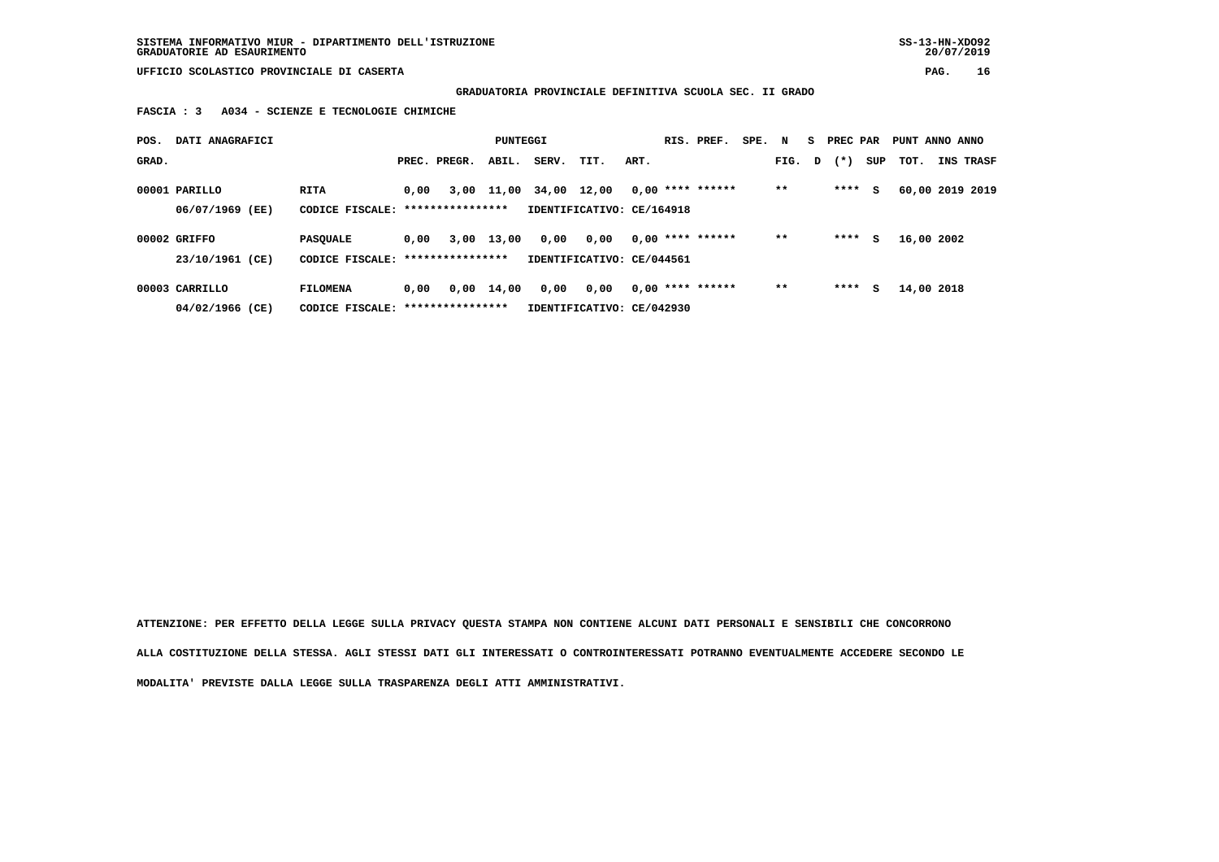**SISTEMA INFORMATIVO MIUR - DIPARTIMENTO DELL'ISTRUZIONE SS-13-HN-XDO92 GRADUATORIE AD ESAURIMENTO 20/07/2019**

 **UFFICIO SCOLASTICO PROVINCIALE DI CASERTA PAG. 16**

 **GRADUATORIA PROVINCIALE DEFINITIVA SCUOLA SEC. II GRADO**

 **FASCIA : 3 A034 - SCIENZE E TECNOLOGIE CHIMICHE**

| POS.  | DATI ANAGRAFICI |                                  |      |                  | PUNTEGGI     |             |                           |      | RIS. PREF.         | SPE. N |        | S PREC PAR |     | PUNT ANNO ANNO |                  |
|-------|-----------------|----------------------------------|------|------------------|--------------|-------------|---------------------------|------|--------------------|--------|--------|------------|-----|----------------|------------------|
| GRAD. |                 |                                  |      | PREC. PREGR.     | ABIL.        | SERV.       | TIT.                      | ART. |                    |        | FIG. D | $(*)$      | SUP | тот.           | <b>INS TRASF</b> |
|       | 00001 PARILLO   | RITA                             | 0.00 |                  | 3,00 11,00   | 34,00 12,00 |                           |      | $0,00$ **** ****** |        | $* *$  | ****       | s   |                | 60,00 2019 2019  |
|       | 06/07/1969 (EE) | CODICE FISCALE: **************** |      |                  |              |             | IDENTIFICATIVO: CE/164918 |      |                    |        |        |            |     |                |                  |
|       | 00002 GRIFFO    | <b>PASOUALE</b>                  | 0.00 |                  | 3,00 13,00   | 0,00        | 0,00                      |      | $0,00$ **** ****** |        | $**$   | ****       | s   | 16,00 2002     |                  |
|       | 23/10/1961 (CE) | CODICE FISCALE: **************** |      |                  |              |             | IDENTIFICATIVO: CE/044561 |      |                    |        |        |            |     |                |                  |
|       | 00003 CARRILLO  | <b>FILOMENA</b>                  | 0,00 |                  | $0,00$ 14,00 | 0,00        | 0,00                      |      | $0.00$ **** ****** |        | $* *$  | ****       | s   | 14,00 2018     |                  |
|       | 04/02/1966 (CE) | CODICE FISCALE:                  |      | **************** |              |             | IDENTIFICATIVO: CE/042930 |      |                    |        |        |            |     |                |                  |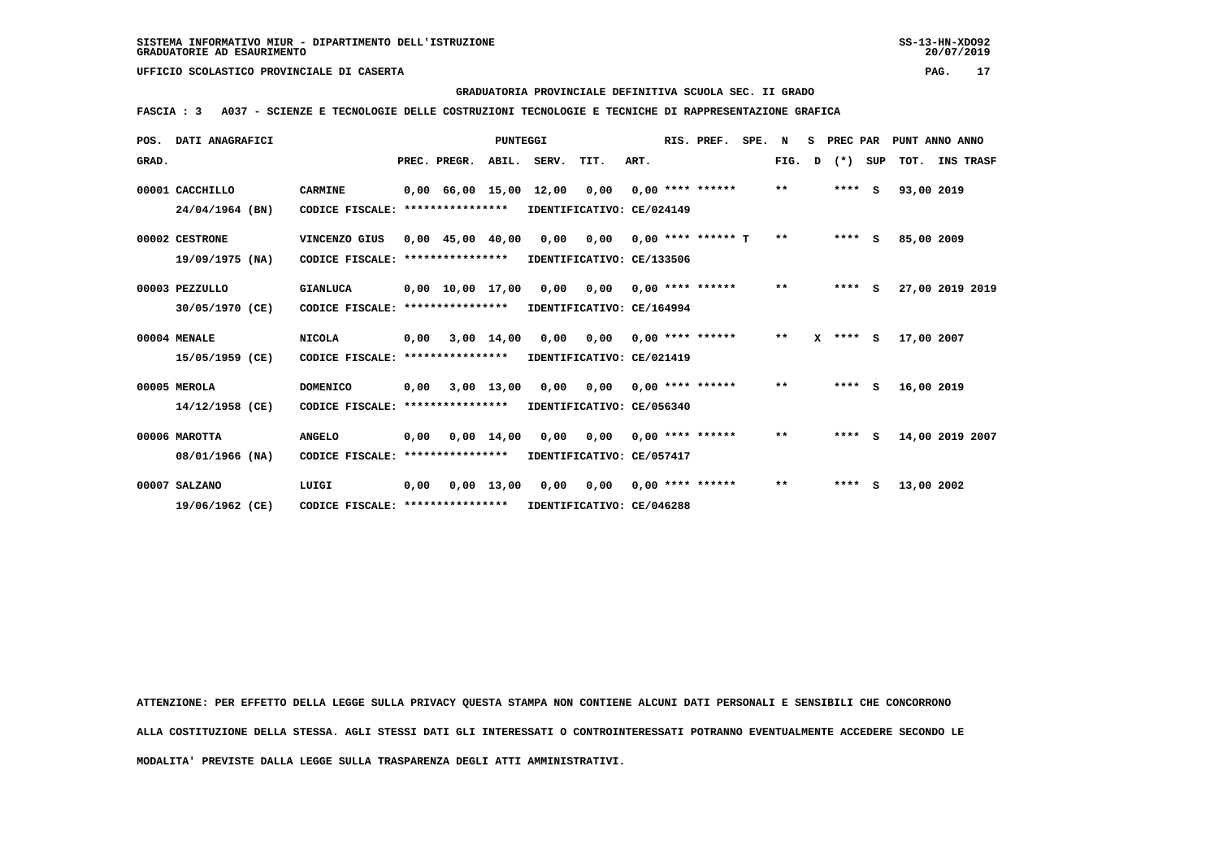# **GRADUATORIA PROVINCIALE DEFINITIVA SCUOLA SEC. II GRADO**

 **FASCIA : 3 A037 - SCIENZE E TECNOLOGIE DELLE COSTRUZIONI TECNOLOGIE E TECNICHE DI RAPPRESENTAZIONE GRAFICA**

| POS.  | DATI ANAGRAFICI |                                   |      |                        | <b>PUNTEGGI</b>    |                               |                           |      | RIS. PREF.           | SPE. N |       | s | PREC PAR |     | PUNT ANNO ANNO |                 |
|-------|-----------------|-----------------------------------|------|------------------------|--------------------|-------------------------------|---------------------------|------|----------------------|--------|-------|---|----------|-----|----------------|-----------------|
| GRAD. |                 |                                   |      | PREC. PREGR.           |                    | ABIL. SERV.                   | TIT.                      | ART. |                      |        | FIG.  | D | $(*)$    | SUP |                | TOT. INS TRASF  |
|       | 00001 CACCHILLO | <b>CARMINE</b>                    |      |                        |                    | $0,00$ 66,00 15,00 12,00 0,00 |                           |      | $0.00$ **** ******   |        | $* *$ |   | $***$ S  |     | 93,00 2019     |                 |
|       | 24/04/1964 (BN) | CODICE FISCALE:                   |      | ****************       |                    |                               | IDENTIFICATIVO: CE/024149 |      |                      |        |       |   |          |     |                |                 |
|       | 00002 CESTRONE  | VINCENZO GIUS                     |      | $0,00$ 45,00 40,00     |                    | 0,00                          | 0,00                      |      | $0.00$ **** ****** T |        | $**$  |   | $***$ S  |     | 85,00 2009     |                 |
|       | 19/09/1975 (NA) | CODICE FISCALE:                   |      | ****************       |                    |                               | IDENTIFICATIVO: CE/133506 |      |                      |        |       |   |          |     |                |                 |
|       | 00003 PEZZULLO  | <b>GIANLUCA</b>                   |      | $0,00$ $10,00$ $17,00$ |                    | 0,00                          | 0,00                      |      | $0.00$ **** ******   |        | $***$ |   | ****     | s   |                | 27,00 2019 2019 |
|       | 30/05/1970 (CE) | CODICE FISCALE:                   |      | ****************       |                    |                               | IDENTIFICATIVO: CE/164994 |      |                      |        |       |   |          |     |                |                 |
|       | 00004 MENALE    | <b>NICOLA</b>                     | 0.00 |                        | $3,00$ 14,00       | 0.00                          | 0,00                      |      | $0.00$ **** ******   |        | $***$ | x | **** S   |     | 17,00 2007     |                 |
|       | 15/05/1959 (CE) | CODICE FISCALE: ****************  |      |                        |                    |                               | IDENTIFICATIVO: CE/021419 |      |                      |        |       |   |          |     |                |                 |
|       | 00005 MEROLA    | <b>DOMENICO</b>                   | 0,00 |                        | 3,00 13,00         | 0,00                          | 0,00                      |      | $0.00$ **** ******   |        | $* *$ |   | $***$ S  |     | 16,00 2019     |                 |
|       | 14/12/1958 (CE) | CODICE FISCALE: ****************  |      |                        |                    |                               | IDENTIFICATIVO: CE/056340 |      |                      |        |       |   |          |     |                |                 |
|       | 00006 MAROTTA   | <b>ANGELO</b>                     | 0,00 |                        | $0,00 \quad 14,00$ |                               | $0,00$ $0,00$             |      | $0.00$ **** ******   |        | $**$  |   | ****     | -S  |                | 14,00 2019 2007 |
|       | 08/01/1966 (NA) | CODICE FISCALE: ***************** |      |                        |                    |                               | IDENTIFICATIVO: CE/057417 |      |                      |        |       |   |          |     |                |                 |
|       | 00007 SALZANO   | LUIGI                             | 0.00 |                        | $0.00$ 13.00       |                               | $0,00$ $0,00$             |      | $0.00$ **** ******   |        | $* *$ |   | $***$ S  |     | 13,00 2002     |                 |
|       | 19/06/1962 (CE) | CODICE FISCALE: ****************  |      |                        |                    |                               | IDENTIFICATIVO: CE/046288 |      |                      |        |       |   |          |     |                |                 |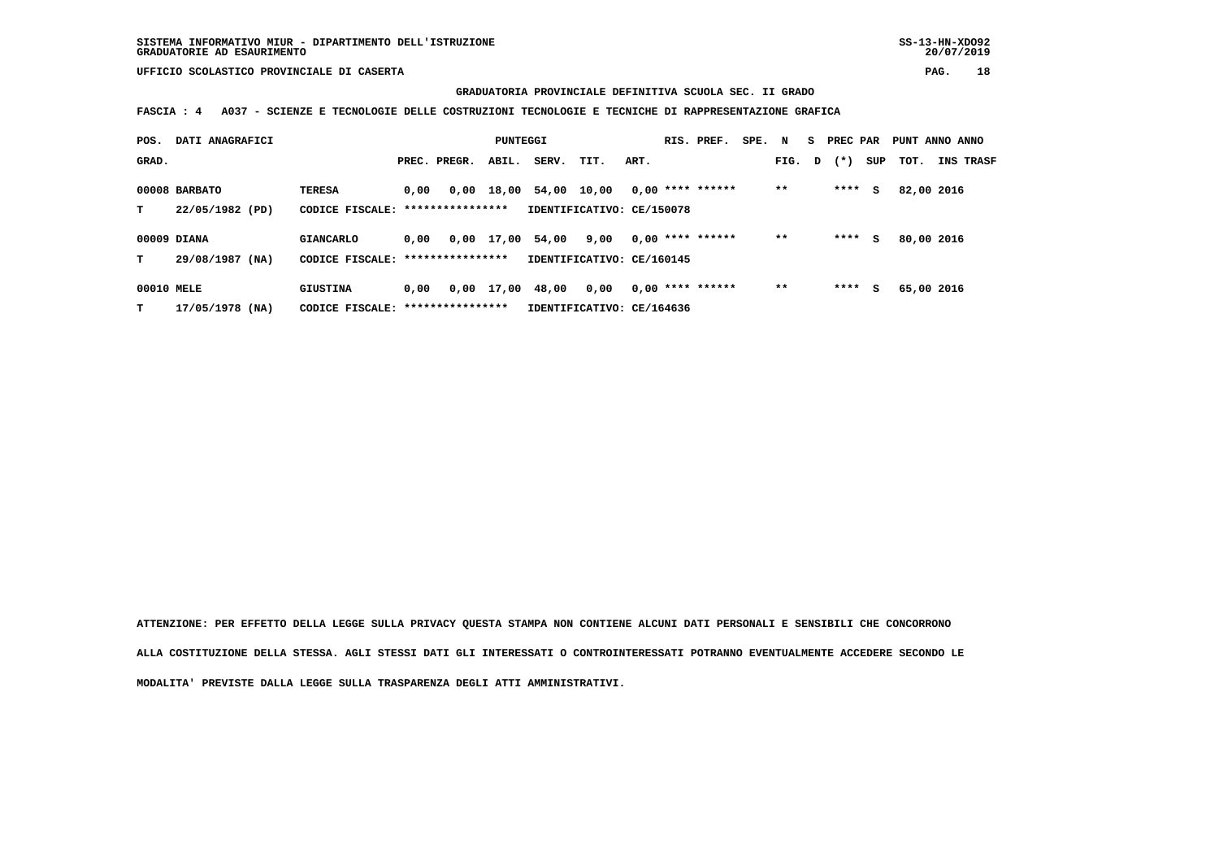### **GRADUATORIA PROVINCIALE DEFINITIVA SCUOLA SEC. II GRADO**

 **FASCIA : 4 A037 - SCIENZE E TECNOLOGIE DELLE COSTRUZIONI TECNOLOGIE E TECNICHE DI RAPPRESENTAZIONE GRAFICA**

| POS.            | DATI ANAGRAFICI                  |                                                       |      |              | PUNTEGGI   |             |                                   |      | RIS. PREF.         | SPE. N |       |   | <b>PREC PAR</b> |     | PUNT ANNO ANNO |           |
|-----------------|----------------------------------|-------------------------------------------------------|------|--------------|------------|-------------|-----------------------------------|------|--------------------|--------|-------|---|-----------------|-----|----------------|-----------|
| GRAD.           |                                  |                                                       |      | PREC. PREGR. | ABIL.      | SERV.       | TIT.                              | ART. |                    |        | FIG.  | D | $(* )$          | SUP | тот.           | INS TRASF |
| т               | 00008 BARBATO<br>22/05/1982 (PD) | <b>TERESA</b><br>CODICE FISCALE: *****************    | 0.00 | 0.00         | 18,00      | 54,00 10,00 | IDENTIFICATIVO: CE/150078         |      | $0.00$ **** ****** |        | $* *$ |   | ****            | s   | 82,00 2016     |           |
| т               | 00009 DIANA<br>29/08/1987 (NA)   | <b>GIANCARLO</b><br>CODICE FISCALE: ***************** | 0,00 |              | 0,00 17,00 | 54,00       | 9,00<br>IDENTIFICATIVO: CE/160145 |      | $0,00$ **** ****** |        | $***$ |   | ****            | s   | 80,00 2016     |           |
| 00010 MELE<br>т | 17/05/1978 (NA)                  | GIUSTINA<br>CODICE FISCALE: *****************         | 0.00 | 0,00         | 17,00      | 48,00       | 0,00<br>IDENTIFICATIVO: CE/164636 |      | $0.00$ **** ****** |        | $***$ |   | ****            | s   | 65,00 2016     |           |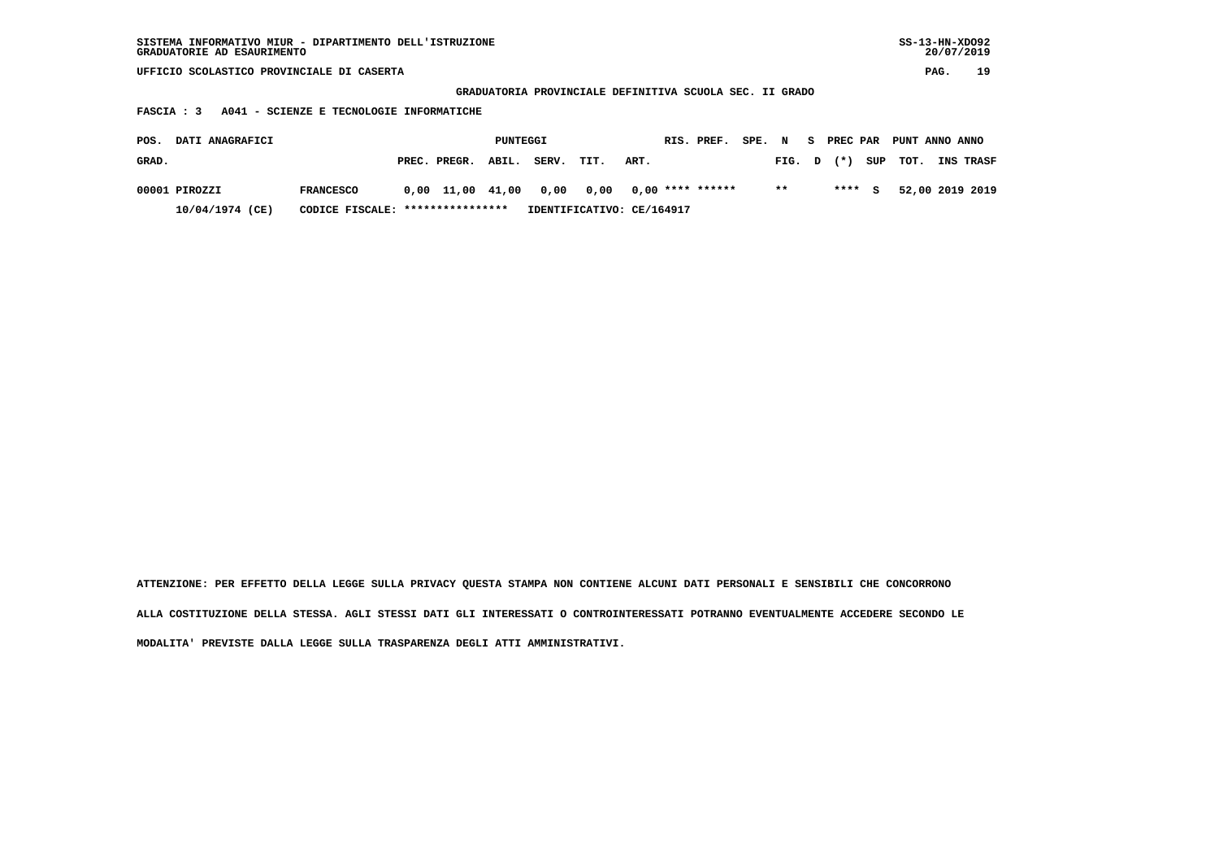| SISTEMA INFORMATIVO MIUR - DIPARTIMENTO DELL'ISTRUZIONE | $SS-13-HN-XDO92$ |
|---------------------------------------------------------|------------------|
| GRADUATORIE AD ESAURIMENTO                              | 20/07/2019       |

 **GRADUATORIA PROVINCIALE DEFINITIVA SCUOLA SEC. II GRADO**

 **FASCIA : 3 A041 - SCIENZE E TECNOLOGIE INFORMATICHE**

| POS.  | <b>DATI ANAGRAFICI</b> |                                  |                    | PUNTEGGI |                                               |      |      | RIS. PREF. |              |        | SPE. N S PREC PAR PUNT ANNO ANNO |                               |  |
|-------|------------------------|----------------------------------|--------------------|----------|-----------------------------------------------|------|------|------------|--------------|--------|----------------------------------|-------------------------------|--|
| GRAD. |                        |                                  | PREC. PREGR. ABIL. |          | SERV.                                         | TIT. | ART. |            |              |        |                                  | FIG. D (*) SUP TOT. INS TRASF |  |
|       | 00001 PIROZZI          | <b>FRANCESCO</b>                 |                    |          | $0,00$ 11,00 41,00 0,00 0,00 0,00 **** ****** |      |      |            | $\star\star$ | **** S |                                  | 52,00 2019 2019               |  |
|       | 10/04/1974 (CE)        | CODICE FISCALE: **************** |                    |          | IDENTIFICATIVO: CE/164917                     |      |      |            |              |        |                                  |                               |  |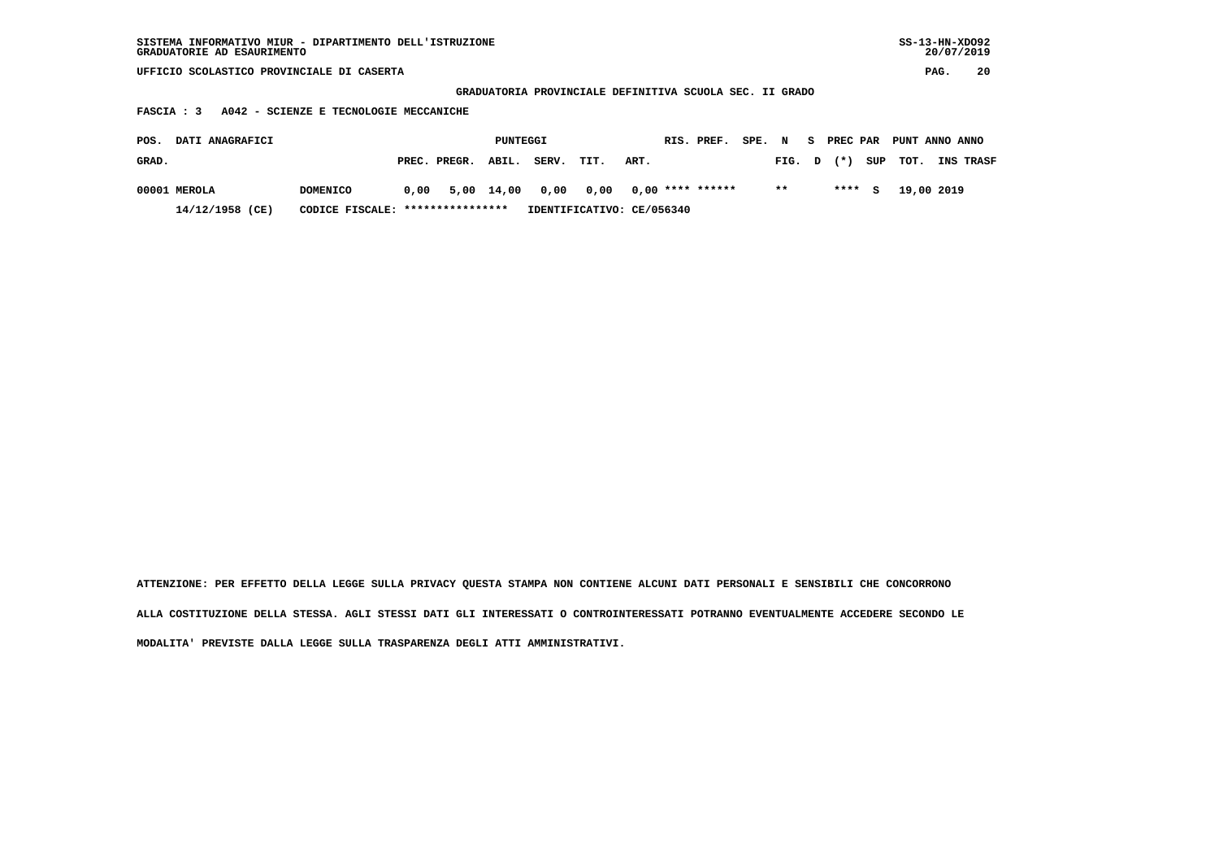| SISTEMA INFORMATIVO MIUR - DIPARTIMENTO DELL'ISTRUZIONE | SS-13-HN-XD092 |
|---------------------------------------------------------|----------------|
| GRADUATORIE AD ESAURIMENTO                              | 20/07/2019     |

 **GRADUATORIA PROVINCIALE DEFINITIVA SCUOLA SEC. II GRADO**

 **FASCIA : 3 A042 - SCIENZE E TECNOLOGIE MECCANICHE**

| POS.  | <b>DATI ANAGRAFICI</b> |                                                                                  |  |                    | PUNTEGGI |       |      |                           | RIS. PREF. |        |  |        | SPE. N S PREC PAR PUNT ANNO ANNO |                  |
|-------|------------------------|----------------------------------------------------------------------------------|--|--------------------|----------|-------|------|---------------------------|------------|--------|--|--------|----------------------------------|------------------|
| GRAD. |                        |                                                                                  |  | PREC. PREGR. ABIL. |          | SERV. | TIT. | ART.                      |            | FIG. D |  |        | $(\star)$ SUP TOT.               | <b>INS TRASF</b> |
|       | 00001 MEROLA           | DOMENICO                                                                         |  |                    |          |       |      |                           |            | $* *$  |  | $***5$ | 19,00 2019                       |                  |
|       | 14/12/1958 (CE)        | $0.00$ 5.00 14.00 0.00 0.00 0.00 **** ******<br>CODICE FISCALE: **************** |  |                    |          |       |      | IDENTIFICATIVO: CE/056340 |            |        |  |        |                                  |                  |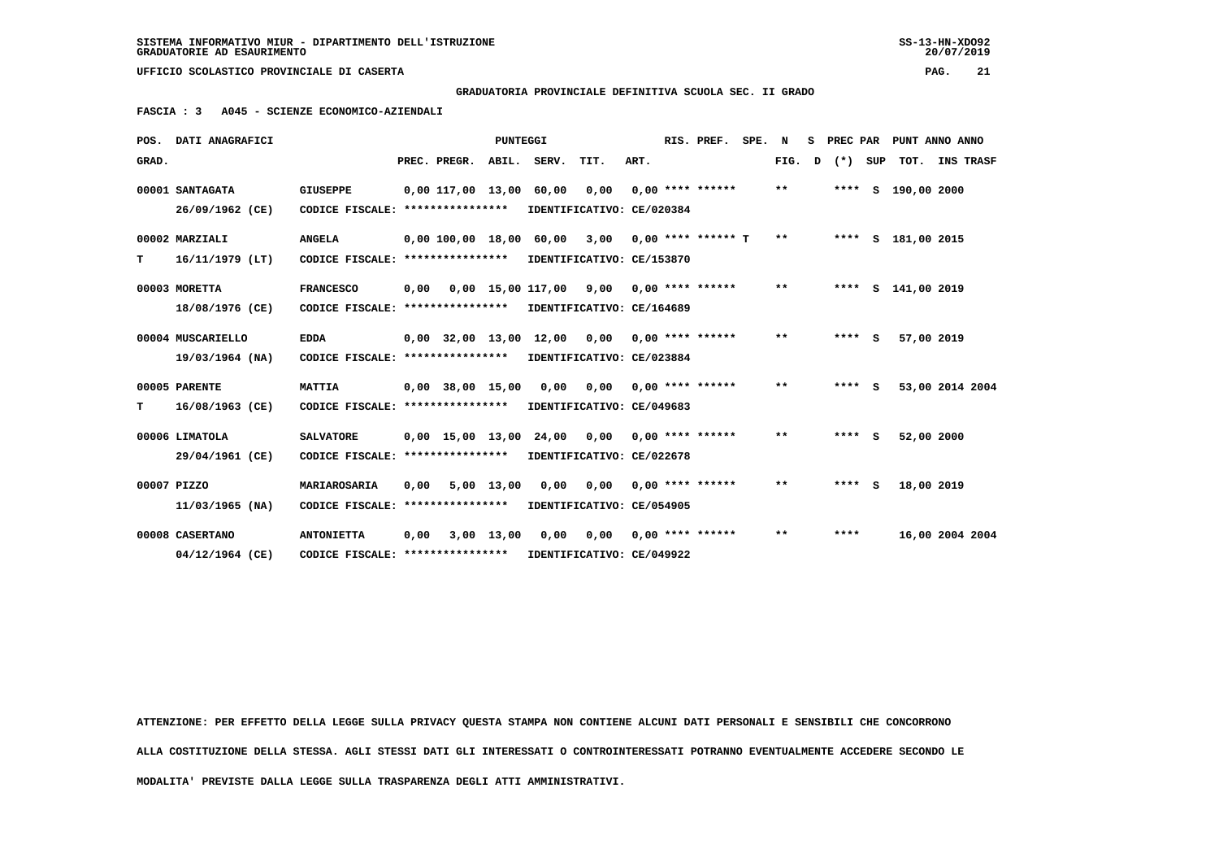**GRADUATORIA PROVINCIALE DEFINITIVA SCUOLA SEC. II GRADO**

 **FASCIA : 3 A045 - SCIENZE ECONOMICO-AZIENDALI**

|       | POS. DATI ANAGRAFICI |                                   |      |                    | <b>PUNTEGGI</b> |                              |                                        |      | RIS. PREF.           | SPE. | N     | s | PREC PAR |     |                      | PUNT ANNO ANNO  |
|-------|----------------------|-----------------------------------|------|--------------------|-----------------|------------------------------|----------------------------------------|------|----------------------|------|-------|---|----------|-----|----------------------|-----------------|
| GRAD. |                      |                                   |      | PREC. PREGR.       | ABIL.           | SERV.                        | TIT.                                   | ART. |                      |      | FIG.  | D | $(*)$    | SUP |                      | TOT. INS TRASF  |
|       | 00001 SANTAGATA      | <b>GIUSEPPE</b>                   |      |                    |                 | 0,00 117,00 13,00 60,00 0,00 |                                        |      | $0.00$ **** ******   |      | $***$ |   |          |     | **** $S$ 190,00 2000 |                 |
|       | 26/09/1962 (CE)      | CODICE FISCALE: ****************  |      |                    |                 |                              | IDENTIFICATIVO: CE/020384              |      |                      |      |       |   |          |     |                      |                 |
|       | 00002 MARZIALI       | <b>ANGELA</b>                     |      |                    |                 | 0,00 100,00 18,00 60,00      | 3,00                                   |      | $0.00$ **** ****** T |      | $* *$ |   | ****     | S   | 181,00 2015          |                 |
| т     | 16/11/1979 (LT)      | CODICE FISCALE: ***************** |      |                    |                 | IDENTIFICATIVO: CE/153870    |                                        |      |                      |      |       |   |          |     |                      |                 |
|       | 00003 MORETTA        | <b>FRANCESCO</b>                  | 0,00 |                    |                 | 0,00 15,00 117,00 9,00       |                                        |      | $0.00$ **** ******   |      | $* *$ |   | ****     |     | S 141,00 2019        |                 |
|       | 18/08/1976 (CE)      | CODICE FISCALE: ***************** |      |                    |                 | IDENTIFICATIVO: CE/164689    |                                        |      |                      |      |       |   |          |     |                      |                 |
|       | 00004 MUSCARIELLO    | <b>EDDA</b>                       |      |                    |                 | 0,00 32,00 13,00 12,00 0,00  |                                        |      | $0.00$ **** ******   |      | $***$ |   | $***$ S  |     | 57,00 2019           |                 |
|       | 19/03/1964 (NA)      | CODICE FISCALE: ****************  |      |                    |                 | IDENTIFICATIVO: CE/023884    |                                        |      |                      |      |       |   |          |     |                      |                 |
|       | 00005 PARENTE        | <b>MATTIA</b>                     |      | $0,00$ 38,00 15,00 |                 |                              | 0,00 0,00                              |      | $0.00$ **** ******   |      | $* *$ |   | **** S   |     |                      | 53,00 2014 2004 |
| т     | 16/08/1963 (CE)      | CODICE FISCALE:                   |      | ****************   |                 |                              | IDENTIFICATIVO: CE/049683              |      |                      |      |       |   |          |     |                      |                 |
|       | 00006 LIMATOLA       | <b>SALVATORE</b>                  |      | $0.00$ 15.00 13.00 |                 | 24,00                        | 0.00                                   |      | $0.00$ **** ******   |      | $***$ |   | $***$ S  |     | 52,00 2000           |                 |
|       | 29/04/1961 (CE)      | CODICE FISCALE:                   |      | ****************   |                 |                              | IDENTIFICATIVO: CE/022678              |      |                      |      |       |   |          |     |                      |                 |
|       | 00007 PIZZO          | MARIAROSARIA                      | 0.00 |                    | 5,00 13,00      |                              | $0,00$ $0,00$ $0,00$ $***$ **** ****** |      |                      |      | $***$ |   | $***$ S  |     | 18,00 2019           |                 |
|       | $11/03/1965$ (NA)    | CODICE FISCALE:                   |      | ****************   |                 |                              | IDENTIFICATIVO: CE/054905              |      |                      |      |       |   |          |     |                      |                 |
|       | 00008 CASERTANO      | <b>ANTONIETTA</b>                 | 0,00 |                    | 3,00 13,00      | 0,00                         | 0,00                                   |      | $0.00$ **** ******   |      | $* *$ |   | ****     |     |                      | 16,00 2004 2004 |
|       | 04/12/1964 (CE)      | CODICE FISCALE: ****************  |      |                    |                 | IDENTIFICATIVO: CE/049922    |                                        |      |                      |      |       |   |          |     |                      |                 |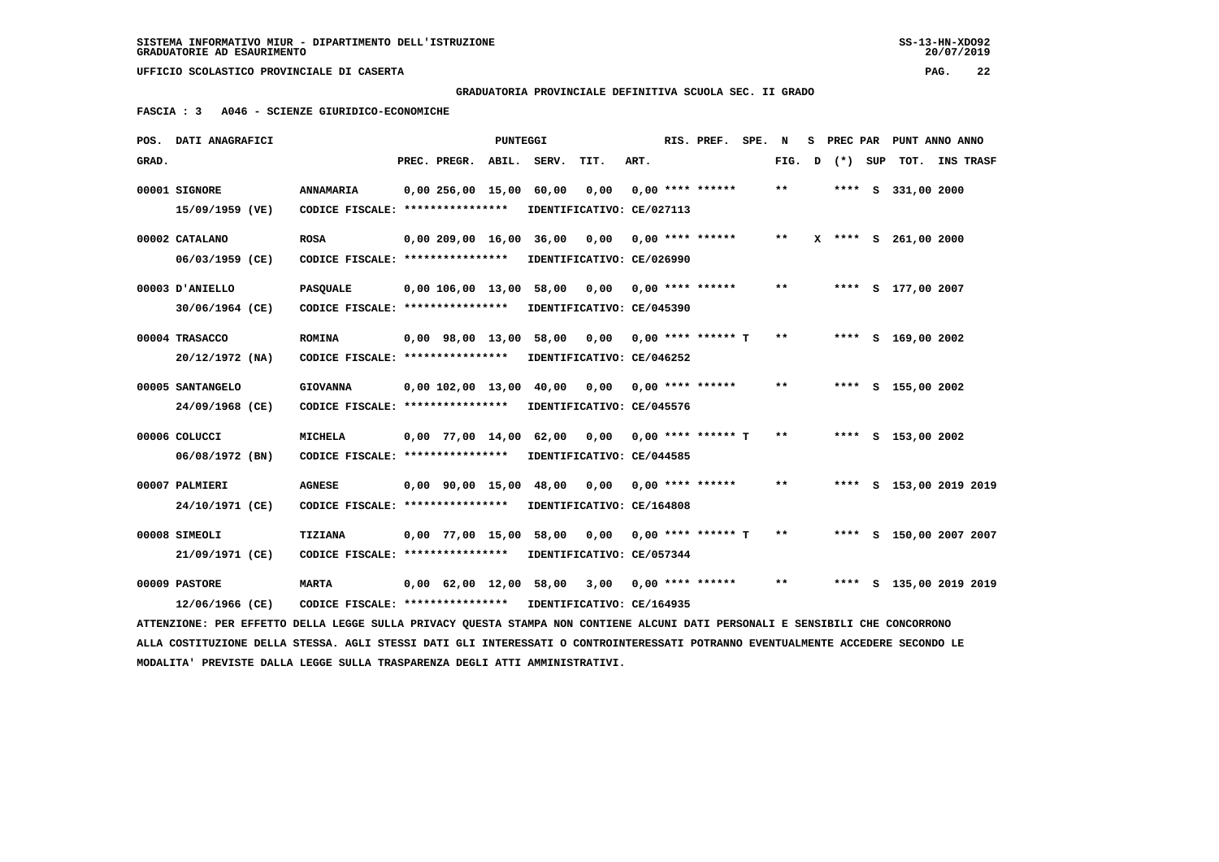**GRADUATORIA PROVINCIALE DEFINITIVA SCUOLA SEC. II GRADO**

 **FASCIA : 3 A046 - SCIENZE GIURIDICO-ECONOMICHE**

|       | POS. DATI ANAGRAFICI                                                                                                            |                                   |                         | PUNTEGGI |       |                           |      | RIS. PREF.           | SPE. | N     | s | PREC PAR |     | PUNT ANNO ANNO          |                  |  |
|-------|---------------------------------------------------------------------------------------------------------------------------------|-----------------------------------|-------------------------|----------|-------|---------------------------|------|----------------------|------|-------|---|----------|-----|-------------------------|------------------|--|
| GRAD. |                                                                                                                                 |                                   | PREC. PREGR.            | ABIL.    | SERV. | TIT.                      | ART. |                      |      | FIG.  | D | $(*)$    | SUP | TOT.                    | <b>INS TRASF</b> |  |
|       | 00001 SIGNORE                                                                                                                   | <b>ANNAMARIA</b>                  | 0.00256.0015.00         |          | 60,00 | 0,00                      |      | $0.00$ **** ******   |      | $* *$ |   |          |     | **** S 331,00 2000      |                  |  |
|       | 15/09/1959 (VE)                                                                                                                 | CODICE FISCALE: ***************** |                         |          |       | IDENTIFICATIVO: CE/027113 |      |                      |      |       |   |          |     |                         |                  |  |
|       | 00002 CATALANO                                                                                                                  | <b>ROSA</b>                       | 0,00 209,00 16,00 36,00 |          |       | 0,00                      |      | $0.00$ **** ******   |      | $***$ |   |          |     | X **** S 261,00 2000    |                  |  |
|       | 06/03/1959 (CE)                                                                                                                 | CODICE FISCALE: ****************  |                         |          |       | IDENTIFICATIVO: CE/026990 |      |                      |      |       |   |          |     |                         |                  |  |
|       | 00003 D'ANIELLO                                                                                                                 | <b>PASOUALE</b>                   | 0.00 106.00 13.00       |          | 58,00 | 0.00                      |      | $0.00$ **** ******   |      | $***$ |   |          |     | **** S 177,00 2007      |                  |  |
|       | 30/06/1964 (CE)                                                                                                                 | CODICE FISCALE: ****************  |                         |          |       | IDENTIFICATIVO: CE/045390 |      |                      |      |       |   |          |     |                         |                  |  |
|       | 00004 TRASACCO                                                                                                                  | <b>ROMINA</b>                     | 0,00 98,00 13,00 58,00  |          |       | 0,00                      |      | $0.00$ **** ****** T |      | $**$  |   |          |     | **** S 169,00 2002      |                  |  |
|       | $20/12/1972$ (NA)                                                                                                               | CODICE FISCALE: ****************  |                         |          |       | IDENTIFICATIVO: CE/046252 |      |                      |      |       |   |          |     |                         |                  |  |
|       |                                                                                                                                 |                                   |                         |          |       |                           |      |                      |      |       |   |          |     |                         |                  |  |
|       | 00005 SANTANGELO                                                                                                                | <b>GIOVANNA</b>                   | 0.00 102.00 13.00       |          | 40,00 | 0.00                      |      | $0.00$ **** ******   |      | $* *$ |   |          |     | **** S 155,00 2002      |                  |  |
|       | 24/09/1968 (CE)                                                                                                                 | CODICE FISCALE: ****************  |                         |          |       | IDENTIFICATIVO: CE/045576 |      |                      |      |       |   |          |     |                         |                  |  |
|       | 00006 COLUCCI                                                                                                                   | <b>MICHELA</b>                    | $0,00$ 77,00 14,00      |          | 62,00 | 0,00                      |      | $0.00$ **** ****** T |      | $* *$ |   |          |     | **** S 153,00 2002      |                  |  |
|       | 06/08/1972 (BN)                                                                                                                 | CODICE FISCALE: ****************  |                         |          |       | IDENTIFICATIVO: CE/044585 |      |                      |      |       |   |          |     |                         |                  |  |
|       | 00007 PALMIERI                                                                                                                  | <b>AGNESE</b>                     | 0,00 90,00 15,00 48,00  |          |       | 0,00                      |      | $0.00$ **** ******   |      | $**$  |   |          |     | **** S 153,00 2019 2019 |                  |  |
|       | 24/10/1971 (CE)                                                                                                                 | CODICE FISCALE: ****************  |                         |          |       | IDENTIFICATIVO: CE/164808 |      |                      |      |       |   |          |     |                         |                  |  |
|       | 00008 SIMEOLI                                                                                                                   | <b>TIZIANA</b>                    | 0,00 77,00 15,00        |          | 58,00 | 0,00                      |      | $0.00$ **** ****** T |      | $* *$ |   |          |     | **** S 150,00 2007 2007 |                  |  |
|       | 21/09/1971 (CE)                                                                                                                 | CODICE FISCALE: ****************  |                         |          |       | IDENTIFICATIVO: CE/057344 |      |                      |      |       |   |          |     |                         |                  |  |
|       |                                                                                                                                 |                                   |                         |          |       |                           |      |                      |      |       |   |          |     |                         |                  |  |
|       | 00009 PASTORE                                                                                                                   | <b>MARTA</b>                      | 0,00 62,00 12,00 58,00  |          |       | 3,00                      |      | $0,00$ **** ******   |      | $***$ |   |          |     | **** S 135,00 2019 2019 |                  |  |
|       | 12/06/1966 (CE)                                                                                                                 | CODICE FISCALE: ****************  |                         |          |       | IDENTIFICATIVO: CE/164935 |      |                      |      |       |   |          |     |                         |                  |  |
|       | ATTENZIONE: PER EFFETTO DELLA LEGGE SULLA PRIVACY QUESTA STAMPA NON CONTIENE ALCUNI DATI PERSONALI E SENSIBILI CHE CONCORRONO   |                                   |                         |          |       |                           |      |                      |      |       |   |          |     |                         |                  |  |
|       | ALLA COSTITUZIONE DELLA STESSA. AGLI STESSI DATI GLI INTERESSATI O CONTROINTERESSATI POTRANNO EVENTUALMENTE ACCEDERE SECONDO LE |                                   |                         |          |       |                           |      |                      |      |       |   |          |     |                         |                  |  |
|       | MODALITA' PREVISTE DALLA LEGGE SULLA TRASPARENZA DEGLI ATTI AMMINISTRATIVI.                                                     |                                   |                         |          |       |                           |      |                      |      |       |   |          |     |                         |                  |  |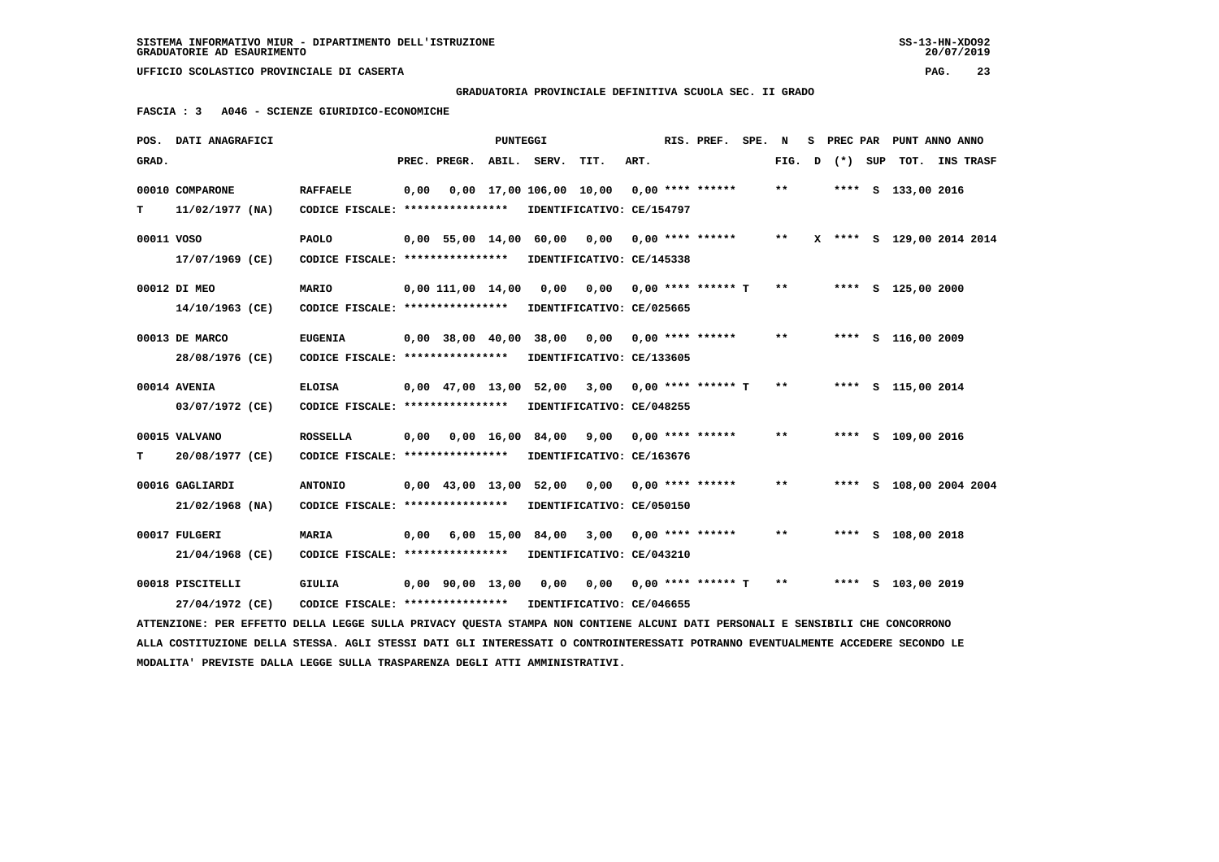**GRADUATORIA PROVINCIALE DEFINITIVA SCUOLA SEC. II GRADO**

 **FASCIA : 3 A046 - SCIENZE GIURIDICO-ECONOMICHE**

|            | POS. DATI ANAGRAFICI                                                                                                            |                                   |      |                          | <b>PUNTEGGI</b> |                                                  |            |      | RIS. PREF. SPE. N           |       |   |         | S PREC PAR PUNT ANNO ANNO |                |  |
|------------|---------------------------------------------------------------------------------------------------------------------------------|-----------------------------------|------|--------------------------|-----------------|--------------------------------------------------|------------|------|-----------------------------|-------|---|---------|---------------------------|----------------|--|
| GRAD.      |                                                                                                                                 |                                   |      | PREC. PREGR. ABIL. SERV. |                 |                                                  | TIT.       | ART. |                             | FIG.  | D | (*) SUP |                           | TOT. INS TRASF |  |
|            | 00010 COMPARONE                                                                                                                 | <b>RAFFAELE</b>                   | 0,00 |                          |                 | 0,00 17,00 106,00 10,00                          |            |      | $0.00$ **** ******          | $* *$ |   |         | **** S 133,00 2016        |                |  |
| т          | $11/02/1977$ (NA)                                                                                                               | CODICE FISCALE: ****************  |      |                          |                 | IDENTIFICATIVO: CE/154797                        |            |      |                             |       |   |         |                           |                |  |
| 00011 VOSO |                                                                                                                                 | <b>PAOLO</b>                      |      | $0.00$ 55,00 14,00 60,00 |                 |                                                  | 0.00       |      | $0.00$ **** ******          | $***$ |   |         | X **** S 129,00 2014 2014 |                |  |
|            | 17/07/1969 (CE)                                                                                                                 | CODICE FISCALE: ****************  |      |                          |                 | IDENTIFICATIVO: CE/145338                        |            |      |                             |       |   |         |                           |                |  |
|            | 00012 DI MEO                                                                                                                    | <b>MARIO</b>                      |      | $0,00$ 111,00 14,00      |                 | 0,00                                             |            |      | $0,00$ $0,00$ **** ****** T | $**$  |   |         | **** S 125,00 2000        |                |  |
|            | 14/10/1963 (CE)                                                                                                                 | CODICE FISCALE: ****************  |      |                          |                 | IDENTIFICATIVO: CE/025665                        |            |      |                             |       |   |         |                           |                |  |
|            | 00013 DE MARCO                                                                                                                  | <b>EUGENIA</b>                    |      | $0,00$ 38,00 40,00       |                 | 38,00                                            | 0,00       |      | $0.00$ **** ******          | $* *$ |   |         | **** S 116,00 2009        |                |  |
|            | 28/08/1976 (CE)                                                                                                                 | CODICE FISCALE: ****************  |      |                          |                 | IDENTIFICATIVO: CE/133605                        |            |      |                             |       |   |         |                           |                |  |
|            | 00014 AVENIA                                                                                                                    | <b>ELOISA</b>                     |      |                          |                 | $0,00$ 47,00 13,00 52,00 3,00 0,00 **** ****** T |            |      |                             | $* *$ |   |         | **** S 115,00 2014        |                |  |
|            | 03/07/1972 (CE)                                                                                                                 | CODICE FISCALE: ****************  |      |                          |                 | IDENTIFICATIVO: CE/048255                        |            |      |                             |       |   |         |                           |                |  |
|            | 00015 VALVANO                                                                                                                   | <b>ROSSELLA</b>                   | 0,00 |                          | 0,00 16,00      |                                                  | 84,00 9,00 |      | $0,00$ **** ******          | $* *$ |   |         | **** S 109,00 2016        |                |  |
| т          | 20/08/1977 (CE)                                                                                                                 | CODICE FISCALE: ****************  |      |                          |                 | IDENTIFICATIVO: CE/163676                        |            |      |                             |       |   |         |                           |                |  |
|            | 00016 GAGLIARDI                                                                                                                 | <b>ANTONIO</b>                    |      |                          |                 | 0,00 43,00 13,00 52,00                           | 0,00       |      | $0.00$ **** ******          | $* *$ |   |         | **** S 108,00 2004 2004   |                |  |
|            | 21/02/1968 (NA)                                                                                                                 | CODICE FISCALE: ****************  |      |                          |                 | IDENTIFICATIVO: CE/050150                        |            |      |                             |       |   |         |                           |                |  |
|            | 00017 FULGERI                                                                                                                   | <b>MARIA</b>                      | 0,00 |                          |                 | 6,00 15,00 84,00                                 | 3,00       |      | $0.00$ **** ******          | $* *$ |   |         | **** S 108,00 2018        |                |  |
|            | 21/04/1968 (CE)                                                                                                                 | CODICE FISCALE: ****************  |      |                          |                 | IDENTIFICATIVO: CE/043210                        |            |      |                             |       |   |         |                           |                |  |
|            | 00018 PISCITELLI                                                                                                                | GIULIA                            |      | $0,00$ $90,00$ $13,00$   |                 | 0,00                                             | 0,00       |      | $0,00$ **** ****** T        | $***$ |   |         | **** S 103,00 2019        |                |  |
|            | 27/04/1972 (CE)                                                                                                                 | CODICE FISCALE: ***************** |      |                          |                 | IDENTIFICATIVO: CE/046655                        |            |      |                             |       |   |         |                           |                |  |
|            | ATTENZIONE: PER EFFETTO DELLA LEGGE SULLA PRIVACY OUESTA STAMPA NON CONTIENE ALCUNI DATI PERSONALI E SENSIBILI CHE CONCORRONO   |                                   |      |                          |                 |                                                  |            |      |                             |       |   |         |                           |                |  |
|            | ALLA COSTITUZIONE DELLA STESSA. AGLI STESSI DATI GLI INTERESSATI O CONTROINTERESSATI POTRANNO EVENTUALMENTE ACCEDERE SECONDO LE |                                   |      |                          |                 |                                                  |            |      |                             |       |   |         |                           |                |  |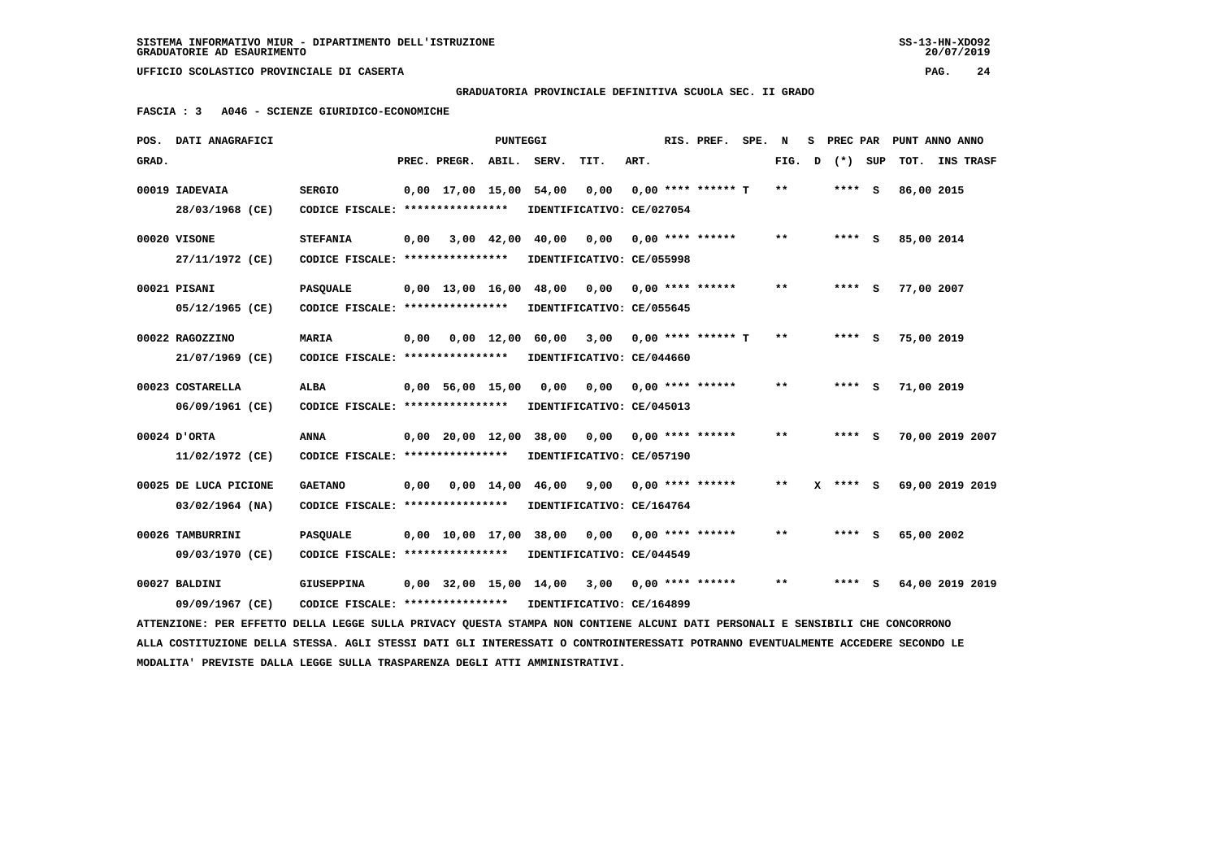**GRADUATORIA PROVINCIALE DEFINITIVA SCUOLA SEC. II GRADO**

 **FASCIA : 3 A046 - SCIENZE GIURIDICO-ECONOMICHE**

|       | POS. DATI ANAGRAFICI                                                                                                            |                                                            |      |                    | PUNTEGGI |                             |                                   |      | RIS. PREF.           | SPE. | N     | s | PREC PAR |     | PUNT ANNO ANNO  |  |
|-------|---------------------------------------------------------------------------------------------------------------------------------|------------------------------------------------------------|------|--------------------|----------|-----------------------------|-----------------------------------|------|----------------------|------|-------|---|----------|-----|-----------------|--|
| GRAD. |                                                                                                                                 |                                                            |      | PREC. PREGR. ABIL. |          | SERV.                       | TIT.                              | ART. |                      |      | FIG.  | D | $(*)$    | SUP | TOT. INS TRASF  |  |
|       | 00019 IADEVAIA                                                                                                                  | <b>SERGIO</b>                                              |      |                    |          | 0,00 17,00 15,00 54,00      | 0,00                              |      | $0.00$ **** ****** T |      | $***$ |   | **** S   |     | 86,00 2015      |  |
|       | 28/03/1968 (CE)                                                                                                                 | CODICE FISCALE: ****************                           |      |                    |          |                             | IDENTIFICATIVO: CE/027054         |      |                      |      |       |   |          |     |                 |  |
|       | 00020 VISONE                                                                                                                    | <b>STEFANIA</b>                                            | 0,00 |                    |          | 3,00 42,00 40,00            | 0,00                              |      | $0.00$ **** ******   |      | $* *$ |   | $***$ S  |     | 85,00 2014      |  |
|       | 27/11/1972 (CE)                                                                                                                 | CODICE FISCALE: *****************                          |      |                    |          |                             | IDENTIFICATIVO: CE/055998         |      |                      |      |       |   |          |     |                 |  |
|       |                                                                                                                                 |                                                            |      |                    |          |                             |                                   |      |                      |      | $***$ |   |          |     |                 |  |
|       | 00021 PISANI                                                                                                                    | <b>PASQUALE</b><br>CODICE FISCALE: ****************        |      | $0,00$ 13,00 16,00 |          | 48,00                       | 0,00<br>IDENTIFICATIVO: CE/055645 |      | $0.00$ **** ******   |      |       |   | $***$ S  |     | 77,00 2007      |  |
|       | 05/12/1965 (CE)                                                                                                                 |                                                            |      |                    |          |                             |                                   |      |                      |      |       |   |          |     |                 |  |
|       | 00022 RAGOZZINO                                                                                                                 | MARIA                                                      | 0,00 |                    |          | 0,00 12,00 60,00            | 3,00                              |      | $0.00$ **** ****** T |      | $* *$ |   | **** S   |     | 75,00 2019      |  |
|       | 21/07/1969 (CE)                                                                                                                 | CODICE FISCALE: ****************                           |      |                    |          |                             | IDENTIFICATIVO: CE/044660         |      |                      |      |       |   |          |     |                 |  |
|       | 00023 COSTARELLA                                                                                                                | ALBA                                                       |      | $0.00$ 56.00 15.00 |          | 0.00                        | 0,00                              |      | $0.00$ **** ******   |      | $***$ |   | $***$ S  |     | 71,00 2019      |  |
|       | 06/09/1961 (CE)                                                                                                                 | CODICE FISCALE: *****************                          |      |                    |          |                             | IDENTIFICATIVO: CE/045013         |      |                      |      |       |   |          |     |                 |  |
|       |                                                                                                                                 |                                                            |      |                    |          |                             |                                   |      |                      |      |       |   |          |     |                 |  |
|       | 00024 D'ORTA                                                                                                                    | <b>ANNA</b>                                                |      |                    |          | 0,00 20,00 12,00 38,00 0,00 |                                   |      | $0.00$ **** ******   |      | $* *$ |   | $***$ S  |     | 70,00 2019 2007 |  |
|       | 11/02/1972 (CE)                                                                                                                 | CODICE FISCALE: ****************                           |      |                    |          |                             | IDENTIFICATIVO: CE/057190         |      |                      |      |       |   |          |     |                 |  |
|       | 00025 DE LUCA PICIONE                                                                                                           | <b>GAETANO</b>                                             | 0,00 |                    |          | 0,00 14,00 46,00            | 9,00                              |      | $0.00$ **** ******   |      | $* *$ | x | **** S   |     | 69,00 2019 2019 |  |
|       | 03/02/1964 (NA)                                                                                                                 | CODICE FISCALE: ****************                           |      |                    |          |                             | IDENTIFICATIVO: CE/164764         |      |                      |      |       |   |          |     |                 |  |
|       |                                                                                                                                 |                                                            |      |                    |          |                             |                                   |      |                      |      |       |   |          |     |                 |  |
|       | 00026 TAMBURRINI                                                                                                                | <b>PASOUALE</b>                                            |      |                    |          | 0,00 10,00 17,00 38,00      | 0.00                              |      | $0.00$ **** ******   |      | $* *$ |   | **** S   |     | 65,00 2002      |  |
|       | 09/03/1970 (CE)                                                                                                                 | CODICE FISCALE: ****************                           |      |                    |          |                             | IDENTIFICATIVO: CE/044549         |      |                      |      |       |   |          |     |                 |  |
|       | 00027 BALDINI                                                                                                                   | GIUSEPPINA                                                 |      |                    |          | 0,00 32,00 15,00 14,00 3,00 |                                   |      | $0.00$ **** ******   |      | $***$ |   | $***$ S  |     | 64,00 2019 2019 |  |
|       | 09/09/1967 (CE)                                                                                                                 | CODICE FISCALE: **************** IDENTIFICATIVO: CE/164899 |      |                    |          |                             |                                   |      |                      |      |       |   |          |     |                 |  |
|       | ATTENZIONE: PER EFFETTO DELLA LEGGE SULLA PRIVACY QUESTA STAMPA NON CONTIENE ALCUNI DATI PERSONALI E SENSIBILI CHE CONCORRONO   |                                                            |      |                    |          |                             |                                   |      |                      |      |       |   |          |     |                 |  |
|       | ALLA COSTITUZIONE DELLA STESSA. AGLI STESSI DATI GLI INTERESSATI O CONTROINTERESSATI POTRANNO EVENTUALMENTE ACCEDERE SECONDO LE |                                                            |      |                    |          |                             |                                   |      |                      |      |       |   |          |     |                 |  |
|       | MODALITA' PREVISTE DALLA LEGGE SULLA TRASPARENZA DEGLI ATTI AMMINISTRATIVI.                                                     |                                                            |      |                    |          |                             |                                   |      |                      |      |       |   |          |     |                 |  |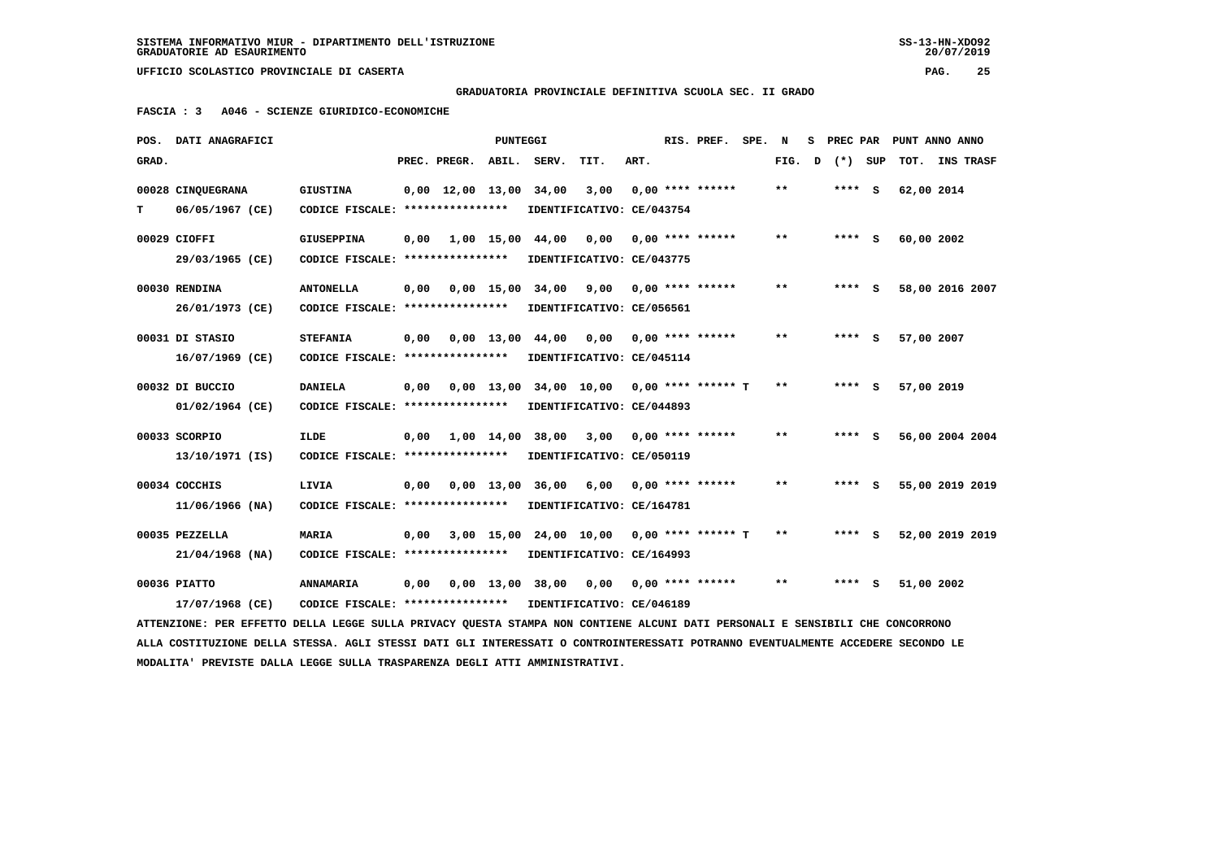$20/07/2019$ 

 **UFFICIO SCOLASTICO PROVINCIALE DI CASERTA PAG. 25**

 **GRADUATORIA PROVINCIALE DEFINITIVA SCUOLA SEC. II GRADO**

 **FASCIA : 3 A046 - SCIENZE GIURIDICO-ECONOMICHE**

|                                                                                                                               | POS. DATI ANAGRAFICI                                                                                                            |                                                            |      |                                            | PUNTEGGI |                                           |                           |      |  | RIS. PREF.                | SPE. | N            | s | PREC PAR | PUNT ANNO ANNO  |                 |  |
|-------------------------------------------------------------------------------------------------------------------------------|---------------------------------------------------------------------------------------------------------------------------------|------------------------------------------------------------|------|--------------------------------------------|----------|-------------------------------------------|---------------------------|------|--|---------------------------|------|--------------|---|----------|-----------------|-----------------|--|
| GRAD.                                                                                                                         |                                                                                                                                 |                                                            |      | PREC. PREGR.                               | ABIL.    | SERV.                                     | TIT.                      | ART. |  |                           |      | FIG. D       |   | (*) SUP  | TOT. INS TRASF  |                 |  |
|                                                                                                                               | 00028 CINQUEGRANA                                                                                                               | <b>GIUSTINA</b>                                            |      | $0.00 \quad 12.00 \quad 13.00 \quad 34.00$ |          |                                           | 3,00                      |      |  | $0,00$ **** ******        |      | $***$        |   | $***$ S  | 62,00 2014      |                 |  |
| т                                                                                                                             | 06/05/1967 (CE)                                                                                                                 | CODICE FISCALE: ****************                           |      |                                            |          |                                           | IDENTIFICATIVO: CE/043754 |      |  |                           |      |              |   |          |                 |                 |  |
|                                                                                                                               | 00029 CIOFFI                                                                                                                    | <b>GIUSEPPINA</b>                                          | 0,00 |                                            |          | 1,00 15,00 44,00 0,00                     |                           |      |  | 0,00 **** ******          |      | $***$        |   | $***$ S  | 60,00 2002      |                 |  |
|                                                                                                                               | 29/03/1965 (CE)                                                                                                                 | CODICE FISCALE: ****************                           |      |                                            |          | IDENTIFICATIVO: CE/043775                 |                           |      |  |                           |      |              |   |          |                 |                 |  |
|                                                                                                                               | 00030 RENDINA                                                                                                                   | <b>ANTONELLA</b>                                           | 0,00 |                                            |          | 0,00 15,00 34,00 9,00 0,00 **** ******    |                           |      |  |                           |      | $**$         |   | $***$ S  | 58,00 2016 2007 |                 |  |
|                                                                                                                               | 26/01/1973 (CE)                                                                                                                 | CODICE FISCALE: ****************                           |      |                                            |          |                                           | IDENTIFICATIVO: CE/056561 |      |  |                           |      |              |   |          |                 |                 |  |
|                                                                                                                               | 00031 DI STASIO                                                                                                                 | <b>STEFANIA</b>                                            | 0,00 |                                            |          | 0,00 13,00 44,00                          |                           |      |  | $0,00$ $0,00$ **** ****** |      | **           |   | $***$ S  | 57,00 2007      |                 |  |
|                                                                                                                               | 16/07/1969 (CE)                                                                                                                 | CODICE FISCALE: **************** IDENTIFICATIVO: CE/045114 |      |                                            |          |                                           |                           |      |  |                           |      |              |   |          |                 |                 |  |
|                                                                                                                               | 00032 DI BUCCIO                                                                                                                 | <b>DANIELA</b>                                             | 0,00 |                                            |          | 0,00 13,00 34,00 10,00 0,00 **** ****** T |                           |      |  |                           |      | $**$         |   | $***$ S  | 57,00 2019      |                 |  |
|                                                                                                                               | 01/02/1964 (CE)                                                                                                                 | CODICE FISCALE: ****************                           |      |                                            |          |                                           | IDENTIFICATIVO: CE/044893 |      |  |                           |      |              |   |          |                 |                 |  |
|                                                                                                                               | 00033 SCORPIO                                                                                                                   | <b>ILDE</b>                                                | 0,00 |                                            |          | 1,00 14,00 38,00 3,00 0,00 **** ******    |                           |      |  |                           |      | $\star\star$ |   | $***$ S  |                 | 56,00 2004 2004 |  |
|                                                                                                                               | 13/10/1971 (IS)                                                                                                                 | CODICE FISCALE: ****************                           |      |                                            |          |                                           | IDENTIFICATIVO: CE/050119 |      |  |                           |      |              |   |          |                 |                 |  |
|                                                                                                                               | 00034 COCCHIS                                                                                                                   | LIVIA                                                      |      |                                            |          | 0,00 0,00 13,00 36,00                     |                           |      |  | 6,00 0,00 **** ******     |      | $* *$        |   | **** S   | 55,00 2019 2019 |                 |  |
|                                                                                                                               | 11/06/1966 (NA)                                                                                                                 | CODICE FISCALE: ****************                           |      |                                            |          |                                           | IDENTIFICATIVO: CE/164781 |      |  |                           |      |              |   |          |                 |                 |  |
|                                                                                                                               | 00035 PEZZELLA                                                                                                                  | <b>MARIA</b>                                               | 0,00 |                                            |          | 3,00 15,00 24,00 10,00 0,00 **** ****** T |                           |      |  |                           |      | $\star\star$ |   | $***$ S  | 52,00 2019 2019 |                 |  |
|                                                                                                                               | 21/04/1968 (NA)                                                                                                                 | CODICE FISCALE: ****************                           |      |                                            |          |                                           | IDENTIFICATIVO: CE/164993 |      |  |                           |      |              |   |          |                 |                 |  |
|                                                                                                                               | 00036 PIATTO                                                                                                                    | <b>ANNAMARIA</b>                                           |      |                                            |          | 0,00 0,00 13,00 38,00                     |                           |      |  | $0,00$ $0,00$ **** ****** |      | $* *$        |   | $***$ S  | 51,00 2002      |                 |  |
|                                                                                                                               | 17/07/1968 (CE)                                                                                                                 | CODICE FISCALE: **************** IDENTIFICATIVO: CE/046189 |      |                                            |          |                                           |                           |      |  |                           |      |              |   |          |                 |                 |  |
| ATTENZIONE: PER EFFETTO DELLA LEGGE SULLA PRIVACY QUESTA STAMPA NON CONTIENE ALCUNI DATI PERSONALI E SENSIBILI CHE CONCORRONO |                                                                                                                                 |                                                            |      |                                            |          |                                           |                           |      |  |                           |      |              |   |          |                 |                 |  |
|                                                                                                                               | ALLA COSTITUZIONE DELLA STESSA. AGLI STESSI DATI GLI INTERESSATI O CONTROINTERESSATI POTRANNO EVENTUALMENTE ACCEDERE SECONDO LE |                                                            |      |                                            |          |                                           |                           |      |  |                           |      |              |   |          |                 |                 |  |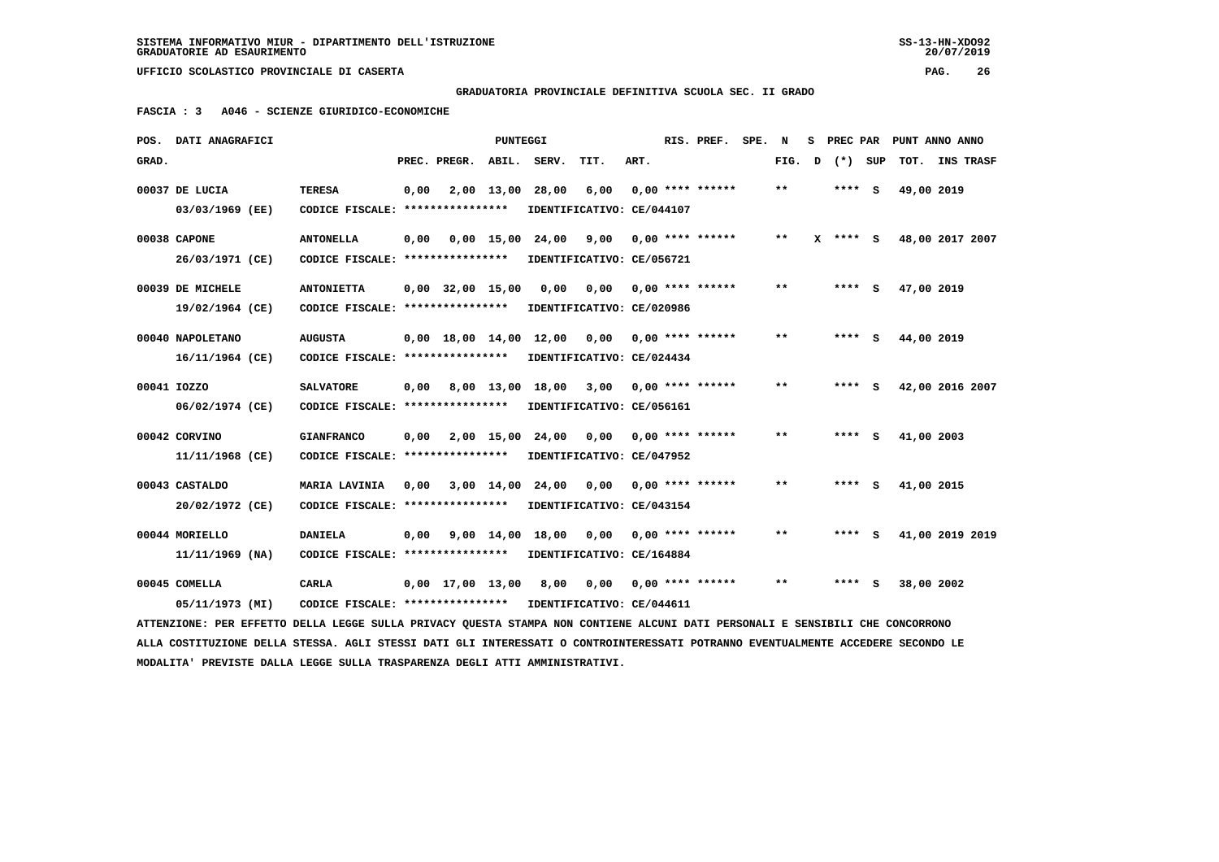**GRADUATORIA PROVINCIALE DEFINITIVA SCUOLA SEC. II GRADO**

 **FASCIA : 3 A046 - SCIENZE GIURIDICO-ECONOMICHE**

|       | POS. DATI ANAGRAFICI                                                                                                            |                                                                     |      |              | PUNTEGGI |                                                            |      |      | RIS. PREF.                | SPE. | N     | s | PREC PAR   |            | PUNT ANNO ANNO  |
|-------|---------------------------------------------------------------------------------------------------------------------------------|---------------------------------------------------------------------|------|--------------|----------|------------------------------------------------------------|------|------|---------------------------|------|-------|---|------------|------------|-----------------|
| GRAD. |                                                                                                                                 |                                                                     |      | PREC. PREGR. | ABIL.    | SERV.                                                      | TIT. | ART. |                           |      | FIG.  | D | $(*)$ SUP  |            | TOT. INS TRASF  |
|       | 00037 DE LUCIA<br>03/03/1969 (EE)                                                                                               | <b>TERESA</b><br>CODICE FISCALE: ****************                   | 0,00 |              |          | 2,00 13,00 28,00<br>IDENTIFICATIVO: CE/044107              | 6,00 |      | $0.00$ **** ******        |      | **    |   | $***$ S    | 49,00 2019 |                 |
|       | 00038 CAPONE                                                                                                                    | <b>ANTONELLA</b>                                                    | 0,00 |              |          | 0,00 15,00 24,00                                           | 9,00 |      | $0.00$ **** ******        |      | $***$ |   | $X$ **** S |            | 48,00 2017 2007 |
|       | 26/03/1971 (CE)<br>00039 DE MICHELE                                                                                             | CODICE FISCALE: *****************<br><b>ANTONIETTA</b>              |      |              |          | IDENTIFICATIVO: CE/056721<br>$0,00$ 32,00 15,00 0,00       |      |      | $0,00$ $0,00$ **** ****** |      | $* *$ |   | **** S     | 47,00 2019 |                 |
|       | 19/02/1964 (CE)<br>00040 NAPOLETANO                                                                                             | CODICE FISCALE: *****************<br><b>AUGUSTA</b>                 |      |              |          | IDENTIFICATIVO: CE/020986<br>$0.00$ 18.00 14.00 12.00 0.00 |      |      | $0.00$ **** ******        |      | **    |   | **** S     | 44,00 2019 |                 |
|       | 16/11/1964 (CE)                                                                                                                 | CODICE FISCALE: ****************                                    |      |              |          | IDENTIFICATIVO: CE/024434                                  |      |      |                           |      |       |   |            |            |                 |
|       | 00041 IOZZO<br>06/02/1974 (CE)                                                                                                  | <b>SALVATORE</b><br>CODICE FISCALE: *****************               | 0,00 |              |          | 8,00 13,00 18,00 3,00<br>IDENTIFICATIVO: CE/056161         |      |      | $0.00$ **** ******        |      | $* *$ |   | $***$ S    |            | 42,00 2016 2007 |
|       | 00042 CORVINO<br>11/11/1968 (CE)                                                                                                | <b>GIANFRANCO</b><br>CODICE FISCALE: ****************               | 0.00 |              |          | 2,00 15,00 24,00 0,00<br>IDENTIFICATIVO: CE/047952         |      |      | $0.00$ **** ******        |      | $* *$ |   | **** S     | 41,00 2003 |                 |
|       | 00043 CASTALDO<br>20/02/1972 (CE)                                                                                               | <b>MARIA LAVINIA</b><br>CODICE FISCALE: *****************           |      |              |          | 0,00 3,00 14,00 24,00<br>IDENTIFICATIVO: CE/043154         | 0,00 |      | $0.00$ **** ******        |      | $* *$ |   | **** S     | 41,00 2015 |                 |
|       | 00044 MORIELLO<br>$11/11/1969$ (NA)                                                                                             | <b>DANIELA</b><br>CODICE FISCALE: *****************                 |      |              |          | 0,00 9,00 14,00 18,00<br>IDENTIFICATIVO: CE/164884         | 0.00 |      | $0.00$ **** ******        |      | $* *$ |   | **** S     |            | 41,00 2019 2019 |
|       | 00045 COMELLA<br>05/11/1973 (MI)                                                                                                | CARLA<br>CODICE FISCALE: **************** IDENTIFICATIVO: CE/044611 |      |              |          | 0,00 17,00 13,00 8,00                                      | 0,00 |      | $0,00$ **** ******        |      | $***$ |   | **** S     | 38,00 2002 |                 |
|       | ATTENZIONE: PER EFFETTO DELLA LEGGE SULLA PRIVACY OUESTA STAMPA NON CONTIENE ALCUNI DATI PERSONALI E SENSIBILI CHE CONCORRONO   |                                                                     |      |              |          |                                                            |      |      |                           |      |       |   |            |            |                 |
|       | ALLA COSTITUZIONE DELLA STESSA. AGLI STESSI DATI GLI INTERESSATI O CONTROINTERESSATI POTRANNO EVENTUALMENTE ACCEDERE SECONDO LE |                                                                     |      |              |          |                                                            |      |      |                           |      |       |   |            |            |                 |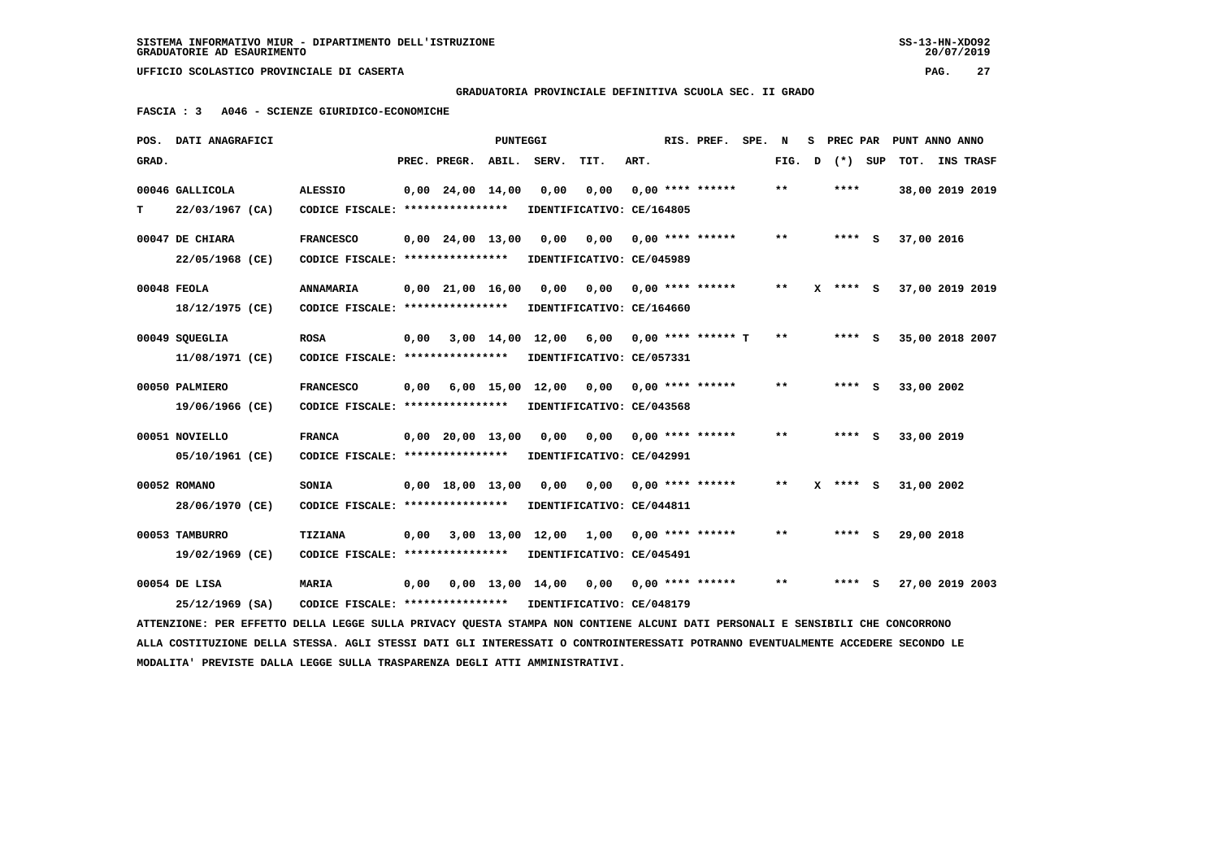### **GRADUATORIA PROVINCIALE DEFINITIVA SCUOLA SEC. II GRADO**

 **FASCIA : 3 A046 - SCIENZE GIURIDICO-ECONOMICHE**

|       | POS. DATI ANAGRAFICI                                                                                                            |                                                            |      |                                | PUNTEGGI |                                |                                   |      | RIS. PREF.                | SPE. | N     | s | PREC PAR |           | PUNT ANNO ANNO  |                  |
|-------|---------------------------------------------------------------------------------------------------------------------------------|------------------------------------------------------------|------|--------------------------------|----------|--------------------------------|-----------------------------------|------|---------------------------|------|-------|---|----------|-----------|-----------------|------------------|
| GRAD. |                                                                                                                                 |                                                            |      | PREC. PREGR.                   | ABIL.    | SERV.                          | TIT.                              | ART. |                           |      | FIG.  | D |          | $(*)$ SUP | TOT.            | <b>INS TRASF</b> |
|       | 00046 GALLICOLA                                                                                                                 | <b>ALESSIO</b>                                             |      | $0,00$ 24,00 14,00             |          | 0,00                           | 0,00                              |      | $0.00$ **** ******        |      | $* *$ |   | ****     |           | 38,00 2019 2019 |                  |
| т     | 22/03/1967 (CA)                                                                                                                 | CODICE FISCALE: ****************                           |      |                                |          |                                | IDENTIFICATIVO: CE/164805         |      |                           |      |       |   |          |           |                 |                  |
|       | 00047 DE CHIARA                                                                                                                 | <b>FRANCESCO</b>                                           |      | $0,00$ 24,00 13,00             |          | 0,00                           | 0.00                              |      | $0.00$ **** ******        |      | $***$ |   | $***$ S  |           | 37,00 2016      |                  |
|       | 22/05/1968 (CE)                                                                                                                 | CODICE FISCALE: ****************                           |      |                                |          |                                | IDENTIFICATIVO: CE/045989         |      |                           |      |       |   |          |           |                 |                  |
|       | 00048 FEOLA                                                                                                                     | <b>ANNAMARIA</b>                                           |      |                                |          |                                |                                   |      |                           |      | $* *$ |   |          |           |                 |                  |
|       |                                                                                                                                 |                                                            |      | $0,00$ $21,00$ $16,00$         |          | 0,00                           | 0,00<br>IDENTIFICATIVO: CE/164660 |      | 0,00 **** ******          |      |       |   | X **** S |           | 37,00 2019 2019 |                  |
|       | 18/12/1975 (CE)                                                                                                                 | CODICE FISCALE: ****************                           |      |                                |          |                                |                                   |      |                           |      |       |   |          |           |                 |                  |
|       | 00049 SQUEGLIA                                                                                                                  | <b>ROSA</b>                                                | 0,00 |                                |          | 3,00 14,00 12,00               | 6,00                              |      | $0.00$ **** ****** T      |      | $***$ |   | $***$ S  |           | 35,00 2018 2007 |                  |
|       | 11/08/1971 (CE)                                                                                                                 | CODICE FISCALE: ****************                           |      |                                |          |                                | IDENTIFICATIVO: CE/057331         |      |                           |      |       |   |          |           |                 |                  |
|       | 00050 PALMIERO                                                                                                                  | <b>FRANCESCO</b>                                           | 0,00 |                                |          | $6,00$ 15,00 12,00             | 0,00 0,00 **** ******             |      |                           |      | $* *$ |   | $***$ S  |           | 33,00 2002      |                  |
|       | 19/06/1966 (CE)                                                                                                                 | CODICE FISCALE: ****************                           |      |                                |          |                                | IDENTIFICATIVO: CE/043568         |      |                           |      |       |   |          |           |                 |                  |
|       |                                                                                                                                 |                                                            |      |                                |          |                                |                                   |      |                           |      |       |   |          |           |                 |                  |
|       | 00051 NOVIELLO                                                                                                                  | <b>FRANCA</b>                                              |      | $0.00$ 20.00 13.00             |          | 0.00                           | 0,00                              |      | $0.00$ **** ******        |      | **    |   | **** S   |           | 33,00 2019      |                  |
|       | 05/10/1961 (CE)                                                                                                                 | CODICE FISCALE: ****************                           |      |                                |          |                                | IDENTIFICATIVO: CE/042991         |      |                           |      |       |   |          |           |                 |                  |
|       | 00052 ROMANO                                                                                                                    | SONIA                                                      |      | $0,00 \quad 18,00 \quad 13,00$ |          | 0,00                           | 0,00                              |      | $0.00$ **** ******        |      | **    |   | X **** S |           | 31,00 2002      |                  |
|       | 28/06/1970 (CE)                                                                                                                 | CODICE FISCALE: ****************                           |      |                                |          |                                | IDENTIFICATIVO: CE/044811         |      |                           |      |       |   |          |           |                 |                  |
|       |                                                                                                                                 |                                                            |      |                                |          |                                |                                   |      |                           |      |       |   |          |           |                 |                  |
|       | 00053 TAMBURRO                                                                                                                  | <b>TIZIANA</b>                                             | 0,00 |                                |          | 3,00 13,00 12,00               | 1,00                              |      | $0.00$ **** ******        |      | $***$ |   | **** S   |           | 29,00 2018      |                  |
|       | 19/02/1969 (CE)                                                                                                                 | CODICE FISCALE: ****************                           |      |                                |          |                                | IDENTIFICATIVO: CE/045491         |      |                           |      |       |   |          |           |                 |                  |
|       | 00054 DE LISA                                                                                                                   | <b>MARIA</b>                                               | 0,00 |                                |          | $0.00 \quad 13.00 \quad 14.00$ |                                   |      | $0,00$ $0,00$ **** ****** |      | $* *$ |   | $***$ S  |           | 27,00 2019 2003 |                  |
|       | 25/12/1969 (SA)                                                                                                                 | CODICE FISCALE: **************** IDENTIFICATIVO: CE/048179 |      |                                |          |                                |                                   |      |                           |      |       |   |          |           |                 |                  |
|       | ATTENZIONE: PER EFFETTO DELLA LEGGE SULLA PRIVACY QUESTA STAMPA NON CONTIENE ALCUNI DATI PERSONALI E SENSIBILI CHE CONCORRONO   |                                                            |      |                                |          |                                |                                   |      |                           |      |       |   |          |           |                 |                  |
|       | ALLA COSTITUZIONE DELLA STESSA. AGLI STESSI DATI GLI INTERESSATI O CONTROINTERESSATI POTRANNO EVENTUALMENTE ACCEDERE SECONDO LE |                                                            |      |                                |          |                                |                                   |      |                           |      |       |   |          |           |                 |                  |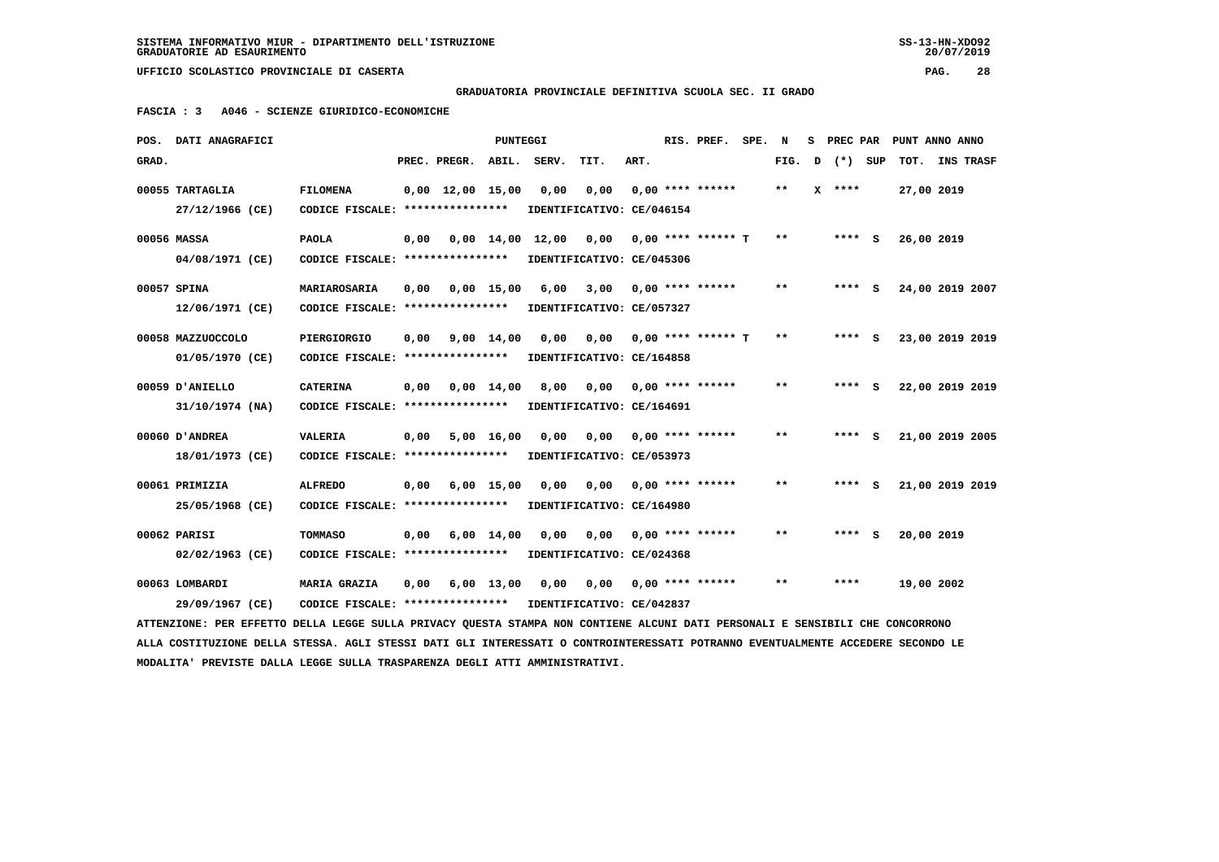**GRADUATORIA PROVINCIALE DEFINITIVA SCUOLA SEC. II GRADO**

 **FASCIA : 3 A046 - SCIENZE GIURIDICO-ECONOMICHE**

|       | POS. DATI ANAGRAFICI                                                                                                            |                                   |      |                                | PUNTEGGI           |                           |      |      | RIS. PREF.              | SPE. | N            | s | PREC PAR | PUNT ANNO ANNO  |  |
|-------|---------------------------------------------------------------------------------------------------------------------------------|-----------------------------------|------|--------------------------------|--------------------|---------------------------|------|------|-------------------------|------|--------------|---|----------|-----------------|--|
| GRAD. |                                                                                                                                 |                                   |      | PREC. PREGR.                   | ABIL.              | SERV.                     | TIT. | ART. |                         |      | FIG.         | D | (*) SUP  | TOT. INS TRASF  |  |
|       | 00055 TARTAGLIA                                                                                                                 | <b>FILOMENA</b>                   |      | $0,00 \quad 12,00 \quad 15,00$ |                    | 0,00                      | 0,00 |      | $0.00$ **** ******      |      | $* *$        |   | $X$ **** | 27,00 2019      |  |
|       | 27/12/1966 (CE)                                                                                                                 | CODICE FISCALE: ****************  |      |                                |                    | IDENTIFICATIVO: CE/046154 |      |      |                         |      |              |   |          |                 |  |
|       | 00056 MASSA                                                                                                                     | <b>PAOLA</b>                      | 0,00 |                                |                    | 0,00 14,00 12,00          | 0,00 |      | 0,00 **** ****** T      |      | $* *$        |   | $***$ S  | 26,00 2019      |  |
|       | 04/08/1971 (CE)                                                                                                                 | CODICE FISCALE: ****************  |      |                                |                    | IDENTIFICATIVO: CE/045306 |      |      |                         |      |              |   |          |                 |  |
|       | 00057 SPINA                                                                                                                     | MARIAROSARIA                      | 0,00 | 0,00 15,00                     |                    | 6,00                      |      |      | $3,00$ 0,00 **** ****** |      | **           |   | $***$ S  | 24,00 2019 2007 |  |
|       | 12/06/1971 (CE)                                                                                                                 | CODICE FISCALE: ****************  |      |                                |                    | IDENTIFICATIVO: CE/057327 |      |      |                         |      |              |   |          |                 |  |
|       | 00058 MAZZUOCCOLO                                                                                                               | PIERGIORGIO                       | 0,00 |                                | $9,00 \quad 14,00$ | 0,00                      | 0,00 |      | $0.00$ **** ****** T    |      | $\star\star$ |   | $***$ S  | 23,00 2019 2019 |  |
|       | 01/05/1970 (CE)                                                                                                                 | CODICE FISCALE: ****************  |      |                                |                    | IDENTIFICATIVO: CE/164858 |      |      |                         |      |              |   |          |                 |  |
|       | 00059 D'ANIELLO                                                                                                                 | <b>CATERINA</b>                   | 0,00 |                                | $0,00 \quad 14,00$ | 8,00                      | 0,00 |      | $0.00$ **** ******      |      | $* *$        |   | $***$ S  | 22,00 2019 2019 |  |
|       | 31/10/1974 (NA)                                                                                                                 | CODICE FISCALE: ***************** |      |                                |                    | IDENTIFICATIVO: CE/164691 |      |      |                         |      |              |   |          |                 |  |
|       | 00060 D'ANDREA                                                                                                                  | <b>VALERIA</b>                    | 0,00 |                                | $5,00$ 16,00       | 0,00                      | 0,00 |      | $0,00$ **** ******      |      | $**$         |   | **** S   | 21,00 2019 2005 |  |
|       | 18/01/1973 (CE)                                                                                                                 | CODICE FISCALE: ****************  |      |                                |                    | IDENTIFICATIVO: CE/053973 |      |      |                         |      |              |   |          |                 |  |
|       | 00061 PRIMIZIA                                                                                                                  | <b>ALFREDO</b>                    | 0,00 |                                | $6,00$ 15,00       | 0,00                      | 0,00 |      | $0.00$ **** ******      |      | $* *$        |   | **** S   | 21,00 2019 2019 |  |
|       | 25/05/1968 (CE)                                                                                                                 | CODICE FISCALE: ****************  |      |                                |                    | IDENTIFICATIVO: CE/164980 |      |      |                         |      |              |   |          |                 |  |
|       | 00062 PARISI                                                                                                                    | TOMMASO                           | 0,00 |                                | $6,00 \quad 14,00$ | 0,00                      | 0,00 |      | 0,00 **** ******        |      | $***$        |   | $***$ S  | 20,00 2019      |  |
|       | 02/02/1963 (CE)                                                                                                                 | CODICE FISCALE: ****************  |      |                                |                    | IDENTIFICATIVO: CE/024368 |      |      |                         |      |              |   |          |                 |  |
|       | 00063 LOMBARDI                                                                                                                  | <b>MARIA GRAZIA</b>               | 0,00 |                                | $6,00$ 13,00       | 0,00                      | 0,00 |      | $0.00$ **** ******      |      | $* *$        |   | ****     | 19,00 2002      |  |
|       | 29/09/1967 (CE)                                                                                                                 | CODICE FISCALE: ****************  |      |                                |                    | IDENTIFICATIVO: CE/042837 |      |      |                         |      |              |   |          |                 |  |
|       | ATTENZIONE: PER EFFETTO DELLA LEGGE SULLA PRIVACY OUESTA STAMPA NON CONTIENE ALCUNI DATI PERSONALI E SENSIBILI CHE CONCORRONO   |                                   |      |                                |                    |                           |      |      |                         |      |              |   |          |                 |  |
|       | ALLA COSTITUZIONE DELLA STESSA. AGLI STESSI DATI GLI INTERESSATI O CONTROINTERESSATI POTRANNO EVENTUALMENTE ACCEDERE SECONDO LE |                                   |      |                                |                    |                           |      |      |                         |      |              |   |          |                 |  |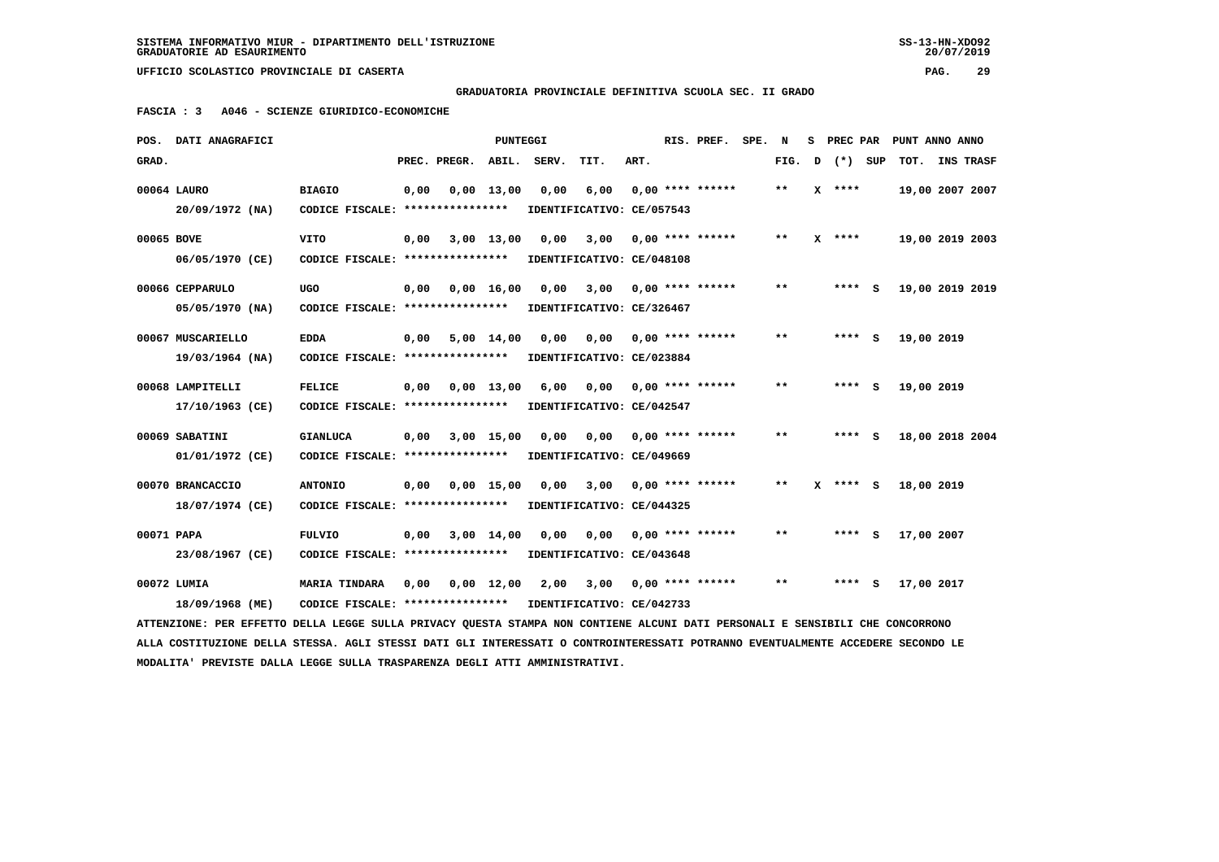$20/07/2019$ 

 **UFFICIO SCOLASTICO PROVINCIALE DI CASERTA PAG. 29**

 **GRADUATORIA PROVINCIALE DEFINITIVA SCUOLA SEC. II GRADO**

 **FASCIA : 3 A046 - SCIENZE GIURIDICO-ECONOMICHE**

|            | POS. DATI ANAGRAFICI                                                                                                            |                                                            |      |                          | PUNTEGGI     |                                                   |      |      | RIS. PREF.            | SPE. | N      | S PREC PAR |            | PUNT ANNO ANNO  |
|------------|---------------------------------------------------------------------------------------------------------------------------------|------------------------------------------------------------|------|--------------------------|--------------|---------------------------------------------------|------|------|-----------------------|------|--------|------------|------------|-----------------|
| GRAD.      |                                                                                                                                 |                                                            |      | PREC. PREGR. ABIL. SERV. |              |                                                   | TIT. | ART. |                       |      | FIG. D | (*) SUP    |            | TOT. INS TRASF  |
|            | 00064 LAURO                                                                                                                     | <b>BIAGIO</b>                                              | 0,00 |                          | $0.00$ 13.00 | 0,00                                              | 6,00 |      | $0.00$ **** ******    |      | $***$  | $X$ ****   |            | 19,00 2007 2007 |
|            | $20/09/1972$ (NA)                                                                                                               | CODICE FISCALE: ****************                           |      |                          |              | IDENTIFICATIVO: CE/057543                         |      |      |                       |      |        |            |            |                 |
| 00065 BOVE |                                                                                                                                 | <b>VITO</b>                                                | 0,00 |                          | $3,00$ 13,00 | 0,00                                              | 3,00 |      | $0.00$ **** ******    |      | $***$  | $X$ ****   |            | 19,00 2019 2003 |
|            | 06/05/1970 (CE)                                                                                                                 | CODICE FISCALE: *****************                          |      |                          |              | IDENTIFICATIVO: CE/048108                         |      |      |                       |      |        |            |            |                 |
|            | 00066 CEPPARULO                                                                                                                 | UGO                                                        |      |                          |              | 0,00 0,00 16,00 0,00                              |      |      | 3,00 0,00 **** ****** |      | **     | **** S     |            | 19,00 2019 2019 |
|            | 05/05/1970 (NA)                                                                                                                 | CODICE FISCALE: ****************                           |      |                          |              | IDENTIFICATIVO: CE/326467                         |      |      |                       |      |        |            |            |                 |
|            | 00067 MUSCARIELLO                                                                                                               | <b>EDDA</b>                                                | 0,00 |                          | $5,00$ 14,00 | 0,00                                              | 0.00 |      | 0,00 **** ******      |      | **     | $***$ S    | 19,00 2019 |                 |
|            | 19/03/1964 (NA)                                                                                                                 | CODICE FISCALE: ****************                           |      |                          |              | IDENTIFICATIVO: CE/023884                         |      |      |                       |      |        |            |            |                 |
|            | 00068 LAMPITELLI                                                                                                                | <b>FELICE</b>                                              | 0,00 |                          |              | 0,00 13,00 6,00                                   | 0,00 |      | $0.00$ **** ******    |      | $**$   | $***$ S    | 19,00 2019 |                 |
|            | 17/10/1963 (CE)                                                                                                                 | CODICE FISCALE: *****************                          |      |                          |              | IDENTIFICATIVO: CE/042547                         |      |      |                       |      |        |            |            |                 |
|            | 00069 SABATINI                                                                                                                  | <b>GIANLUCA</b>                                            |      | $0,00$ $3,00$ $15,00$    |              | 0.00                                              | 0.00 |      | 0,00 **** ******      |      | $***$  | **** S     |            | 18,00 2018 2004 |
|            | 01/01/1972 (CE)                                                                                                                 | CODICE FISCALE: ****************                           |      |                          |              | IDENTIFICATIVO: CE/049669                         |      |      |                       |      |        |            |            |                 |
|            | 00070 BRANCACCIO                                                                                                                | <b>ANTONIO</b>                                             | 0,00 |                          |              | $0,00$ 15,00 0,00                                 | 3,00 |      | $0.00$ **** ******    |      | $* *$  | $X$ **** S | 18,00 2019 |                 |
|            | 18/07/1974 (CE)                                                                                                                 | CODICE FISCALE: *****************                          |      |                          |              | IDENTIFICATIVO: CE/044325                         |      |      |                       |      |        |            |            |                 |
| 00071 PAPA |                                                                                                                                 | <b>FULVIO</b>                                              | 0,00 |                          | 3,00 14,00   | 0,00                                              | 0.00 |      | 0,00 **** ******      |      | $* *$  | **** S     | 17,00 2007 |                 |
|            | 23/08/1967 (CE)                                                                                                                 | CODICE FISCALE: ****************                           |      |                          |              | IDENTIFICATIVO: CE/043648                         |      |      |                       |      |        |            |            |                 |
|            | 00072 LUMIA                                                                                                                     | <b>MARIA TINDARA</b>                                       |      |                          |              | 0,00  0,00  12,00  2,00  3,00  0,00  ****  ****** |      |      |                       |      | $* *$  | $***$ S    | 17,00 2017 |                 |
|            | 18/09/1968 (ME)                                                                                                                 | CODICE FISCALE: **************** IDENTIFICATIVO: CE/042733 |      |                          |              |                                                   |      |      |                       |      |        |            |            |                 |
|            | ATTENZIONE: PER EFFETTO DELLA LEGGE SULLA PRIVACY QUESTA STAMPA NON CONTIENE ALCUNI DATI PERSONALI E SENSIBILI CHE CONCORRONO   |                                                            |      |                          |              |                                                   |      |      |                       |      |        |            |            |                 |
|            | ALLA COSTITUZIONE DELLA STESSA. AGLI STESSI DATI GLI INTERESSATI O CONTROINTERESSATI POTRANNO EVENTUALMENTE ACCEDERE SECONDO LE |                                                            |      |                          |              |                                                   |      |      |                       |      |        |            |            |                 |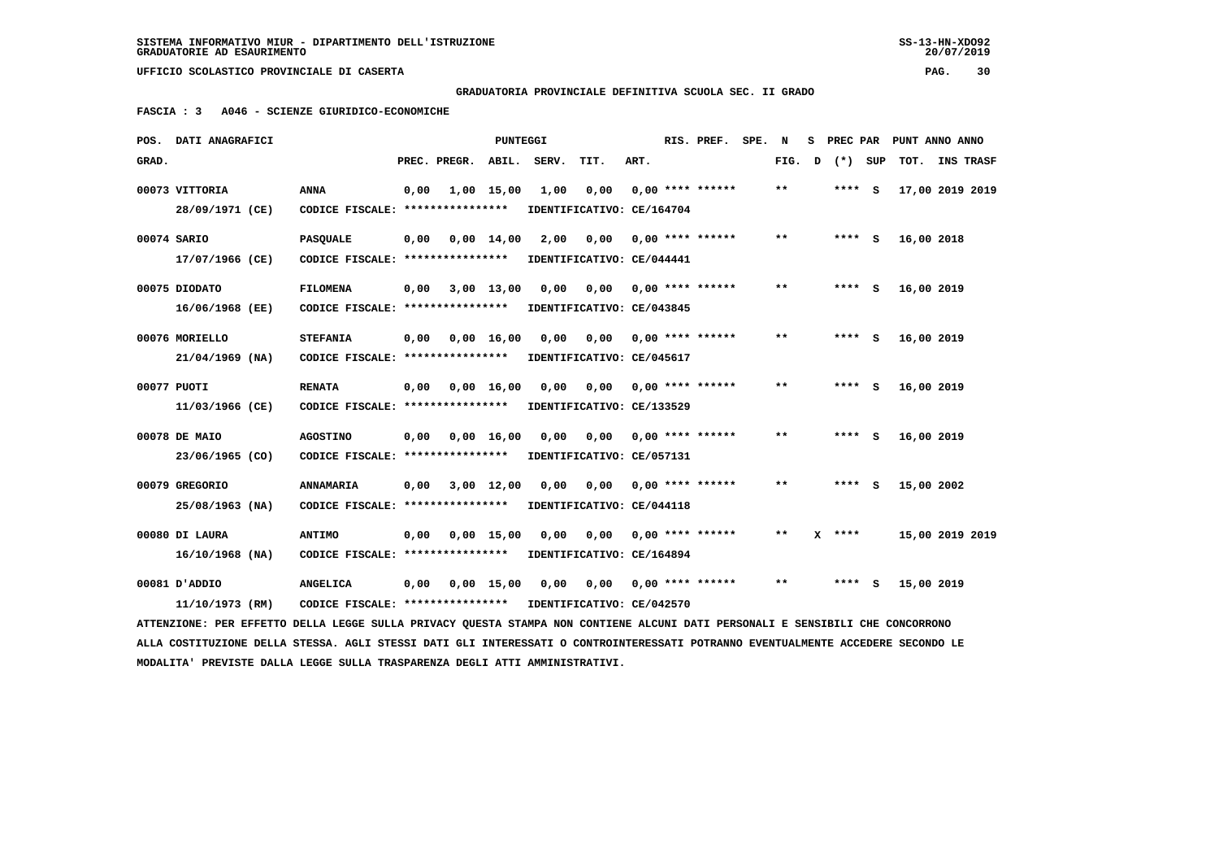$20/07/2019$ 

 **UFFICIO SCOLASTICO PROVINCIALE DI CASERTA PAG. 30**

 **GRADUATORIA PROVINCIALE DEFINITIVA SCUOLA SEC. II GRADO**

 **FASCIA : 3 A046 - SCIENZE GIURIDICO-ECONOMICHE**

|       | POS. DATI ANAGRAFICI                                                                                                            |                                                            |      |              | <b>PUNTEGGI</b>    |       |                           |      | RIS. PREF. SPE.                 | N     | s |          | PREC PAR PUNT ANNO ANNO |                  |  |
|-------|---------------------------------------------------------------------------------------------------------------------------------|------------------------------------------------------------|------|--------------|--------------------|-------|---------------------------|------|---------------------------------|-------|---|----------|-------------------------|------------------|--|
| GRAD. |                                                                                                                                 |                                                            |      | PREC. PREGR. | ABIL.              | SERV. | TIT.                      | ART. |                                 | FIG.  | D | (*) SUP  | тот.                    | <b>INS TRASF</b> |  |
|       | 00073 VITTORIA                                                                                                                  | <b>ANNA</b>                                                | 0,00 |              | 1,00 15,00         | 1,00  | 0,00                      |      | $0.00$ **** ******              | $* *$ |   | **** S   | 17,00 2019 2019         |                  |  |
|       | 28/09/1971 (CE)                                                                                                                 | CODICE FISCALE: ****************                           |      |              |                    |       | IDENTIFICATIVO: CE/164704 |      |                                 |       |   |          |                         |                  |  |
|       | 00074 SARIO                                                                                                                     | <b>PASQUALE</b>                                            | 0,00 |              | $0.00 \quad 14.00$ | 2,00  | 0,00                      |      | 0,00 **** ******                | $* *$ |   | **** S   | 16,00 2018              |                  |  |
|       | 17/07/1966 (CE)                                                                                                                 | CODICE FISCALE: ****************                           |      |              |                    |       | IDENTIFICATIVO: CE/044441 |      |                                 |       |   |          |                         |                  |  |
|       | 00075 DIODATO                                                                                                                   | <b>FILOMENA</b>                                            | 0,00 | 3,00 13,00   |                    | 0,00  |                           |      | $0,00$ $0,00$ **** ******       | $* *$ |   | $***$ S  | 16,00 2019              |                  |  |
|       | $16/06/1968$ (EE)                                                                                                               | CODICE FISCALE: *****************                          |      |              |                    |       | IDENTIFICATIVO: CE/043845 |      |                                 |       |   |          |                         |                  |  |
|       | 00076 MORIELLO                                                                                                                  | <b>STEFANIA</b>                                            | 0,00 |              | $0,00 \quad 16,00$ | 0.00  | 0,00                      |      | $0.00$ **** ******              | $* *$ |   | **** S   | 16,00 2019              |                  |  |
|       | $21/04/1969$ (NA)                                                                                                               | CODICE FISCALE: ****************                           |      |              |                    |       | IDENTIFICATIVO: CE/045617 |      |                                 |       |   |          |                         |                  |  |
|       | 00077 PUOTI                                                                                                                     | <b>RENATA</b>                                              | 0,00 |              | 0,00 16,00         | 0,00  |                           |      | $0,00$ $0,00$ **** ******       | $* *$ |   | **** S   | 16,00 2019              |                  |  |
|       | 11/03/1966 (CE)                                                                                                                 | CODICE FISCALE: *****************                          |      |              |                    |       | IDENTIFICATIVO: CE/133529 |      |                                 |       |   |          |                         |                  |  |
|       | 00078 DE MAIO                                                                                                                   | <b>AGOSTINO</b>                                            | 0,00 |              | $0,00 \quad 16,00$ | 0,00  |                           |      | $0,00$ $0,00$ **** ******       | **    |   | **** S   | 16,00 2019              |                  |  |
|       | 23/06/1965 (CO)                                                                                                                 | CODICE FISCALE: ****************                           |      |              |                    |       | IDENTIFICATIVO: CE/057131 |      |                                 |       |   |          |                         |                  |  |
|       | 00079 GREGORIO                                                                                                                  | <b>ANNAMARIA</b>                                           | 0,00 |              | 3,00 12,00         | 0,00  |                           |      | $0,00$ $0,00$ **** ******       | $* *$ |   | **** S   | 15,00 2002              |                  |  |
|       | 25/08/1963 (NA)                                                                                                                 | CODICE FISCALE: *****************                          |      |              |                    |       | IDENTIFICATIVO: CE/044118 |      |                                 |       |   |          |                         |                  |  |
|       | 00080 DI LAURA                                                                                                                  | <b>ANTIMO</b>                                              | 0,00 |              | $0,00$ 15,00       | 0,00  |                           |      | $0.00$ $0.00$ $***$ **** ****** | $***$ |   | $X$ **** | 15,00 2019 2019         |                  |  |
|       | 16/10/1968 (NA)                                                                                                                 | CODICE FISCALE: *****************                          |      |              |                    |       | IDENTIFICATIVO: CE/164894 |      |                                 |       |   |          |                         |                  |  |
|       | 00081 D'ADDIO                                                                                                                   | <b>ANGELICA</b>                                            | 0,00 |              | $0,00$ 15,00       | 0,00  |                           |      | $0,00$ $0,00$ **** ******       | $* *$ |   | **** S   | 15,00 2019              |                  |  |
|       | 11/10/1973 (RM)                                                                                                                 | CODICE FISCALE: **************** IDENTIFICATIVO: CE/042570 |      |              |                    |       |                           |      |                                 |       |   |          |                         |                  |  |
|       | ATTENZIONE: PER EFFETTO DELLA LEGGE SULLA PRIVACY QUESTA STAMPA NON CONTIENE ALCUNI DATI PERSONALI E SENSIBILI CHE CONCORRONO   |                                                            |      |              |                    |       |                           |      |                                 |       |   |          |                         |                  |  |
|       | ALLA COSTITUZIONE DELLA STESSA. AGLI STESSI DATI GLI INTERESSATI O CONTROINTERESSATI POTRANNO EVENTUALMENTE ACCEDERE SECONDO LE |                                                            |      |              |                    |       |                           |      |                                 |       |   |          |                         |                  |  |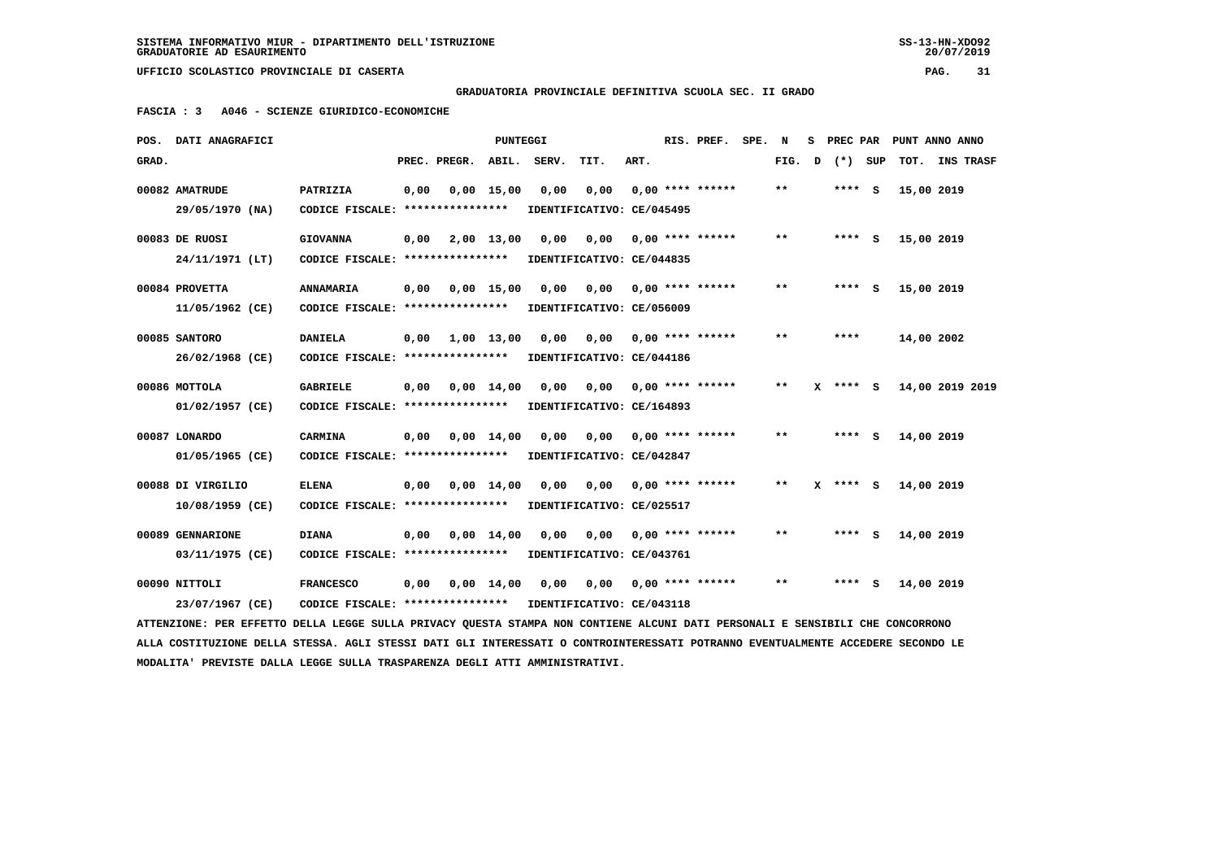**GRADUATORIA PROVINCIALE DEFINITIVA SCUOLA SEC. II GRADO**

 **FASCIA : 3 A046 - SCIENZE GIURIDICO-ECONOMICHE**

| POS.  | DATI ANAGRAFICI                                                                                                               |                                   |      |              | PUNTEGGI           |       |                           |      | RIS. PREF.                | SPE. | N     | s | PREC PAR |     | PUNT ANNO ANNO  |                  |
|-------|-------------------------------------------------------------------------------------------------------------------------------|-----------------------------------|------|--------------|--------------------|-------|---------------------------|------|---------------------------|------|-------|---|----------|-----|-----------------|------------------|
| GRAD. |                                                                                                                               |                                   |      | PREC. PREGR. | ABIL.              | SERV. | TIT.                      | ART. |                           |      | FIG.  | D | $(*)$    | SUP | тот.            | <b>INS TRASF</b> |
|       | 00082 AMATRUDE                                                                                                                | PATRIZIA                          | 0,00 |              | $0,00$ 15,00       | 0,00  | 0,00                      |      | $0.00$ **** ******        |      | $* *$ |   | **** S   |     | 15,00 2019      |                  |
|       | 29/05/1970 (NA)                                                                                                               | CODICE FISCALE: ****************  |      |              |                    |       | IDENTIFICATIVO: CE/045495 |      |                           |      |       |   |          |     |                 |                  |
|       | 00083 DE RUOSI                                                                                                                | <b>GIOVANNA</b>                   | 0,00 |              | 2,00 13,00         | 0.00  | 0,00                      |      | $0.00$ **** ******        |      | $* *$ |   | **** S   |     | 15,00 2019      |                  |
|       | 24/11/1971 (LT)                                                                                                               | CODICE FISCALE: ****************  |      |              |                    |       | IDENTIFICATIVO: CE/044835 |      |                           |      |       |   |          |     |                 |                  |
|       | 00084 PROVETTA                                                                                                                | <b>ANNAMARIA</b>                  | 0,00 |              | $0,00$ 15,00       | 0,00  | 0,00                      |      | $0.00$ **** ******        |      | **    |   | **** S   |     | 15,00 2019      |                  |
|       | 11/05/1962 (CE)                                                                                                               | CODICE FISCALE: ****************  |      |              |                    |       | IDENTIFICATIVO: CE/056009 |      |                           |      |       |   |          |     |                 |                  |
|       | 00085 SANTORO                                                                                                                 | <b>DANIELA</b>                    | 0,00 |              | 1,00 13,00         | 0,00  | 0,00                      |      | $0.00$ **** ******        |      | $* *$ |   | ****     |     | 14,00 2002      |                  |
|       | 26/02/1968 (CE)                                                                                                               | CODICE FISCALE: ****************  |      |              |                    |       | IDENTIFICATIVO: CE/044186 |      |                           |      |       |   |          |     |                 |                  |
|       | 00086 MOTTOLA                                                                                                                 | <b>GABRIELE</b>                   | 0,00 |              | $0,00 \quad 14,00$ | 0.00  | 0.00                      |      | $0,00$ **** ******        |      | $***$ | x | **** S   |     | 14,00 2019 2019 |                  |
|       | 01/02/1957 (CE)                                                                                                               | CODICE FISCALE: ****************  |      |              |                    |       | IDENTIFICATIVO: CE/164893 |      |                           |      |       |   |          |     |                 |                  |
|       | 00087 LONARDO                                                                                                                 | CARMINA                           | 0,00 |              | $0.00 \quad 14.00$ | 0,00  |                           |      | $0,00$ $0,00$ **** ****** |      | $***$ |   | **** S   |     | 14,00 2019      |                  |
|       | 01/05/1965 (CE)                                                                                                               | CODICE FISCALE: ****************  |      |              |                    |       | IDENTIFICATIVO: CE/042847 |      |                           |      |       |   |          |     |                 |                  |
|       | 00088 DI VIRGILIO                                                                                                             | <b>ELENA</b>                      | 0,00 |              | $0,00 \quad 14,00$ | 0,00  | 0,00                      |      | $0.00$ **** ******        |      | **    |   | **** S   |     | 14,00 2019      |                  |
|       | $10/08/1959$ (CE)                                                                                                             | CODICE FISCALE: ****************  |      |              |                    |       | IDENTIFICATIVO: CE/025517 |      |                           |      |       |   |          |     |                 |                  |
|       | 00089 GENNARIONE                                                                                                              | <b>DIANA</b>                      | 0,00 |              | $0.00 \quad 14.00$ | 0,00  | 0,00                      |      | $0.00$ **** ******        |      | **    |   | **** S   |     | 14,00 2019      |                  |
|       | 03/11/1975 (CE)                                                                                                               | CODICE FISCALE: ***************** |      |              |                    |       | IDENTIFICATIVO: CE/043761 |      |                           |      |       |   |          |     |                 |                  |
|       | 00090 NITTOLI                                                                                                                 | <b>FRANCESCO</b>                  | 0,00 |              | $0,00 \quad 14,00$ | 0,00  | 0,00                      |      | 0,00 **** ******          |      | **    |   | **** S   |     | 14,00 2019      |                  |
|       | 23/07/1967 (CE)                                                                                                               | CODICE FISCALE: ****************  |      |              |                    |       | IDENTIFICATIVO: CE/043118 |      |                           |      |       |   |          |     |                 |                  |
|       | ATTENZIONE: PER EFFETTO DELLA LEGGE SULLA PRIVACY QUESTA STAMPA NON CONTIENE ALCUNI DATI PERSONALI E SENSIBILI CHE CONCORRONO |                                   |      |              |                    |       |                           |      |                           |      |       |   |          |     |                 |                  |

 **ALLA COSTITUZIONE DELLA STESSA. AGLI STESSI DATI GLI INTERESSATI O CONTROINTERESSATI POTRANNO EVENTUALMENTE ACCEDERE SECONDO LE MODALITA' PREVISTE DALLA LEGGE SULLA TRASPARENZA DEGLI ATTI AMMINISTRATIVI.**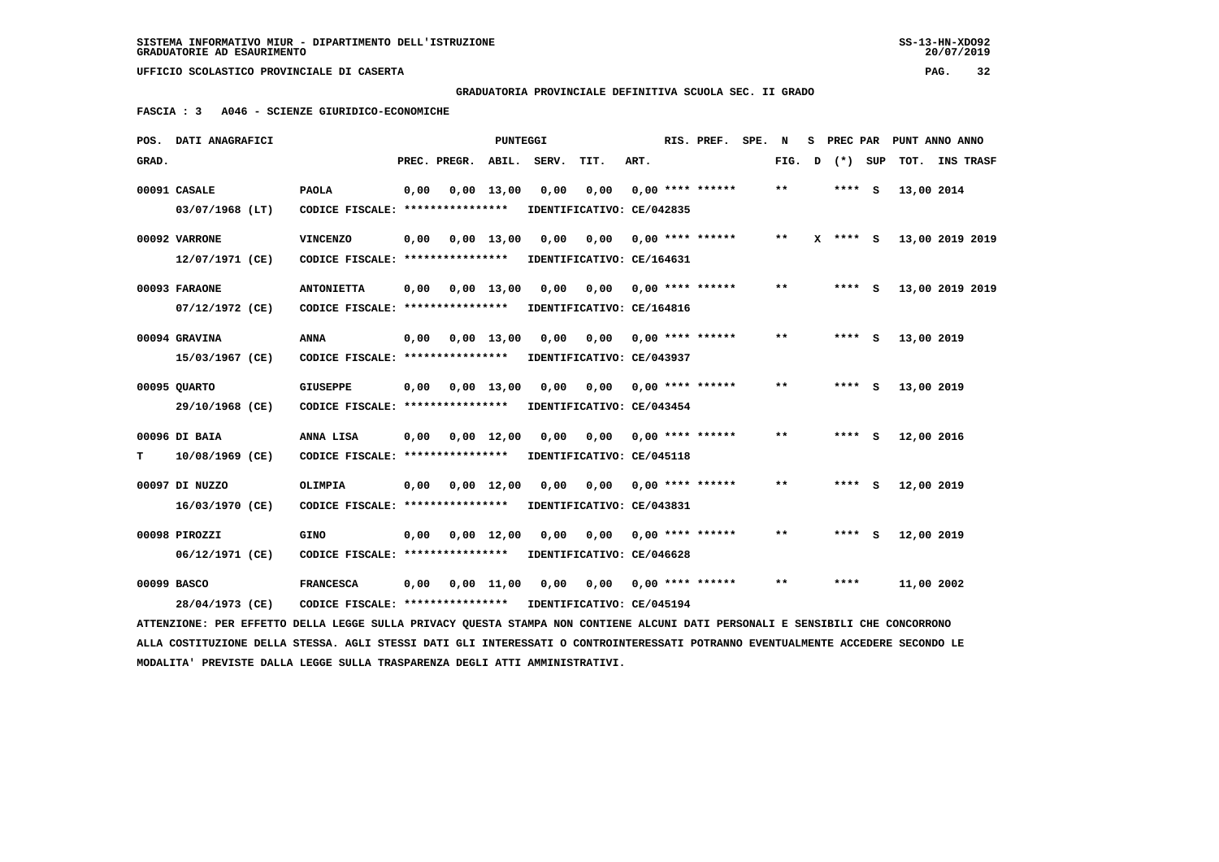$20/07/2019$ 

 **UFFICIO SCOLASTICO PROVINCIALE DI CASERTA PAG. 32**

 **GRADUATORIA PROVINCIALE DEFINITIVA SCUOLA SEC. II GRADO**

 **FASCIA : 3 A046 - SCIENZE GIURIDICO-ECONOMICHE**

|       | POS. DATI ANAGRAFICI                                                                                                                                            |                                                        |      |                          | PUNTEGGI     |      |                                                                     |      | RIS. PREF. SPE. N         |        |              | S PREC PAR PUNT ANNO ANNO |  |
|-------|-----------------------------------------------------------------------------------------------------------------------------------------------------------------|--------------------------------------------------------|------|--------------------------|--------------|------|---------------------------------------------------------------------|------|---------------------------|--------|--------------|---------------------------|--|
| GRAD. |                                                                                                                                                                 |                                                        |      | PREC. PREGR. ABIL. SERV. |              |      | TIT.                                                                | ART. |                           | FIG. D | (*) SUP      | TOT. INS TRASF            |  |
|       | 00091 CASALE<br>03/07/1968 (LT)                                                                                                                                 | <b>PAOLA</b><br>CODICE FISCALE: *****************      | 0,00 |                          | $0,00$ 13,00 | 0,00 | 0,00<br>IDENTIFICATIVO: CE/042835                                   |      | $0.00$ **** ******        | $***$  | $***$ S      | 13,00 2014                |  |
|       | 00092 VARRONE<br>12/07/1971 (CE)                                                                                                                                | <b>VINCENZO</b><br>CODICE FISCALE: *****************   | 0,00 |                          | $0,00$ 13,00 |      | $0,00$ $0,00$ $0,00$ $***$ **** ******<br>IDENTIFICATIVO: CE/164631 |      |                           | $***$  | $X$ **** $S$ | 13,00 2019 2019           |  |
|       | 00093 FARAONE<br>07/12/1972 (CE)                                                                                                                                | <b>ANTONIETTA</b><br>CODICE FISCALE: ***************** | 0,00 | 0,00 13,00               |              | 0,00 | IDENTIFICATIVO: CE/164816                                           |      | 0,00 0,00 **** ******     | $* *$  | **** S       | 13,00 2019 2019           |  |
|       | 00094 GRAVINA<br>15/03/1967 (CE)                                                                                                                                | <b>ANNA</b><br>CODICE FISCALE: ****************        | 0,00 |                          | $0.00$ 13.00 | 0,00 | IDENTIFICATIVO: CE/043937                                           |      |                           | $***$  | $***$ S      | 13,00 2019                |  |
|       | 00095 QUARTO<br>29/10/1968 (CE)                                                                                                                                 | <b>GIUSEPPE</b><br>CODICE FISCALE: ****************    | 0,00 |                          | $0,00$ 13,00 |      | $0,00$ $0,00$ $0,00$ $***$ $***$ $***$<br>IDENTIFICATIVO: CE/043454 |      |                           | $***$  | **** S       | 13,00 2019                |  |
| т     | 00096 DI BAIA<br>10/08/1969 (CE)                                                                                                                                | ANNA LISA<br>CODICE FISCALE: *****************         | 0,00 |                          | $0,00$ 12,00 | 0,00 | 0,00<br>IDENTIFICATIVO: CE/045118                                   |      | $0,00$ **** ******        | $* *$  | **** S       | 12,00 2016                |  |
|       | 00097 DI NUZZO<br>16/03/1970 (CE)                                                                                                                               | <b>OLIMPIA</b><br>CODICE FISCALE: ****************     | 0,00 | 0,00 12,00               |              | 0,00 | IDENTIFICATIVO: CE/043831                                           |      |                           | $* *$  | $***$ S      | 12,00 2019                |  |
|       | 00098 PIROZZI<br>06/12/1971 (CE)                                                                                                                                | <b>GINO</b><br>CODICE FISCALE: ****************        | 0,00 |                          | $0,00$ 12,00 | 0,00 | IDENTIFICATIVO: CE/046628                                           |      | $0,00$ $0,00$ **** ****** | $* *$  | **** S       | 12,00 2019                |  |
|       | 00099 BASCO<br>28/04/1973 (CE)<br>ATTENZIONE: PER EFFETTO DELLA LEGGE SULLA PRIVACY QUESTA STAMPA NON CONTIENE ALCUNI DATI PERSONALI E SENSIBILI CHE CONCORRONO | <b>FRANCESCA</b><br>CODICE FISCALE: ****************   | 0,00 |                          | $0,00$ 11,00 | 0,00 | IDENTIFICATIVO: CE/045194                                           |      | $0,00$ 0,00 **** ******   | $* *$  | ****         | 11,00 2002                |  |
|       |                                                                                                                                                                 |                                                        |      |                          |              |      |                                                                     |      |                           |        |              |                           |  |

 **ALLA COSTITUZIONE DELLA STESSA. AGLI STESSI DATI GLI INTERESSATI O CONTROINTERESSATI POTRANNO EVENTUALMENTE ACCEDERE SECONDO LE MODALITA' PREVISTE DALLA LEGGE SULLA TRASPARENZA DEGLI ATTI AMMINISTRATIVI.**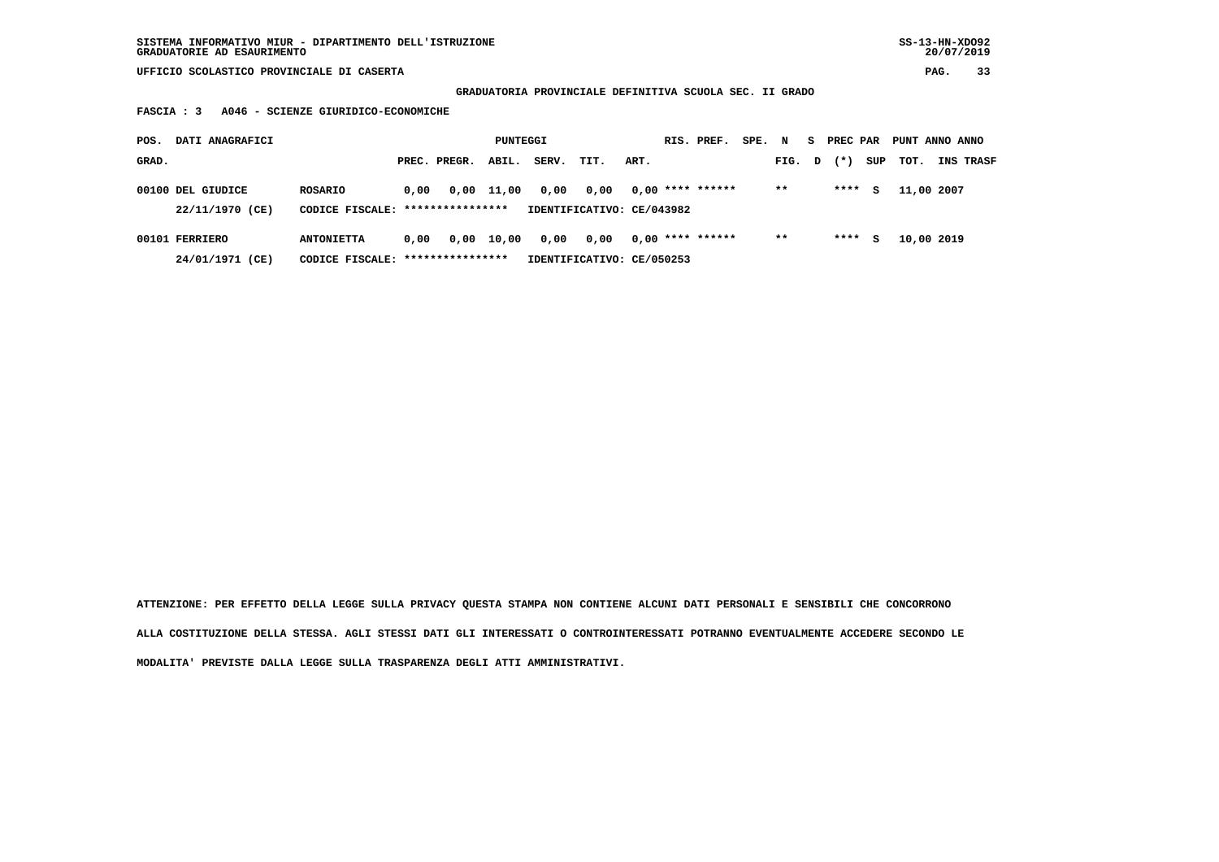# **GRADUATORIA PROVINCIALE DEFINITIVA SCUOLA SEC. II GRADO**

 **FASCIA : 3 A046 - SCIENZE GIURIDICO-ECONOMICHE**

| POS.  | DATI ANAGRAFICI                      |                                                       |      |              | PUNTEGGI   |       |                                   |      | RIS. PREF.         | SPE. N |        | s. | PREC PAR |     | PUNT ANNO ANNO |                  |
|-------|--------------------------------------|-------------------------------------------------------|------|--------------|------------|-------|-----------------------------------|------|--------------------|--------|--------|----|----------|-----|----------------|------------------|
| GRAD. |                                      |                                                       |      | PREC. PREGR. | ABIL.      | SERV. | TIT.                              | ART. |                    |        | FIG. D |    | $(* )$   | SUP | тот.           | <b>INS TRASF</b> |
|       | 00100 DEL GIUDICE<br>22/11/1970 (CE) | ROSARIO<br>CODICE FISCALE: ****************           | 0.00 |              | 0,00 11,00 | 0,00  | 0.00<br>IDENTIFICATIVO: CE/043982 |      | $0.00$ **** ****** |        | $* *$  |    | ****     | s   | 11,00 2007     |                  |
|       | 00101 FERRIERO<br>24/01/1971 (CE)    | <b>ANTONIETTA</b><br>CODICE FISCALE: **************** | 0.00 |              | 0,00 10,00 | 0,00  | 0.00<br>IDENTIFICATIVO: CE/050253 |      | $0.00$ **** ****** |        | $* *$  |    | ****     | s   | 10,00 2019     |                  |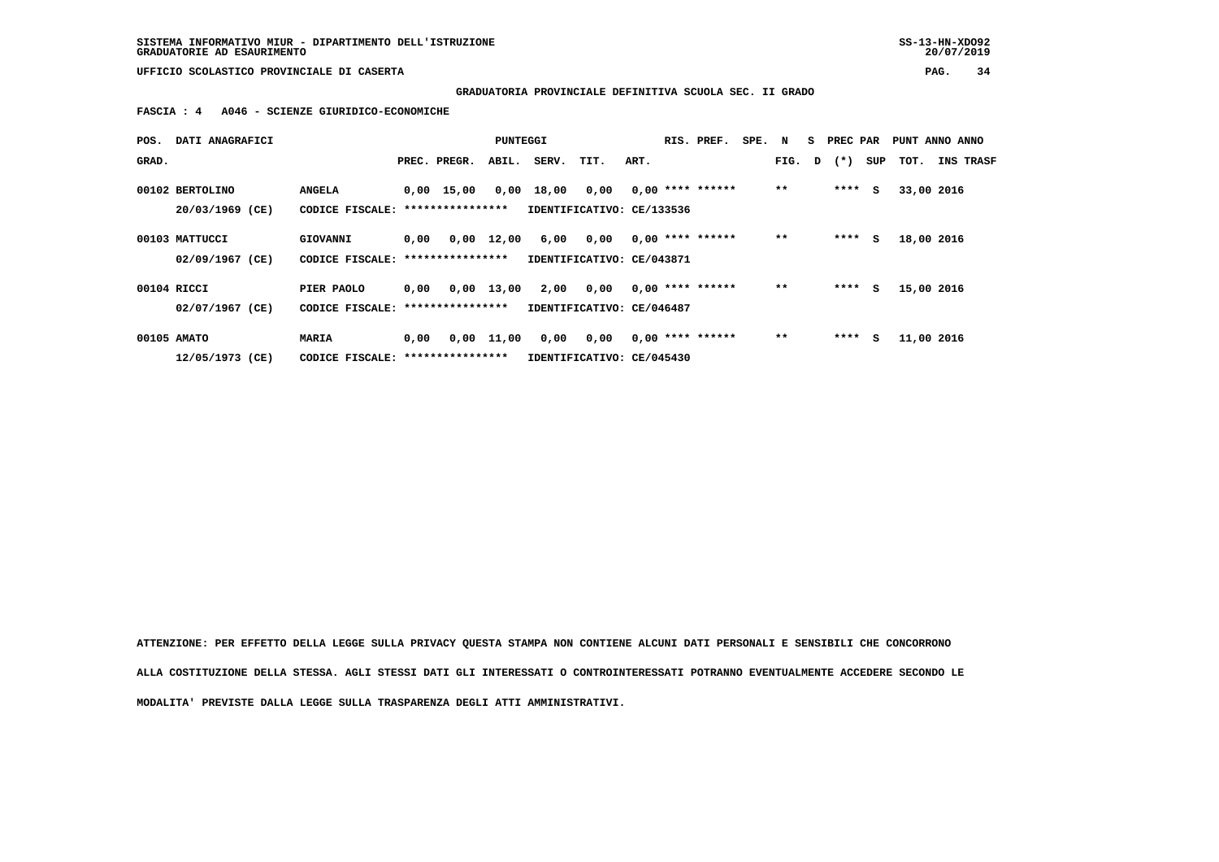# **GRADUATORIA PROVINCIALE DEFINITIVA SCUOLA SEC. II GRADO**

 **FASCIA : 4 A046 - SCIENZE GIURIDICO-ECONOMICHE**

| POS.  | DATI ANAGRAFICI |                                   |      |                    | PUNTEGGI     |       |                           |      | RIS. PREF.         | SPE. N |        | s. | PREC PAR |     | PUNT ANNO ANNO |                  |
|-------|-----------------|-----------------------------------|------|--------------------|--------------|-------|---------------------------|------|--------------------|--------|--------|----|----------|-----|----------------|------------------|
| GRAD. |                 |                                   |      | PREC. PREGR.       | ABIL.        | SERV. | TIT.                      | ART. |                    |        | FIG. D |    | $(*)$    | SUP | TOT.           | <b>INS TRASF</b> |
|       | 00102 BERTOLINO |                                   |      |                    |              |       |                           |      | $0.00$ **** ****** |        | $* *$  |    | ****     | S.  |                |                  |
|       |                 | <b>ANGELA</b>                     |      | $0,00 \quad 15,00$ | 0,00         | 18,00 | 0,00                      |      |                    |        |        |    |          |     | 33,00 2016     |                  |
|       | 20/03/1969 (CE) | CODICE FISCALE: ***************** |      |                    |              |       | IDENTIFICATIVO: CE/133536 |      |                    |        |        |    |          |     |                |                  |
|       |                 |                                   |      |                    |              |       |                           |      |                    |        |        |    |          |     |                |                  |
|       | 00103 MATTUCCI  | GIOVANNI                          | 0,00 | 0,00               | 12,00        | 6,00  | 0,00                      |      | $0,00$ **** ****** |        | $* *$  |    | ****     | s   | 18,00 2016     |                  |
|       | 02/09/1967 (CE) | CODICE FISCALE: ***************** |      |                    |              |       | IDENTIFICATIVO: CE/043871 |      |                    |        |        |    |          |     |                |                  |
|       |                 |                                   |      |                    |              |       |                           |      |                    |        |        |    |          |     |                |                  |
|       | 00104 RICCI     | PIER PAOLO                        | 0.00 | 0,00               | 13,00        | 2,00  | 0.00                      |      | $0.00$ **** ****** |        | $* *$  |    | ****     | S   | 15,00 2016     |                  |
|       | 02/07/1967 (CE) | CODICE FISCALE: ***************** |      |                    |              |       | IDENTIFICATIVO: CE/046487 |      |                    |        |        |    |          |     |                |                  |
|       |                 |                                   |      |                    |              |       |                           |      |                    |        |        |    |          |     |                |                  |
|       | 00105 AMATO     | MARIA                             | 0,00 |                    | $0,00$ 11,00 | 0,00  | 0,00                      |      | $0,00$ **** ****** |        | $* *$  |    | ****     | s   | 11,00 2016     |                  |
|       | 12/05/1973 (CE) | CODICE FISCALE: ***************** |      |                    |              |       | IDENTIFICATIVO: CE/045430 |      |                    |        |        |    |          |     |                |                  |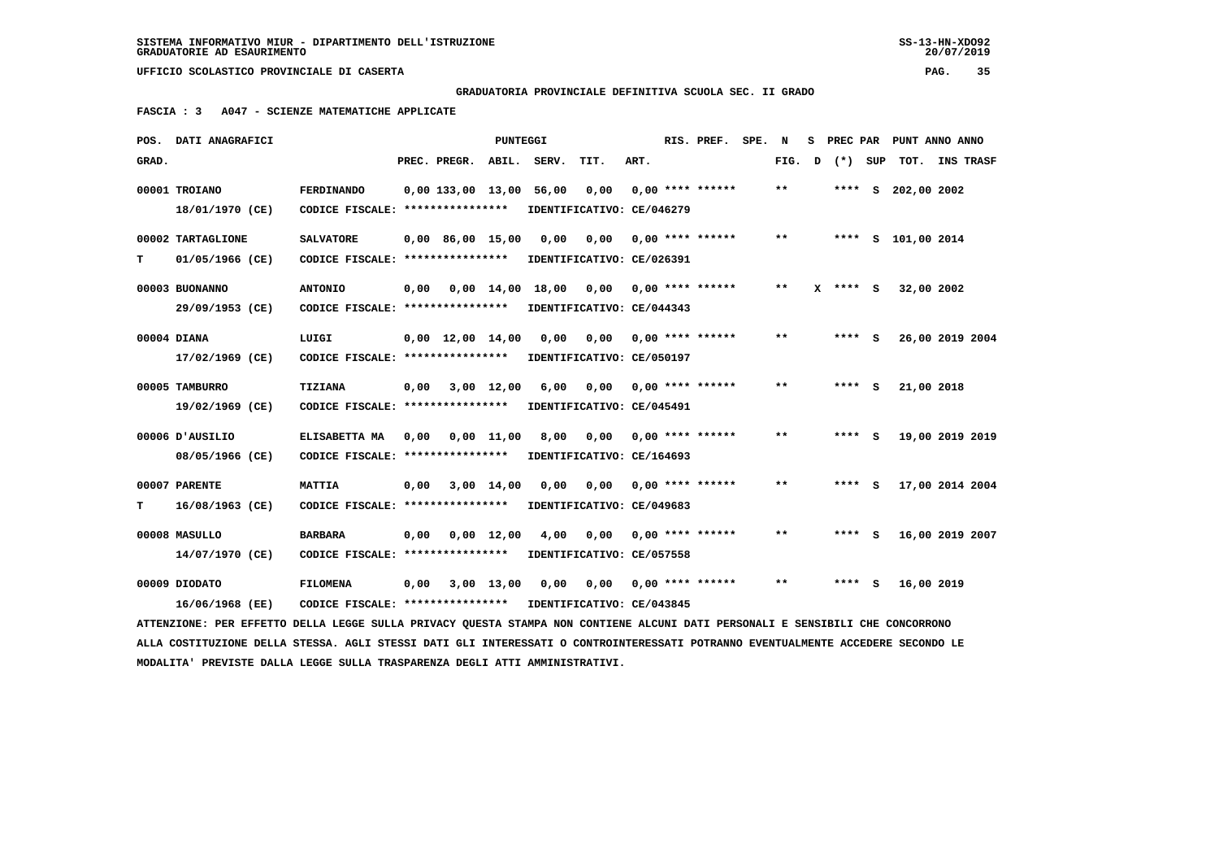**MODALITA' PREVISTE DALLA LEGGE SULLA TRASPARENZA DEGLI ATTI AMMINISTRATIVI.**

 **UFFICIO SCOLASTICO PROVINCIALE DI CASERTA PAG. 35**

 **GRADUATORIA PROVINCIALE DEFINITIVA SCUOLA SEC. II GRADO**

 **FASCIA : 3 A047 - SCIENZE MATEMATICHE APPLICATE**

|       | POS. DATI ANAGRAFICI                                                                                                            |                                                            |                                           | <b>PUNTEGGI</b> |                                                    |                            |      | RIS. PREF.                | SPE. N |        | S PREC PAR |                    | PUNT ANNO ANNO  |
|-------|---------------------------------------------------------------------------------------------------------------------------------|------------------------------------------------------------|-------------------------------------------|-----------------|----------------------------------------------------|----------------------------|------|---------------------------|--------|--------|------------|--------------------|-----------------|
| GRAD. |                                                                                                                                 |                                                            | PREC. PREGR. ABIL. SERV.                  |                 |                                                    | TIT.                       | ART. |                           |        | FIG. D | (*) SUP    |                    | TOT. INS TRASF  |
|       | 00001 TROIANO                                                                                                                   | <b>FERDINANDO</b>                                          |                                           |                 | 0,00 133,00 13,00 56,00 0,00                       |                            |      | $0,00$ **** ******        |        | $* *$  |            | **** S 202,00 2002 |                 |
|       | 18/01/1970 (CE)                                                                                                                 | CODICE FISCALE: *****************                          |                                           |                 | IDENTIFICATIVO: CE/046279                          |                            |      |                           |        |        |            |                    |                 |
|       | 00002 TARTAGLIONE                                                                                                               | <b>SALVATORE</b>                                           | $0.00 \quad 86.00 \quad 15.00 \quad 0.00$ |                 |                                                    | 0.00                       |      | 0,00 **** ******          |        | $* *$  |            | **** S 101,00 2014 |                 |
| т     | 01/05/1966 (CE)                                                                                                                 | CODICE FISCALE: *****************                          |                                           |                 | IDENTIFICATIVO: CE/026391                          |                            |      |                           |        |        |            |                    |                 |
|       | 00003 BUONANNO                                                                                                                  | <b>ANTONIO</b>                                             |                                           |                 | 0,00  0,00  14,00  18,00  0,00  0,00  ****  ****** |                            |      |                           |        | $* *$  | X **** S   | 32,00 2002         |                 |
|       | 29/09/1953 (CE)                                                                                                                 | CODICE FISCALE: ****************                           |                                           |                 | IDENTIFICATIVO: CE/044343                          |                            |      |                           |        |        |            |                    |                 |
|       | 00004 DIANA                                                                                                                     | LUIGI                                                      | 0,00 12,00 14,00                          |                 | 0,00                                               |                            |      |                           |        | $***$  | $***$ S    |                    | 26,00 2019 2004 |
|       | 17/02/1969 (CE)                                                                                                                 | CODICE FISCALE: ****************                           |                                           |                 | IDENTIFICATIVO: CE/050197                          |                            |      |                           |        |        |            |                    |                 |
|       | 00005 TAMBURRO                                                                                                                  | TIZIANA                                                    | $0,00$ $3,00$ $12,00$                     |                 | 6,00                                               |                            |      | $0,00$ $0,00$ **** ****** |        | $* *$  | $***$ S    | 21,00 2018         |                 |
|       | 19/02/1969 (CE)                                                                                                                 | CODICE FISCALE: ****************                           |                                           |                 | IDENTIFICATIVO: CE/045491                          |                            |      |                           |        |        |            |                    |                 |
|       | 00006 D'AUSILIO                                                                                                                 | ELISABETTA MA                                              | $0,00$ $0,00$ $11,00$                     |                 |                                                    | 8,00 0,00 0,00 **** ****** |      |                           |        | $***$  | **** S     |                    | 19,00 2019 2019 |
|       | 08/05/1966 (CE)                                                                                                                 | CODICE FISCALE: *****************                          |                                           |                 | IDENTIFICATIVO: CE/164693                          |                            |      |                           |        |        |            |                    |                 |
|       | 00007 PARENTE                                                                                                                   | <b>MATTIA</b>                                              | $0,00$ $3,00$ $14,00$                     |                 | 0,00                                               |                            |      | $0,00$ $0,00$ **** ****** |        | $* *$  | $***$ S    |                    | 17,00 2014 2004 |
| т     | 16/08/1963 (CE)                                                                                                                 | CODICE FISCALE: ****************                           |                                           |                 | IDENTIFICATIVO: CE/049683                          |                            |      |                           |        |        |            |                    |                 |
|       | 00008 MASULLO                                                                                                                   | <b>BARBARA</b>                                             | $0,00$ $0,00$ $12,00$                     |                 | 4,00                                               | 0,00                       |      | $0.00$ **** ******        |        | $***$  | $***$ S    |                    | 16,00 2019 2007 |
|       | 14/07/1970 (CE)                                                                                                                 | CODICE FISCALE: ****************                           |                                           |                 | IDENTIFICATIVO: CE/057558                          |                            |      |                           |        |        |            |                    |                 |
|       | 00009 DIODATO                                                                                                                   | <b>FILOMENA</b>                                            | $0,00$ $3,00$ $13,00$ $0,00$              |                 |                                                    |                            |      | 0,00 0,00 **** ******     |        | $* *$  | $***$ S    | 16,00 2019         |                 |
|       | 16/06/1968 (EE)                                                                                                                 | CODICE FISCALE: **************** IDENTIFICATIVO: CE/043845 |                                           |                 |                                                    |                            |      |                           |        |        |            |                    |                 |
|       | ATTENZIONE: PER EFFETTO DELLA LEGGE SULLA PRIVACY QUESTA STAMPA NON CONTIENE ALCUNI DATI PERSONALI E SENSIBILI CHE CONCORRONO   |                                                            |                                           |                 |                                                    |                            |      |                           |        |        |            |                    |                 |
|       | ALLA COSTITUZIONE DELLA STESSA. AGLI STESSI DATI GLI INTERESSATI O CONTROINTERESSATI POTRANNO EVENTUALMENTE ACCEDERE SECONDO LE |                                                            |                                           |                 |                                                    |                            |      |                           |        |        |            |                    |                 |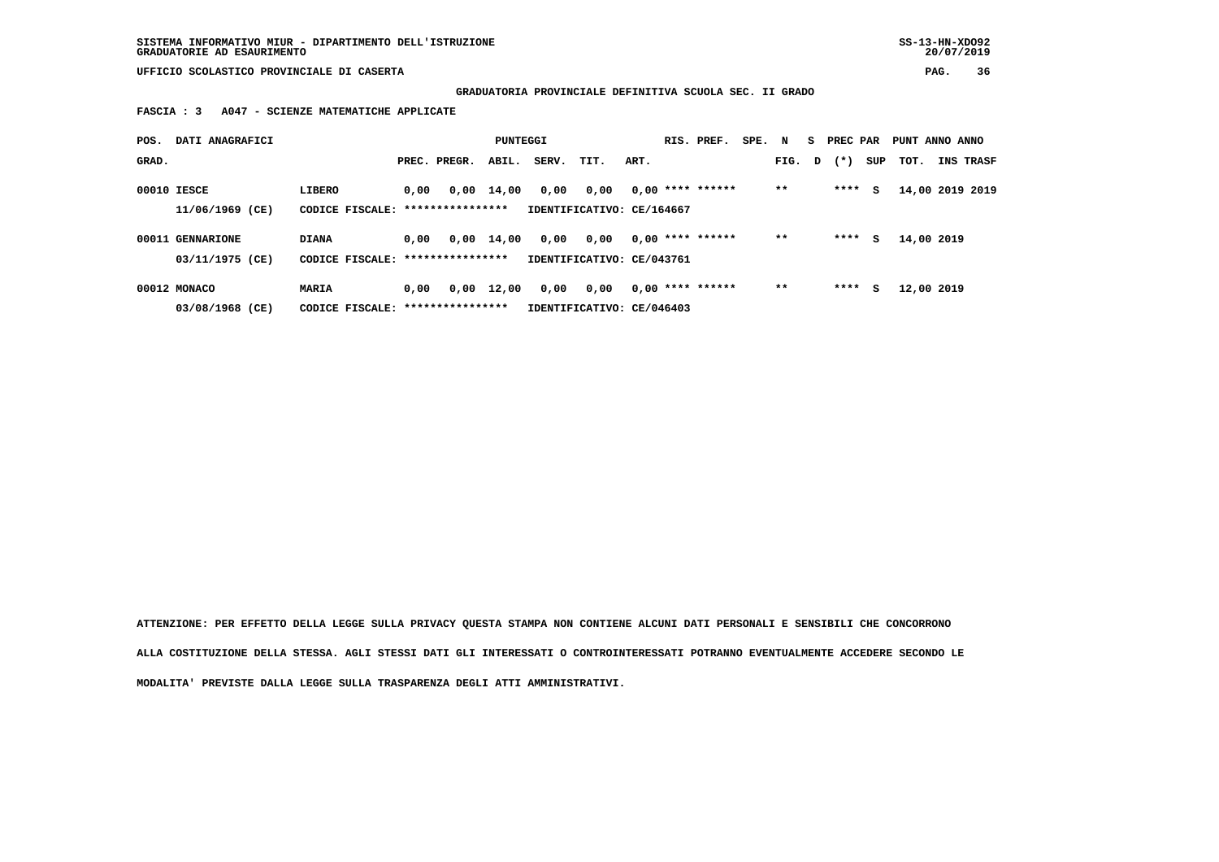**GRADUATORIA PROVINCIALE DEFINITIVA SCUOLA SEC. II GRADO**

 **FASCIA : 3 A047 - SCIENZE MATEMATICHE APPLICATE**

| POS.  | DATI ANAGRAFICI  |                                   |      |              | PUNTEGGI     |       |                           |      | RIS. PREF.         | SPE. N |       | S. | PREC PAR |     | PUNT ANNO ANNO  |                  |
|-------|------------------|-----------------------------------|------|--------------|--------------|-------|---------------------------|------|--------------------|--------|-------|----|----------|-----|-----------------|------------------|
| GRAD. |                  |                                   |      | PREC. PREGR. | ABIL.        | SERV. | TIT.                      | ART. |                    |        | FIG.  | D  | $(* )$   | SUP | TOT.            | <b>INS TRASF</b> |
|       | 00010 IESCE      | LIBERO                            | 0,00 |              | $0,00$ 14,00 | 0,00  | 0,00                      |      | $0,00$ **** ****** |        | $**$  |    | ****     | s   | 14,00 2019 2019 |                  |
|       | 11/06/1969 (CE)  | CODICE FISCALE: ***************** |      |              |              |       | IDENTIFICATIVO: CE/164667 |      |                    |        |       |    |          |     |                 |                  |
|       | 00011 GENNARIONE | <b>DIANA</b>                      | 0,00 |              | $0,00$ 14,00 | 0,00  | 0,00                      |      | $0.00$ **** ****** |        | $* *$ |    | ****     | s   | 14,00 2019      |                  |
|       | 03/11/1975 (CE)  | CODICE FISCALE: ***************** |      |              |              |       | IDENTIFICATIVO: CE/043761 |      |                    |        |       |    |          |     |                 |                  |
|       | 00012 MONACO     | MARIA                             | 0.00 | 0,00         | 12,00        | 0,00  | 0,00                      |      | $0.00$ **** ****** |        | $* *$ |    | ****     | s   | 12,00 2019      |                  |
|       | 03/08/1968 (CE)  | CODICE FISCALE: ****************  |      |              |              |       | IDENTIFICATIVO: CE/046403 |      |                    |        |       |    |          |     |                 |                  |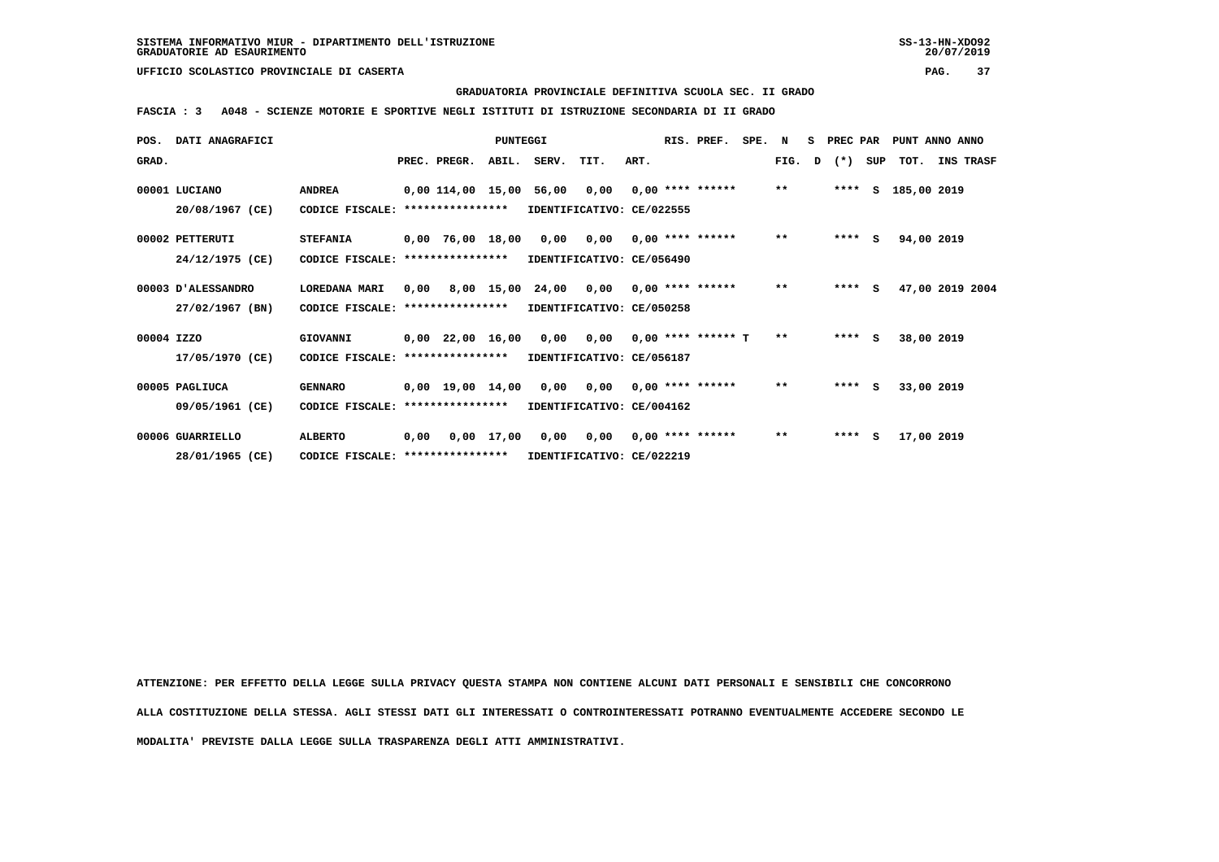#### **GRADUATORIA PROVINCIALE DEFINITIVA SCUOLA SEC. II GRADO**

 **FASCIA : 3 A048 - SCIENZE MOTORIE E SPORTIVE NEGLI ISTITUTI DI ISTRUZIONE SECONDARIA DI II GRADO**

| POS.       | <b>DATI ANAGRAFICI</b> |                                  |      |                                                           | PUNTEGGI   |       |                           |      | RIS. PREF.           | SPE. | N            | s | PREC PAR |     | PUNT ANNO ANNO  |                  |
|------------|------------------------|----------------------------------|------|-----------------------------------------------------------|------------|-------|---------------------------|------|----------------------|------|--------------|---|----------|-----|-----------------|------------------|
| GRAD.      |                        |                                  |      | PREC. PREGR.                                              | ABIL.      | SERV. | TIT.                      | ART. |                      |      | FIG.         | D | $(*)$    | SUP | TOT.            | <b>INS TRASF</b> |
|            | 00001 LUCIANO          | <b>ANDREA</b>                    |      | 0,00 114,00 15,00                                         |            | 56,00 | 0,00                      |      | $0.00$ **** ******   |      | $\star\star$ |   | ****     |     | S 185,00 2019   |                  |
|            | 20/08/1967 (CE)        | CODICE FISCALE: **************** |      |                                                           |            |       | IDENTIFICATIVO: CE/022555 |      |                      |      |              |   |          |     |                 |                  |
|            | 00002 PETTERUTI        | <b>STEFANIA</b>                  |      | $0,00$ 76,00 18,00                                        |            | 0,00  | 0,00                      |      | $0.00$ **** ******   |      | $\star\star$ |   | ****     | s   | 94,00 2019      |                  |
|            | 24/12/1975 (CE)        | CODICE FISCALE:                  |      | ****************                                          |            |       | IDENTIFICATIVO: CE/056490 |      |                      |      |              |   |          |     |                 |                  |
|            | 00003 D'ALESSANDRO     | LOREDANA MARI                    | 0,00 |                                                           | 8,00 15,00 | 24,00 | 0,00                      |      | $0.00$ **** ******   |      | $\star\star$ |   | ****     | s   | 47,00 2019 2004 |                  |
|            | 27/02/1967 (BN)        | CODICE FISCALE: **************** |      |                                                           |            |       | IDENTIFICATIVO: CE/050258 |      |                      |      |              |   |          |     |                 |                  |
| 00004 IZZO |                        | GIOVANNI                         |      | $0.00$ $22.00$ $16.00$                                    |            | 0.00  | 0.00                      |      | $0.00$ **** ****** T |      | $* *$        |   | $***$ S  |     | 38,00 2019      |                  |
|            | 17/05/1970 (CE)        | CODICE FISCALE:                  |      | ****************                                          |            |       | IDENTIFICATIVO: CE/056187 |      |                      |      |              |   |          |     |                 |                  |
|            | 00005 PAGLIUCA         | <b>GENNARO</b>                   |      | $0,00$ 19,00 14,00                                        |            | 0,00  | 0,00                      |      | $0.00$ **** ******   |      | $\star\star$ |   | $***$ S  |     | 33,00 2019      |                  |
|            | 09/05/1961 (CE)        | CODICE FISCALE:                  |      | ****************                                          |            |       | IDENTIFICATIVO: CE/004162 |      |                      |      |              |   |          |     |                 |                  |
|            | 00006 GUARRIELLO       | <b>ALBERTO</b>                   |      |                                                           |            | 0,00  | 0,00                      |      | $0.00$ **** ******   |      | $\star\star$ |   | $***$ S  |     | 17,00 2019      |                  |
|            | 28/01/1965 (CE)        |                                  |      | $0,00$ 17,00<br>0,00<br>CODICE FISCALE: ***************** |            |       | IDENTIFICATIVO: CE/022219 |      |                      |      |              |   |          |     |                 |                  |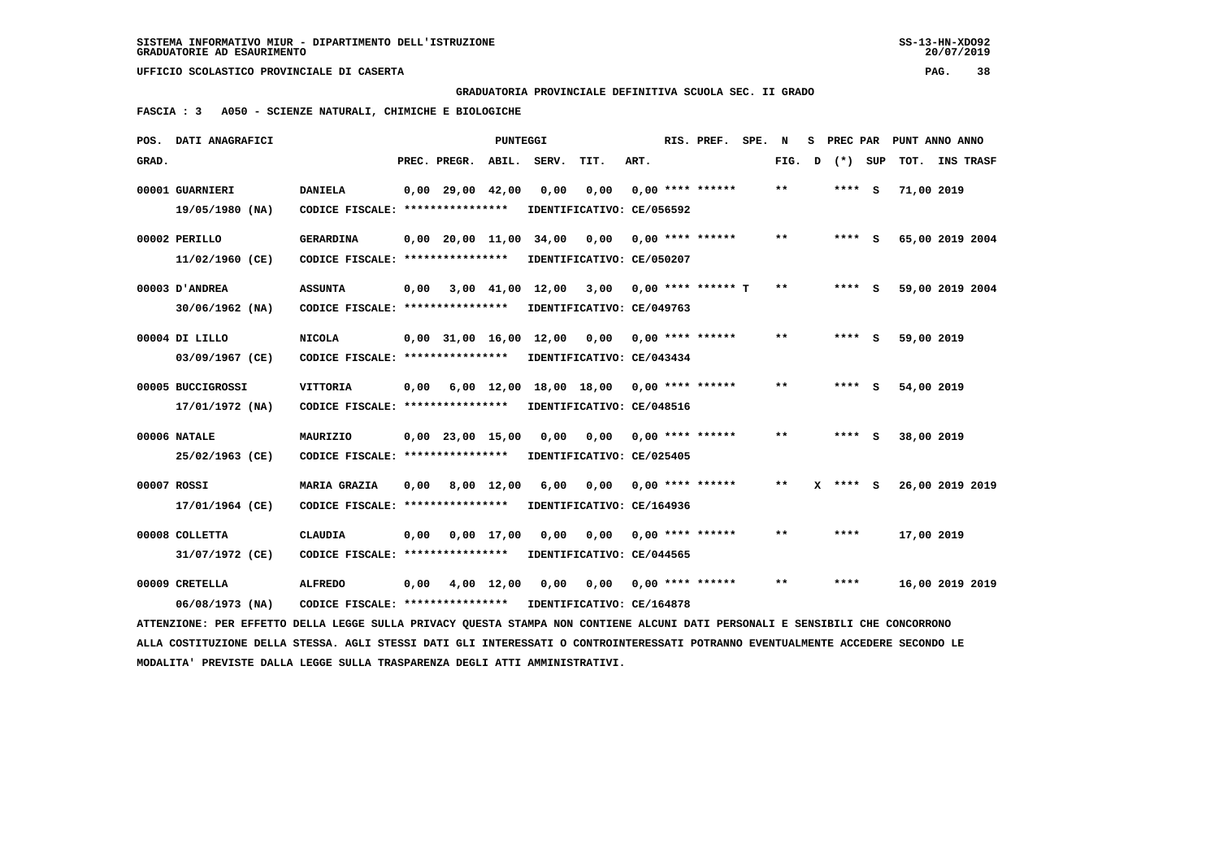**GRADUATORIA PROVINCIALE DEFINITIVA SCUOLA SEC. II GRADO**

 **FASCIA : 3 A050 - SCIENZE NATURALI, CHIMICHE E BIOLOGICHE**

| POS.  | DATI ANAGRAFICI                                                                                                                 |                                                            |      |                       | PUNTEGGI     |                                         |                           |      | RIS. PREF.           | SPE. | N            | s            |         |         | PREC PAR PUNT ANNO ANNO |                 |  |
|-------|---------------------------------------------------------------------------------------------------------------------------------|------------------------------------------------------------|------|-----------------------|--------------|-----------------------------------------|---------------------------|------|----------------------|------|--------------|--------------|---------|---------|-------------------------|-----------------|--|
| GRAD. |                                                                                                                                 |                                                            |      | PREC. PREGR.          | ABIL.        | SERV.                                   | TIT.                      | ART. |                      |      | FIG.         | $\mathbf{D}$ |         | (*) SUP | TOT. INS TRASF          |                 |  |
|       | 00001 GUARNIERI                                                                                                                 | <b>DANIELA</b>                                             |      | $0,00$ 29,00 42,00    |              | 0,00                                    | 0,00                      |      | $0.00$ **** ******   |      | $* *$        |              | **** S  |         | 71,00 2019              |                 |  |
|       | 19/05/1980 (NA)                                                                                                                 | CODICE FISCALE: ****************                           |      |                       |              |                                         | IDENTIFICATIVO: CE/056592 |      |                      |      |              |              |         |         |                         |                 |  |
|       |                                                                                                                                 |                                                            |      |                       |              |                                         |                           |      |                      |      |              |              |         |         |                         |                 |  |
|       | 00002 PERILLO                                                                                                                   | <b>GERARDINA</b>                                           |      |                       |              | 0,00 20,00 11,00 34,00                  | 0,00                      |      | $0.00$ **** ******   |      | $**$         |              | **** S  |         |                         | 65,00 2019 2004 |  |
|       | 11/02/1960 (CE)                                                                                                                 | CODICE FISCALE: ****************                           |      |                       |              |                                         | IDENTIFICATIVO: CE/050207 |      |                      |      |              |              |         |         |                         |                 |  |
|       | 00003 D'ANDREA                                                                                                                  | <b>ASSUNTA</b>                                             | 0.00 |                       |              | 3,00 41,00 12,00                        | 3,00                      |      | $0.00$ **** ****** T |      | $\star\star$ |              | **** S  |         |                         | 59,00 2019 2004 |  |
|       | 30/06/1962 (NA)                                                                                                                 | CODICE FISCALE: *****************                          |      |                       |              |                                         | IDENTIFICATIVO: CE/049763 |      |                      |      |              |              |         |         |                         |                 |  |
|       |                                                                                                                                 |                                                            |      |                       |              |                                         |                           |      |                      |      |              |              |         |         |                         |                 |  |
|       | 00004 DI LILLO                                                                                                                  | <b>NICOLA</b>                                              |      |                       |              | 0,00 31,00 16,00 12,00                  | 0,00                      |      | $0.00$ **** ******   |      | $* *$        |              | $***$ S |         | 59,00 2019              |                 |  |
|       | 03/09/1967 (CE)                                                                                                                 | CODICE FISCALE: ****************                           |      |                       |              |                                         | IDENTIFICATIVO: CE/043434 |      |                      |      |              |              |         |         |                         |                 |  |
|       | 00005 BUCCIGROSSI                                                                                                               | <b>VITTORIA</b>                                            | 0,00 |                       |              | 6,00 12,00 18,00 18,00 0,00 **** ****** |                           |      |                      |      | $**$         |              | **** S  |         | 54,00 2019              |                 |  |
|       | 17/01/1972 (NA)                                                                                                                 | CODICE FISCALE: ****************                           |      |                       |              | IDENTIFICATIVO: CE/048516               |                           |      |                      |      |              |              |         |         |                         |                 |  |
|       | 00006 NATALE                                                                                                                    | MAURIZIO                                                   |      | $0,00$ 23,00 15,00    |              | 0,00                                    | 0,00                      |      | $0.00$ **** ******   |      | $* *$        |              | $***$ S |         | 38,00 2019              |                 |  |
|       |                                                                                                                                 |                                                            |      |                       |              |                                         |                           |      |                      |      |              |              |         |         |                         |                 |  |
|       | 25/02/1963 (CE)                                                                                                                 | CODICE FISCALE: ****************                           |      |                       |              |                                         | IDENTIFICATIVO: CE/025405 |      |                      |      |              |              |         |         |                         |                 |  |
|       | 00007 ROSSI                                                                                                                     | <b>MARIA GRAZIA</b>                                        | 0.00 | 8,00 12,00            |              | 6,00                                    | 0.00                      |      | $0.00$ **** ******   |      | $* *$        | x            | **** S  |         |                         | 26,00 2019 2019 |  |
|       | 17/01/1964 (CE)                                                                                                                 | CODICE FISCALE: ****************                           |      |                       |              |                                         | IDENTIFICATIVO: CE/164936 |      |                      |      |              |              |         |         |                         |                 |  |
|       | 00008 COLLETTA                                                                                                                  | <b>CLAUDIA</b>                                             | 0.00 |                       | $0.00$ 17.00 | 0.00                                    | 0.00                      |      | $0.00$ **** ******   |      | **           |              | ****    |         | 17,00 2019              |                 |  |
|       |                                                                                                                                 |                                                            |      |                       |              |                                         |                           |      |                      |      |              |              |         |         |                         |                 |  |
|       | 31/07/1972 (CE)                                                                                                                 | CODICE FISCALE: ****************                           |      |                       |              |                                         | IDENTIFICATIVO: CE/044565 |      |                      |      |              |              |         |         |                         |                 |  |
|       | 00009 CRETELLA                                                                                                                  | <b>ALFREDO</b>                                             |      | $0,00$ $4,00$ $12,00$ |              | 0,00                                    | 0,00                      |      | $0.00$ **** ******   |      | $* *$        |              | ****    |         | 16,00 2019 2019         |                 |  |
|       | 06/08/1973 (NA)                                                                                                                 | CODICE FISCALE: **************** IDENTIFICATIVO: CE/164878 |      |                       |              |                                         |                           |      |                      |      |              |              |         |         |                         |                 |  |
|       | ATTENZIONE: PER EFFETTO DELLA LEGGE SULLA PRIVACY QUESTA STAMPA NON CONTIENE ALCUNI DATI PERSONALI E SENSIBILI CHE CONCORRONO   |                                                            |      |                       |              |                                         |                           |      |                      |      |              |              |         |         |                         |                 |  |
|       | ALLA COSTITUZIONE DELLA STESSA. AGLI STESSI DATI GLI INTERESSATI O CONTROINTERESSATI POTRANNO EVENTUALMENTE ACCEDERE SECONDO LE |                                                            |      |                       |              |                                         |                           |      |                      |      |              |              |         |         |                         |                 |  |
|       | MODALITA' PREVISTE DALLA LEGGE SULLA TRASPARENZA DEGLI ATTI AMMINISTRATIVI.                                                     |                                                            |      |                       |              |                                         |                           |      |                      |      |              |              |         |         |                         |                 |  |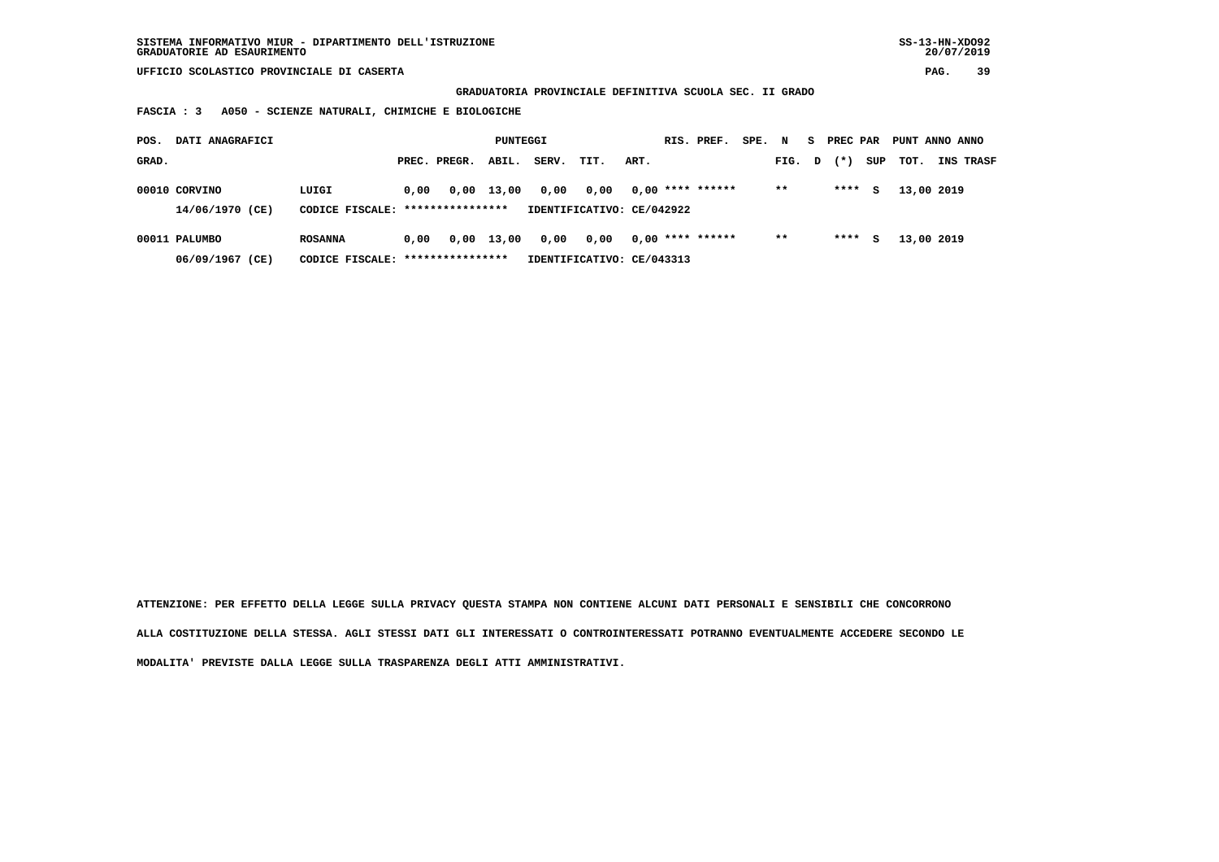**GRADUATORIA PROVINCIALE DEFINITIVA SCUOLA SEC. II GRADO**

 **FASCIA : 3 A050 - SCIENZE NATURALI, CHIMICHE E BIOLOGICHE**

| POS.  | DATI ANAGRAFICI                  |                                           |      |              | PUNTEGGI     |       |                                   |      | RIS. PREF.         | SPE. N |       | S.           | PREC PAR |     | PUNT ANNO ANNO |                  |
|-------|----------------------------------|-------------------------------------------|------|--------------|--------------|-------|-----------------------------------|------|--------------------|--------|-------|--------------|----------|-----|----------------|------------------|
| GRAD. |                                  |                                           |      | PREC. PREGR. | ABIL.        | SERV. | TIT.                              | ART. |                    |        | FIG.  | $\mathbf{D}$ | $(* )$   | SUP | тот.           | <b>INS TRASF</b> |
|       | 00010 CORVINO<br>14/06/1970 (CE) | LUIGI<br>CODICE FISCALE: **************** | 0.00 | 0,00         | 13,00        | 0,00  | 0,00<br>IDENTIFICATIVO: CE/042922 |      | $0,00$ **** ****** |        | $* *$ |              | ****     | s   | 13,00 2019     |                  |
|       |                                  |                                           |      |              |              |       |                                   |      |                    |        |       |              |          |     |                |                  |
|       | 00011 PALUMBO                    | <b>ROSANNA</b>                            | 0.00 |              | $0,00$ 13,00 | 0,00  | 0.00                              |      | $0,00$ **** ****** |        | $* *$ |              | ****     | s   | 13,00 2019     |                  |
|       | 06/09/1967 (CE)                  | CODICE FISCALE: *****************         |      |              |              |       | IDENTIFICATIVO: CE/043313         |      |                    |        |       |              |          |     |                |                  |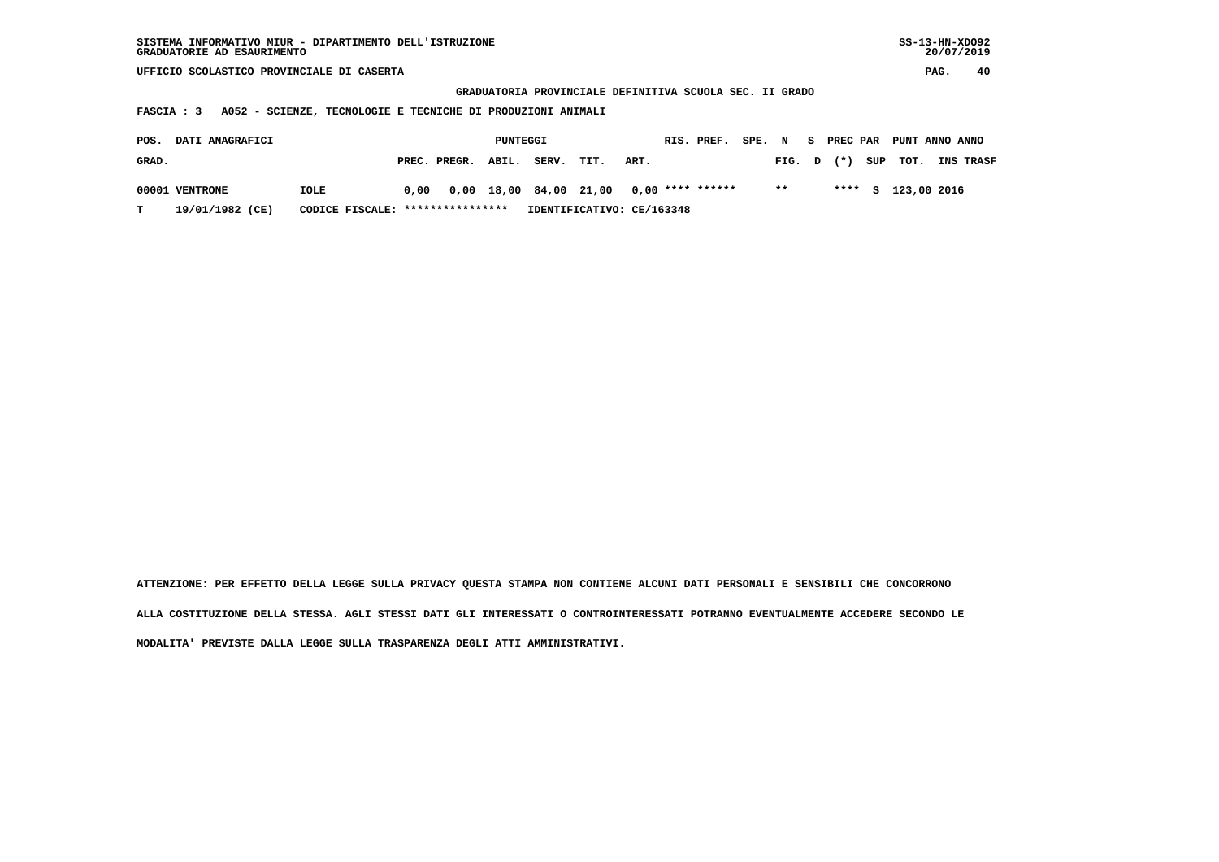| SISTEMA INFORMATIVO MIUR - DIPARTIMENTO DELL'ISTRUZIONE | $SS-13-HN-XDO92$ |
|---------------------------------------------------------|------------------|
| GRADUATORIE AD ESAURIMENTO                              | 20/07/2019       |
|                                                         |                  |

 **GRADUATORIA PROVINCIALE DEFINITIVA SCUOLA SEC. II GRADO**

 **FASCIA : 3 A052 - SCIENZE, TECNOLOGIE E TECNICHE DI PRODUZIONI ANIMALI**

| POS.  | DATI ANAGRAFICI |                                  |      |                    | PUNTEGGI |       |      |                                         | RIS. PREF. SPE. N |              |  | S PREC PAR PUNT ANNO ANNO |                  |
|-------|-----------------|----------------------------------|------|--------------------|----------|-------|------|-----------------------------------------|-------------------|--------------|--|---------------------------|------------------|
| GRAD. |                 |                                  |      | PREC. PREGR. ABIL. |          | SERV. | TIT. | ART.                                    |                   | $FIG. D (*)$ |  | SUP TOT.                  | <b>INS TRASF</b> |
|       | 00001 VENTRONE  | IOLE                             | 0.00 |                    |          |       |      | 0,00 18,00 84,00 21,00 0,00 **** ****** |                   | $\star\star$ |  | **** S 123,00 2016        |                  |
| т     | 19/01/1982 (CE) | CODICE FISCALE: **************** |      |                    |          |       |      | IDENTIFICATIVO: CE/163348               |                   |              |  |                           |                  |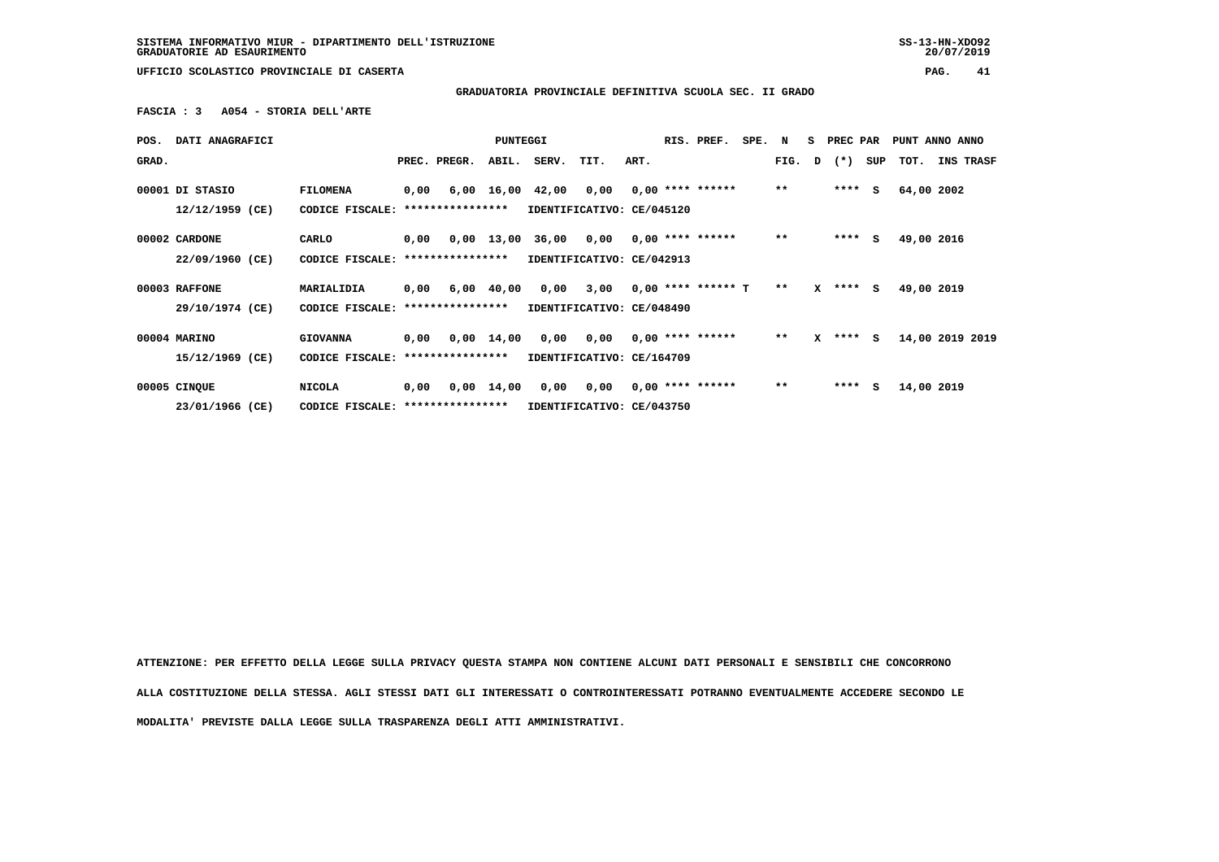**SISTEMA INFORMATIVO MIUR - DIPARTIMENTO DELL'ISTRUZIONE SS-13-HN-XDO92 GRADUATORIE AD ESAURIMENTO 20/07/2019**

 $20/07/2019$ 

 **UFFICIO SCOLASTICO PROVINCIALE DI CASERTA PAG. 41**

 **GRADUATORIA PROVINCIALE DEFINITIVA SCUOLA SEC. II GRADO**

 **FASCIA : 3 A054 - STORIA DELL'ARTE**

| POS.  | <b>DATI ANAGRAFICI</b> |                                   |      |                                                        | <b>PUNTEGGI</b> |                                          |                                          |      | RIS. PREF.         | SPE. N |       |   | S PREC PAR   |     | PUNT ANNO ANNO |            |                  |
|-------|------------------------|-----------------------------------|------|--------------------------------------------------------|-----------------|------------------------------------------|------------------------------------------|------|--------------------|--------|-------|---|--------------|-----|----------------|------------|------------------|
| GRAD. |                        |                                   |      | PREC. PREGR.                                           | ABIL.           | SERV.                                    | TIT.                                     | ART. |                    |        | FIG.  | D | $(\star)$    | SUP | тот.           |            | <b>INS TRASF</b> |
|       | 00001 DI STASIO        | <b>FILOMENA</b>                   | 0,00 |                                                        |                 | $6,00$ 16,00 42,00 0,00 0,00 **** ****** |                                          |      |                    |        | $***$ |   | $***$ S      |     |                | 64,00 2002 |                  |
|       | 12/12/1959 (CE)        | CODICE FISCALE:                   |      | ****************                                       |                 | IDENTIFICATIVO: CE/045120                |                                          |      |                    |        |       |   |              |     |                |            |                  |
|       | 00002 CARDONE          | CARLO                             | 0,00 |                                                        | 0,00 13,00      |                                          | 36,00 0,00                               |      | $0.00$ **** ****** |        | $***$ |   | $***$ S      |     |                | 49,00 2016 |                  |
|       | 22/09/1960 (CE)        | CODICE FISCALE: ***************** |      |                                                        |                 | IDENTIFICATIVO: CE/042913                |                                          |      |                    |        |       |   |              |     |                |            |                  |
|       | 00003 RAFFONE          | MARIALIDIA                        | 0,00 |                                                        | $6,00$ $40,00$  |                                          | $0,00$ $3,00$ $0,00$ $***$ **** ****** T |      |                    |        | $* *$ |   | X **** S     |     |                | 49,00 2019 |                  |
|       | 29/10/1974 (CE)        | CODICE FISCALE:                   |      | ****************                                       |                 | IDENTIFICATIVO: CE/048490                |                                          |      |                    |        |       |   |              |     |                |            |                  |
|       | 00004 MARINO           | <b>GIOVANNA</b>                   | 0,00 |                                                        | $0,00$ 14,00    | 0,00                                     | 0,00                                     |      | $0,00$ **** ****** |        | $***$ |   | $X$ **** $S$ |     |                |            | 14,00 2019 2019  |
|       | 15/12/1969 (CE)        | CODICE FISCALE:                   |      | ****************                                       |                 | IDENTIFICATIVO: CE/164709                |                                          |      |                    |        |       |   |              |     |                |            |                  |
|       | 00005 CINQUE           | <b>NICOLA</b>                     | 0,00 |                                                        |                 | 0,00                                     | 0,00                                     |      | $0,00$ **** ****** |        | $* *$ |   | ****         | S.  |                | 14,00 2019 |                  |
|       | 23/01/1966 (CE)        |                                   |      | $0,00 \quad 14,00$<br>CODICE FISCALE: **************** |                 |                                          | IDENTIFICATIVO: CE/043750                |      |                    |        |       |   |              |     |                |            |                  |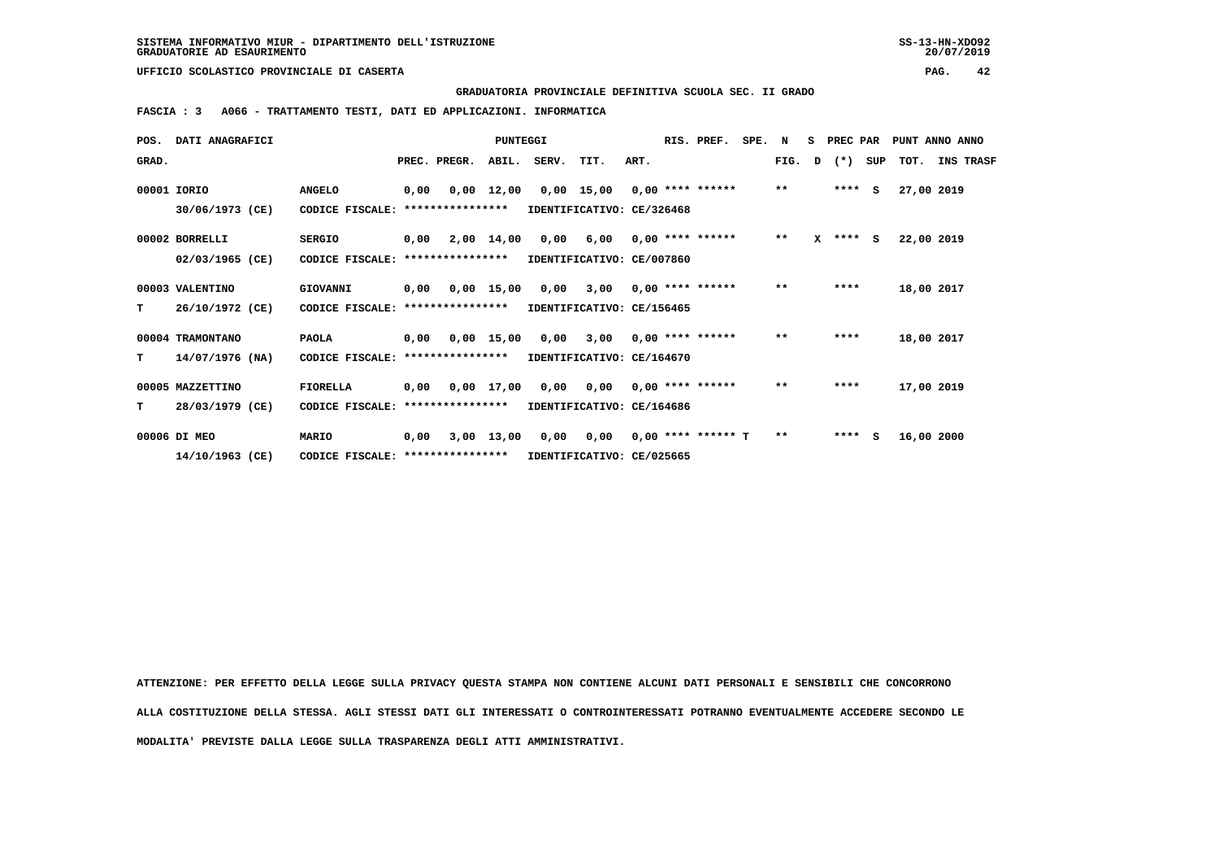**GRADUATORIA PROVINCIALE DEFINITIVA SCUOLA SEC. II GRADO**

 **FASCIA : 3 A066 - TRATTAMENTO TESTI, DATI ED APPLICAZIONI. INFORMATICA**

| POS.  | DATI ANAGRAFICI   |                                   |      | PUNTEGGI         |                    | RIS. PREF.                | SPE. N                     |      |                      | S PREC PAR |              | PUNT ANNO ANNO |              |     |      |            |                  |
|-------|-------------------|-----------------------------------|------|------------------|--------------------|---------------------------|----------------------------|------|----------------------|------------|--------------|----------------|--------------|-----|------|------------|------------------|
| GRAD. |                   |                                   |      | PREC. PREGR.     | ABIL.              | SERV.                     | TIT.                       | ART. |                      |            | FIG.         | D              | $(*)$        | SUP | TOT. |            | <b>INS TRASF</b> |
|       | 00001 IORIO       | <b>ANGELO</b>                     | 0,00 |                  | $0,00 \quad 12,00$ |                           | 0,00 15,00                 |      | $0.00$ **** ******   |            | $\star\star$ |                | $***$ S      |     |      | 27,00 2019 |                  |
|       | 30/06/1973 (CE)   | CODICE FISCALE: ***************** |      |                  |                    | IDENTIFICATIVO: CE/326468 |                            |      |                      |            |              |                |              |     |      |            |                  |
|       | 00002 BORRELLI    | <b>SERGIO</b>                     | 0,00 |                  | 2,00 14,00         | 0,00                      | 6,00                       |      | $0.00$ **** ******   |            | $\star\star$ |                | $X$ **** $S$ |     |      | 22,00 2019 |                  |
|       | 02/03/1965 (CE)   | CODICE FISCALE:                   |      | **************** |                    | IDENTIFICATIVO: CE/007860 |                            |      |                      |            |              |                |              |     |      |            |                  |
|       | 00003 VALENTINO   | GIOVANNI                          | 0,00 |                  | $0.00$ 15.00       |                           | 0,00 3,00                  |      | $0.00$ **** ******   |            | $* *$        |                | ****         |     |      | 18,00 2017 |                  |
| T.    | 26/10/1972 (CE)   | CODICE FISCALE:                   |      | **************** |                    | IDENTIFICATIVO: CE/156465 |                            |      |                      |            |              |                |              |     |      |            |                  |
|       | 00004 TRAMONTANO  | <b>PAOLA</b>                      | 0,00 |                  | $0,00$ 15,00       | 0,00                      | 3,00                       |      | $0.00$ **** ******   |            | $***$        |                | ****         |     |      | 18,00 2017 |                  |
| т     | $14/07/1976$ (NA) | CODICE FISCALE:                   |      | **************** |                    | IDENTIFICATIVO: CE/164670 |                            |      |                      |            |              |                |              |     |      |            |                  |
|       | 00005 MAZZETTINO  | <b>FIORELLA</b>                   | 0,00 |                  | 0,00 17,00         |                           | 0,00 0,00 0,00 **** ****** |      |                      |            | $***$        |                | ****         |     |      | 17,00 2019 |                  |
| т     | 28/03/1979 (CE)   | CODICE FISCALE:                   |      | **************** |                    | IDENTIFICATIVO: CE/164686 |                            |      |                      |            |              |                |              |     |      |            |                  |
|       | 00006 DI MEO      | <b>MARIO</b>                      | 0,00 |                  | 3,00 13,00         | 0,00                      | 0,00                       |      | $0.00$ **** ****** T |            | $**$         |                | $***$ S      |     |      | 16,00 2000 |                  |
|       | 14/10/1963 (CE)   | CODICE FISCALE: ****************  |      |                  |                    | IDENTIFICATIVO: CE/025665 |                            |      |                      |            |              |                |              |     |      |            |                  |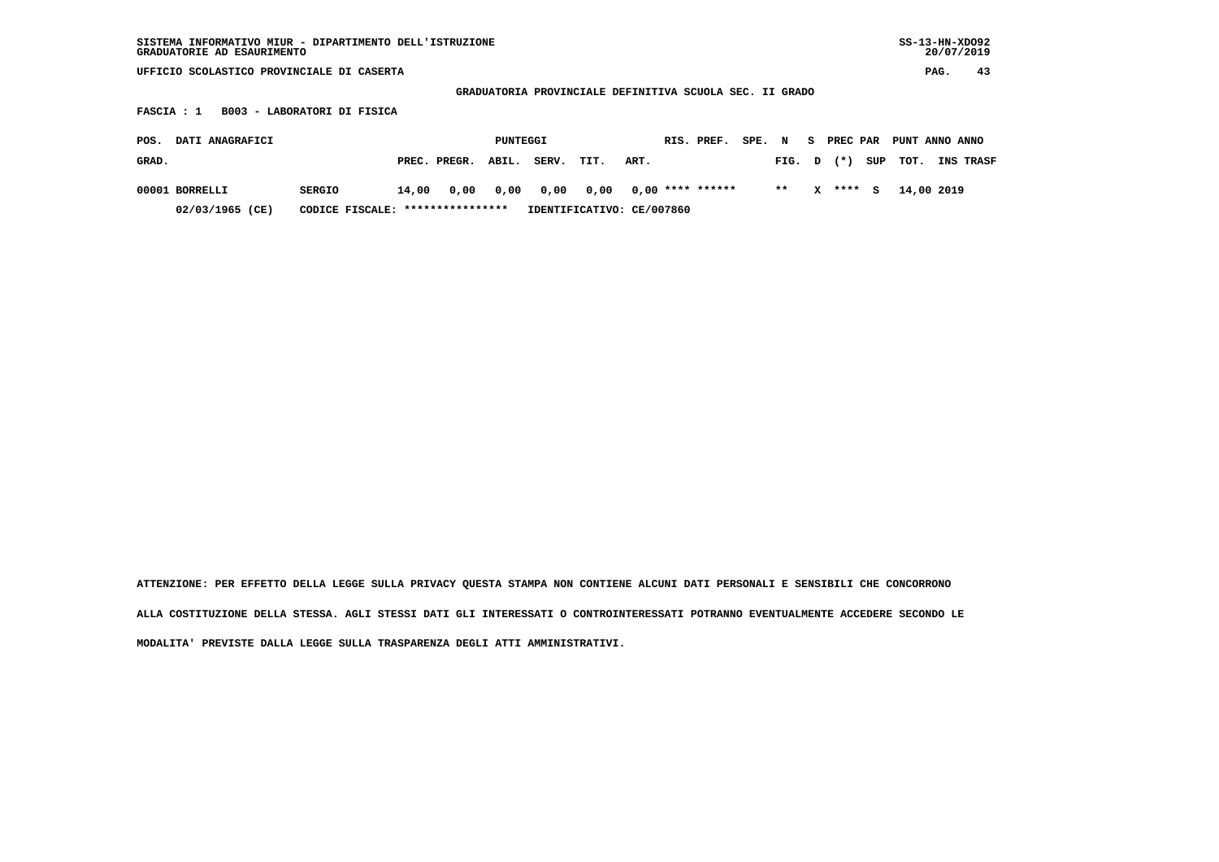| $SS-13-HN-XDO92$<br>SISTEMA INFORMATIVO MIUR - DIPARTIMENTO DELL'ISTRUZIONE<br>GRADUATORIE AD ESAURIMENTO |                                   |                           |                      |                           |                   |  |  |  |  |  |  |  |  |
|-----------------------------------------------------------------------------------------------------------|-----------------------------------|---------------------------|----------------------|---------------------------|-------------------|--|--|--|--|--|--|--|--|
| UFFICIO SCOLASTICO PROVINCIALE DI CASERTA                                                                 |                                   |                           |                      |                           |                   |  |  |  |  |  |  |  |  |
| GRADUATORIA PROVINCIALE DEFINITIVA SCUOLA SEC. II GRADO                                                   |                                   |                           |                      |                           |                   |  |  |  |  |  |  |  |  |
| B003 - LABORATORI DI FISICA<br>FASCIA : 1                                                                 |                                   |                           |                      |                           |                   |  |  |  |  |  |  |  |  |
| DATI ANAGRAFICI<br>POS.                                                                                   |                                   | PUNTEGGI                  | RIS. PREF.<br>SPE. N | S PREC PAR                | PUNT ANNO ANNO    |  |  |  |  |  |  |  |  |
| GRAD.                                                                                                     | ABIL.<br>PREC. PREGR.             | SERV.<br>TIT.             | ART.                 | $^{(*)}$<br>SUP<br>FIG. D | TOT.<br>INS TRASF |  |  |  |  |  |  |  |  |
| 00001 BORRELLI<br><b>SERGIO</b>                                                                           | 0,00<br>14,00<br>0,00             | 0,00<br>0,00              | $0.00$ **** ******   | $* *$<br>****<br>x<br>s   | 14,00 2019        |  |  |  |  |  |  |  |  |
| 02/03/1965 (CE)                                                                                           | CODICE FISCALE: ***************** | IDENTIFICATIVO: CE/007860 |                      |                           |                   |  |  |  |  |  |  |  |  |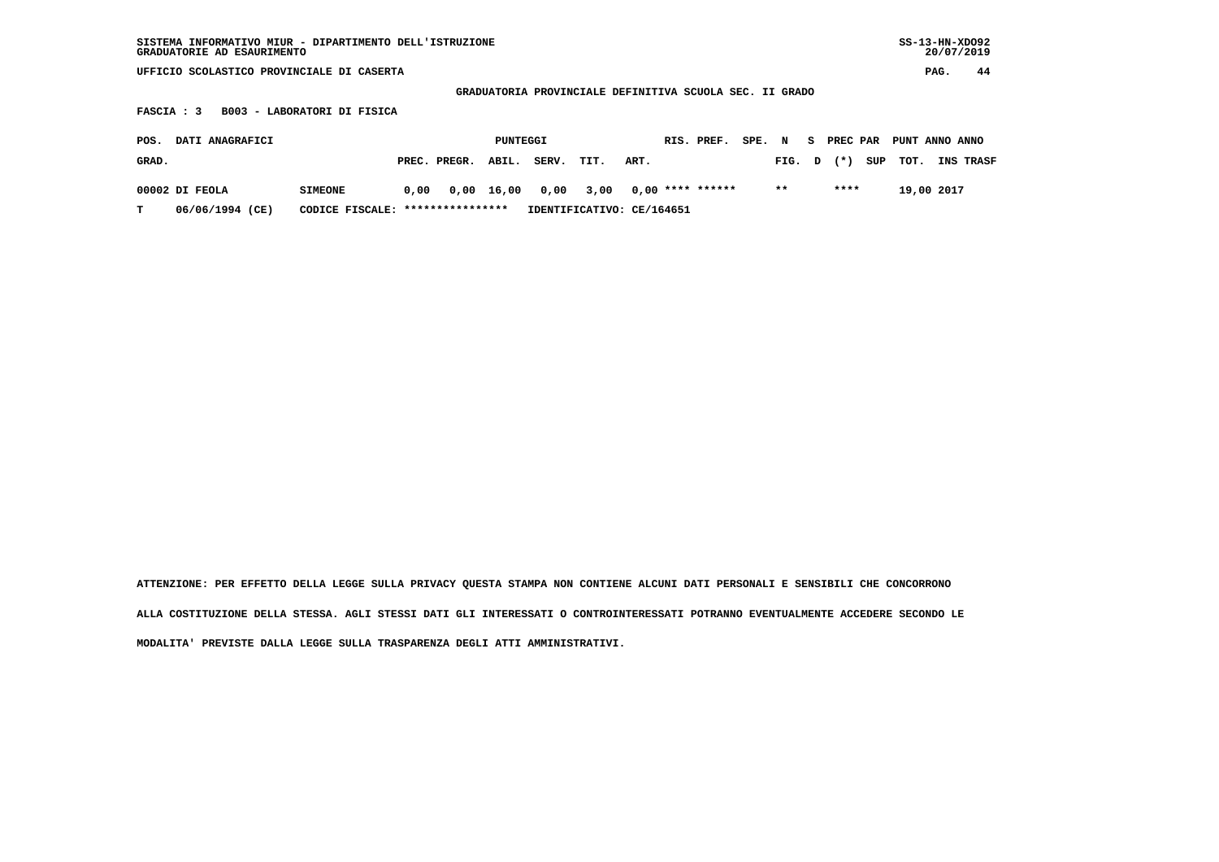| SISTEMA INFORMATIVO MIUR - DIPARTIMENTO DELL'ISTRUZIONE<br>GRADUATORIE AD ESAURIMENTO |                                                     |      |              |          |       |                           |      |                    |  |        |        |    |          |      | $SS-13-HN-XDO92$<br>20/07/2019 |            |           |  |
|---------------------------------------------------------------------------------------|-----------------------------------------------------|------|--------------|----------|-------|---------------------------|------|--------------------|--|--------|--------|----|----------|------|--------------------------------|------------|-----------|--|
| UFFICIO SCOLASTICO PROVINCIALE DI CASERTA                                             |                                                     |      |              |          |       |                           |      |                    |  |        |        |    |          | PAG. | 44                             |            |           |  |
| GRADUATORIA PROVINCIALE DEFINITIVA SCUOLA SEC. II GRADO                               |                                                     |      |              |          |       |                           |      |                    |  |        |        |    |          |      |                                |            |           |  |
| B003 - LABORATORI DI FISICA<br>FASCIA : 3                                             |                                                     |      |              |          |       |                           |      |                    |  |        |        |    |          |      |                                |            |           |  |
| POS.                                                                                  | DATI ANAGRAFICI                                     |      |              | PUNTEGGI |       |                           |      | RIS. PREF.         |  | SPE. N |        | S. | PREC PAR |      | PUNT ANNO ANNO                 |            |           |  |
| GRAD.                                                                                 |                                                     |      | PREC. PREGR. | ABIL.    | SERV. | TIT.                      | ART. |                    |  |        | FIG. D |    | $(* )$   | SUP  | TOT.                           |            | INS TRASF |  |
| 00002 DI FEOLA                                                                        | <b>SIMEONE</b>                                      | 0.00 | 0,00         | 16,00    | 0,00  | 3,00                      |      | $0,00$ **** ****** |  |        | $***$  |    | ****     |      |                                | 19,00 2017 |           |  |
| т                                                                                     | 06/06/1994 (CE)<br>CODICE FISCALE: **************** |      |              |          |       | IDENTIFICATIVO: CE/164651 |      |                    |  |        |        |    |          |      |                                |            |           |  |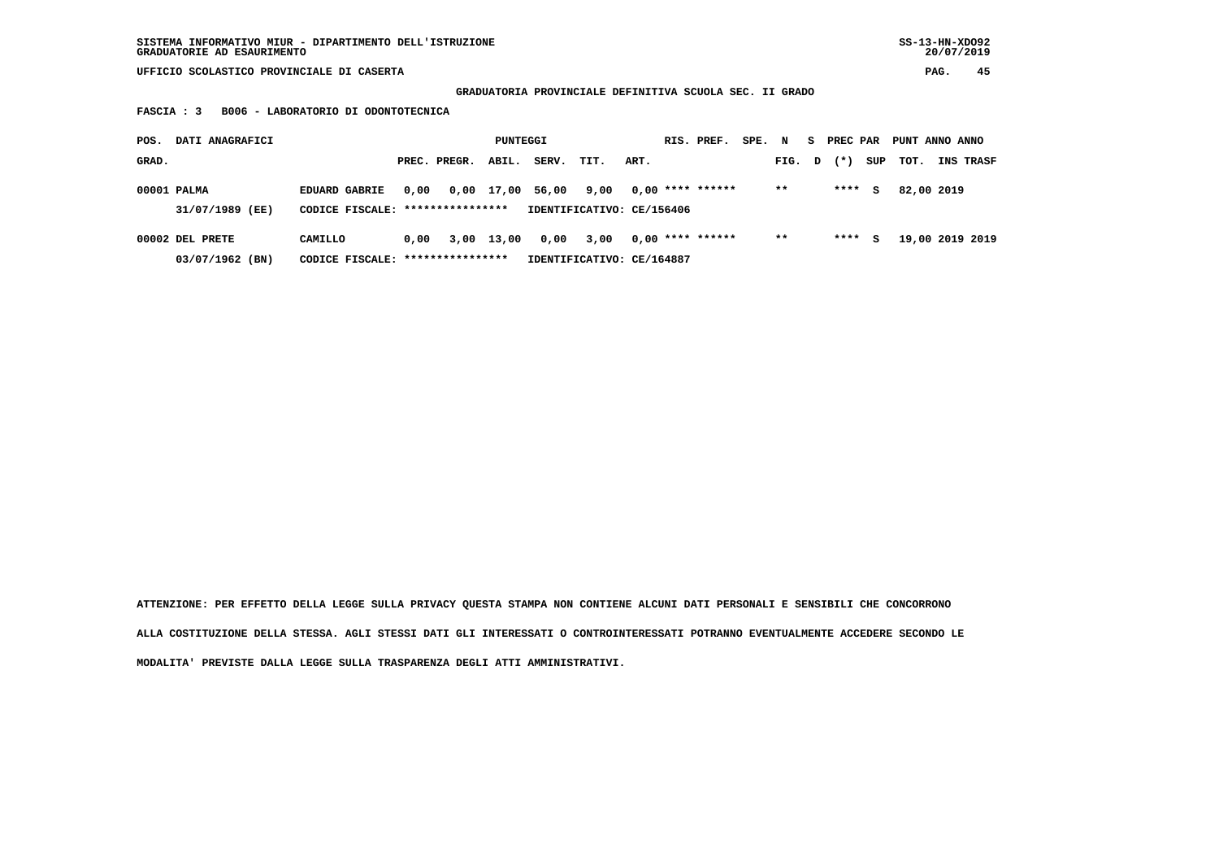## **GRADUATORIA PROVINCIALE DEFINITIVA SCUOLA SEC. II GRADO**

 **FASCIA : 3 B006 - LABORATORIO DI ODONTOTECNICA**

| POS.<br>DATI ANAGRAFICI            |                                                          |      |              |            | PUNTEGGI |                                   |      |  | RIS. PREF.         | SPE. | N      | S. | PREC PAR |     | PUNT ANNO ANNO |                 |
|------------------------------------|----------------------------------------------------------|------|--------------|------------|----------|-----------------------------------|------|--|--------------------|------|--------|----|----------|-----|----------------|-----------------|
| GRAD.                              |                                                          |      | PREC. PREGR. | ABIL.      | SERV.    | TIT.                              | ART. |  |                    |      | FIG. D |    | $(* )$   | SUP | тот.           | INS TRASF       |
| 00001 PALMA<br>31/07/1989 (EE)     | <b>EDUARD GABRIE</b><br>CODICE FISCALE: **************** | 0,00 |              | 0,00 17,00 | 56,00    | 9,00<br>IDENTIFICATIVO: CE/156406 |      |  | $0.00$ **** ****** |      | $* *$  |    | ****     | s   | 82,00 2019     |                 |
| 00002 DEL PRETE<br>03/07/1962 (BN) | CAMILLO<br>CODICE FISCALE: *****************             | 0.00 | 3,00         | 13,00      | 0,00     | 3,00<br>IDENTIFICATIVO: CE/164887 |      |  | $0.00$ **** ****** |      | $* *$  |    | ****     | s   |                | 19,00 2019 2019 |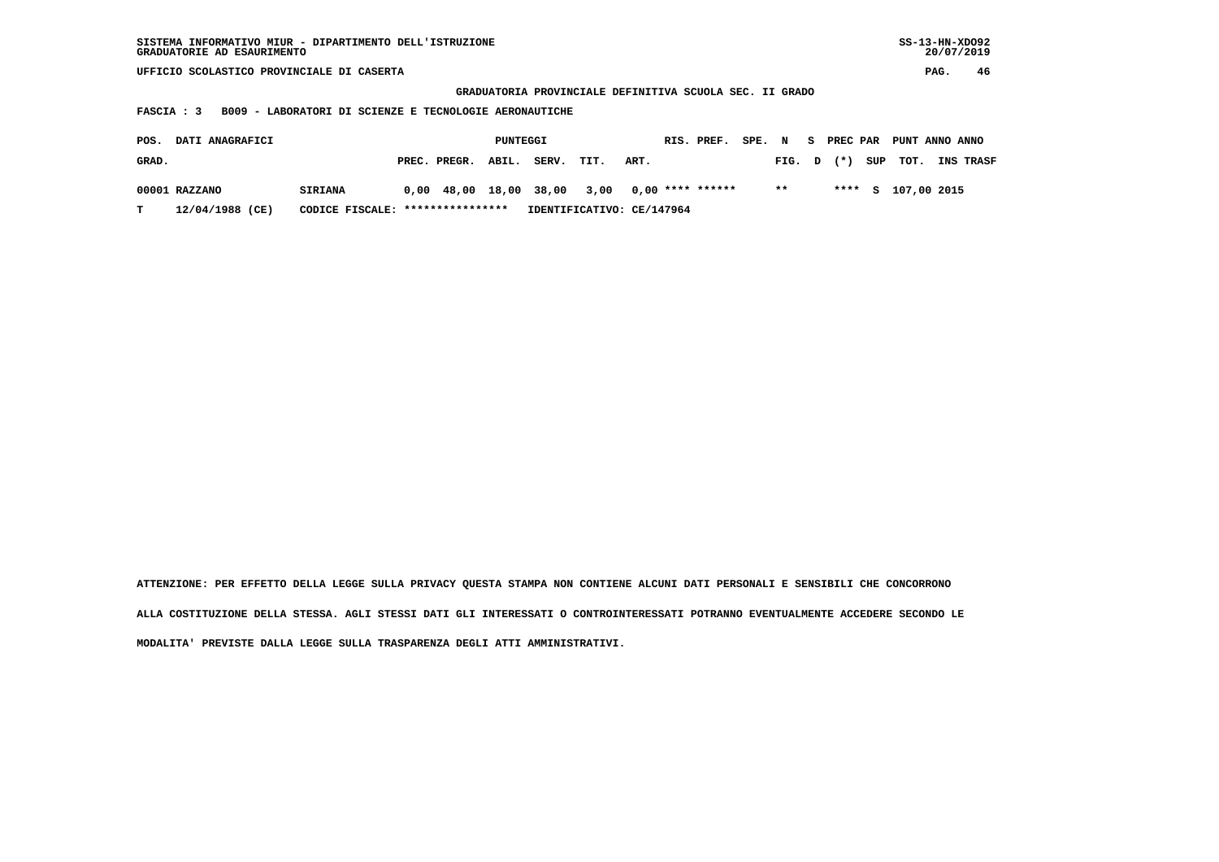| $SS-13-HN-XDO92$<br>SISTEMA INFORMATIVO MIUR - DIPARTIMENTO DELL'ISTRUZIONE<br>GRADUATORIE AD ESAURIMENTO |                       |               |                      |                        |                          |  |  |  |  |  |  |  |  |
|-----------------------------------------------------------------------------------------------------------|-----------------------|---------------|----------------------|------------------------|--------------------------|--|--|--|--|--|--|--|--|
| UFFICIO SCOLASTICO PROVINCIALE DI CASERTA                                                                 |                       |               |                      |                        |                          |  |  |  |  |  |  |  |  |
| GRADUATORIA PROVINCIALE DEFINITIVA SCUOLA SEC. II GRADO                                                   |                       |               |                      |                        |                          |  |  |  |  |  |  |  |  |
| B009 - LABORATORI DI SCIENZE E TECNOLOGIE AERONAUTICHE<br>FASCIA : 3                                      |                       |               |                      |                        |                          |  |  |  |  |  |  |  |  |
|                                                                                                           |                       |               |                      |                        |                          |  |  |  |  |  |  |  |  |
| DATI ANAGRAFICI<br>POS.                                                                                   | PUNTEGGI              |               | RIS. PREF.<br>SPE. N | PREC PAR<br>S.         | PUNT ANNO ANNO           |  |  |  |  |  |  |  |  |
| GRAD.                                                                                                     | ABIL.<br>PREC. PREGR. | SERV.<br>TIT. | ART.                 | SUP<br>$(*)$<br>FIG. D | TOT.<br><b>INS TRASF</b> |  |  |  |  |  |  |  |  |
|                                                                                                           |                       |               |                      |                        |                          |  |  |  |  |  |  |  |  |
| 00001 RAZZANO<br><b>SIRIANA</b>                                                                           | $0,00$ 48,00 18,00    | 38,00<br>3,00 | $0,00$ **** ******   | $* *$<br>****<br>S.    | 107,00 2015              |  |  |  |  |  |  |  |  |
| 12/04/1988 (CE)<br>****************<br>IDENTIFICATIVO: CE/147964<br>т<br>CODICE FISCALE:                  |                       |               |                      |                        |                          |  |  |  |  |  |  |  |  |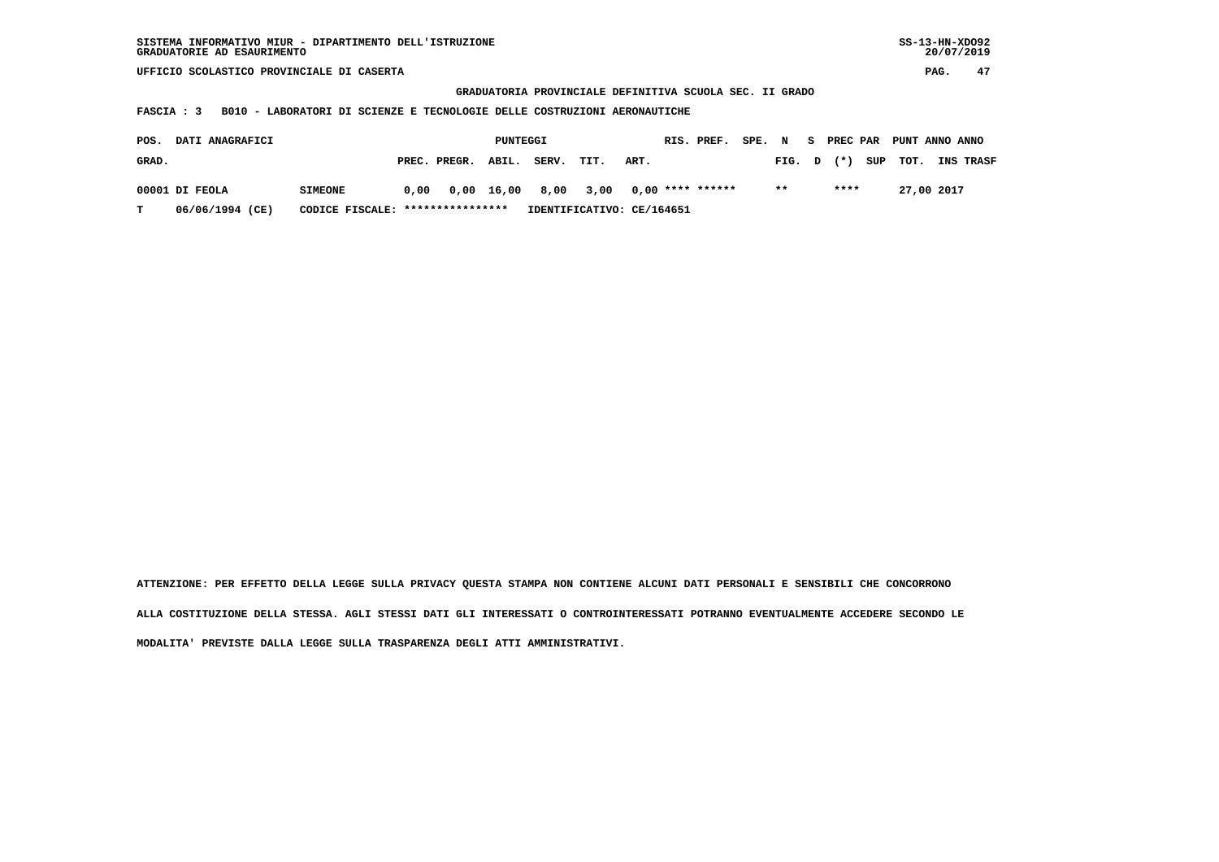| SISTEMA INFORMATIVO MIUR - DIPARTIMENTO DELL'ISTRUZIONE | SS-13-HN-XD092 |
|---------------------------------------------------------|----------------|
| GRADUATORIE AD ESAURIMENTO                              | 20/07/2019     |

 **GRADUATORIA PROVINCIALE DEFINITIVA SCUOLA SEC. II GRADO**

 **FASCIA : 3 B010 - LABORATORI DI SCIENZE E TECNOLOGIE DELLE COSTRUZIONI AERONAUTICHE**

| <b>DATI ANAGRAFICI</b><br>POS. |                 |                                  |      | PUNTEGGI           | RIS. PREF. |                 |                           |      |  | SPE. N           |  | S PREC PAR |       |          | PUNT ANNO ANNO |                  |
|--------------------------------|-----------------|----------------------------------|------|--------------------|------------|-----------------|---------------------------|------|--|------------------|--|------------|-------|----------|----------------|------------------|
| GRAD.                          |                 |                                  |      | PREC. PREGR. ABIL. |            | SERV.           | TIT.                      | ART. |  |                  |  | FIG. D     | $(*)$ | SUP TOT. |                | <b>INS TRASF</b> |
|                                | 00001 DI FEOLA  | <b>SIMEONE</b>                   | 0.00 |                    |            | 0,00 16,00 8,00 | 3,00                      |      |  | 0,00 **** ****** |  | $* *$      | ****  |          | 27,00 2017     |                  |
| T.                             | 06/06/1994 (CE) | CODICE FISCALE: **************** |      |                    |            |                 | IDENTIFICATIVO: CE/164651 |      |  |                  |  |            |       |          |                |                  |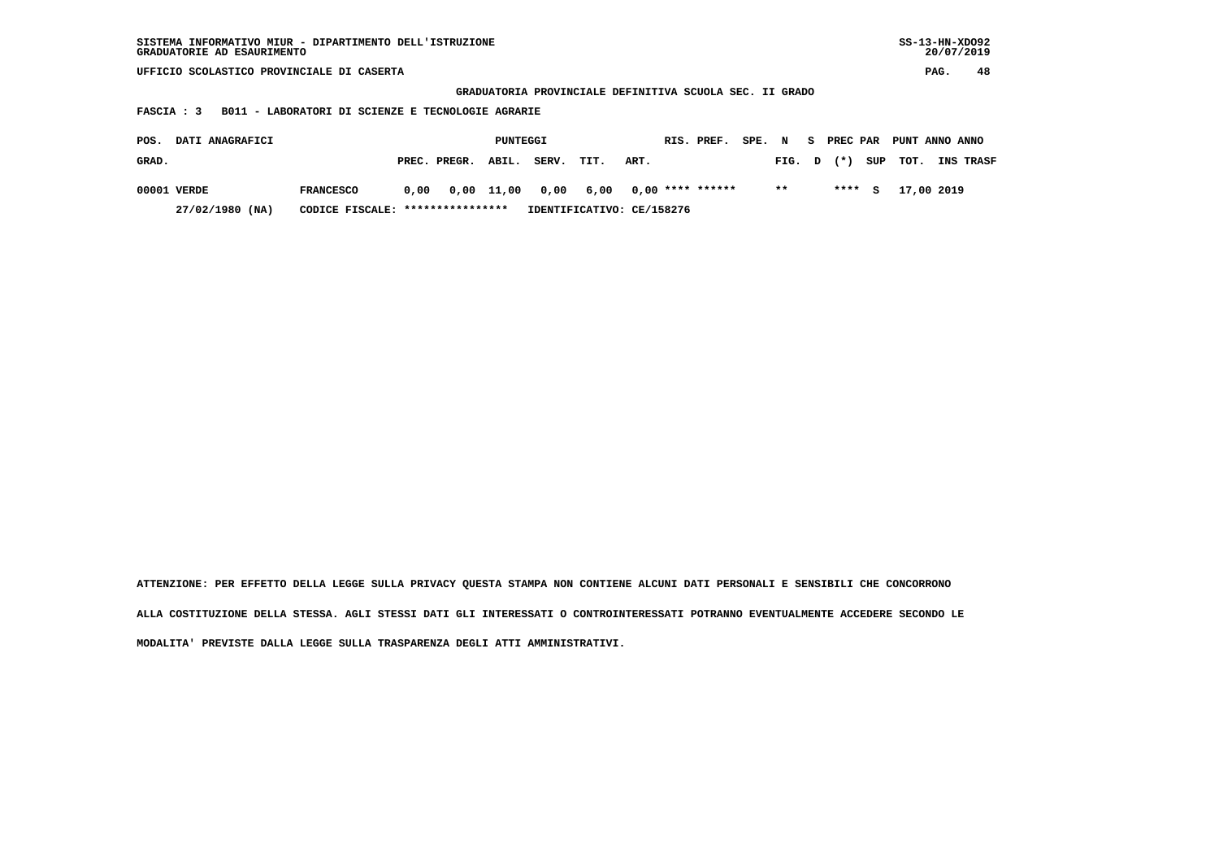| $SS-13-HN-XDO92$<br>SISTEMA INFORMATIVO MIUR - DIPARTIMENTO DELL'ISTRUZIONE<br>GRADUATORIE AD ESAURIMENTO          |                           |  |  |  |  |  |  |  |  |  |  |  |
|--------------------------------------------------------------------------------------------------------------------|---------------------------|--|--|--|--|--|--|--|--|--|--|--|
| UFFICIO SCOLASTICO PROVINCIALE DI CASERTA                                                                          |                           |  |  |  |  |  |  |  |  |  |  |  |
| GRADUATORIA PROVINCIALE DEFINITIVA SCUOLA SEC. II GRADO                                                            |                           |  |  |  |  |  |  |  |  |  |  |  |
| B011 - LABORATORI DI SCIENZE E TECNOLOGIE AGRARIE<br>FASCIA : 3                                                    |                           |  |  |  |  |  |  |  |  |  |  |  |
|                                                                                                                    |                           |  |  |  |  |  |  |  |  |  |  |  |
| DATI ANAGRAFICI<br>PUNTEGGI<br>RIS. PREF.<br>SPE. N<br>POS.                                                        | S PREC PAR PUNT ANNO ANNO |  |  |  |  |  |  |  |  |  |  |  |
| SUP<br>GRAD.<br>PREC. PREGR.<br>ABIL.<br>SERV.<br>ART.<br>$(* )$<br>TIT.<br>FIG. D                                 | тот.<br>INS TRASF         |  |  |  |  |  |  |  |  |  |  |  |
| $0,00$ **** ******<br>$***$<br>****<br><b>FRANCESCO</b><br>0,00 11,00<br>0,00<br>6,00<br>00001 VERDE<br>0,00<br>S. | 17,00 2019                |  |  |  |  |  |  |  |  |  |  |  |
| CODICE FISCALE: *****************<br>27/02/1980 (NA)<br>IDENTIFICATIVO: CE/158276                                  |                           |  |  |  |  |  |  |  |  |  |  |  |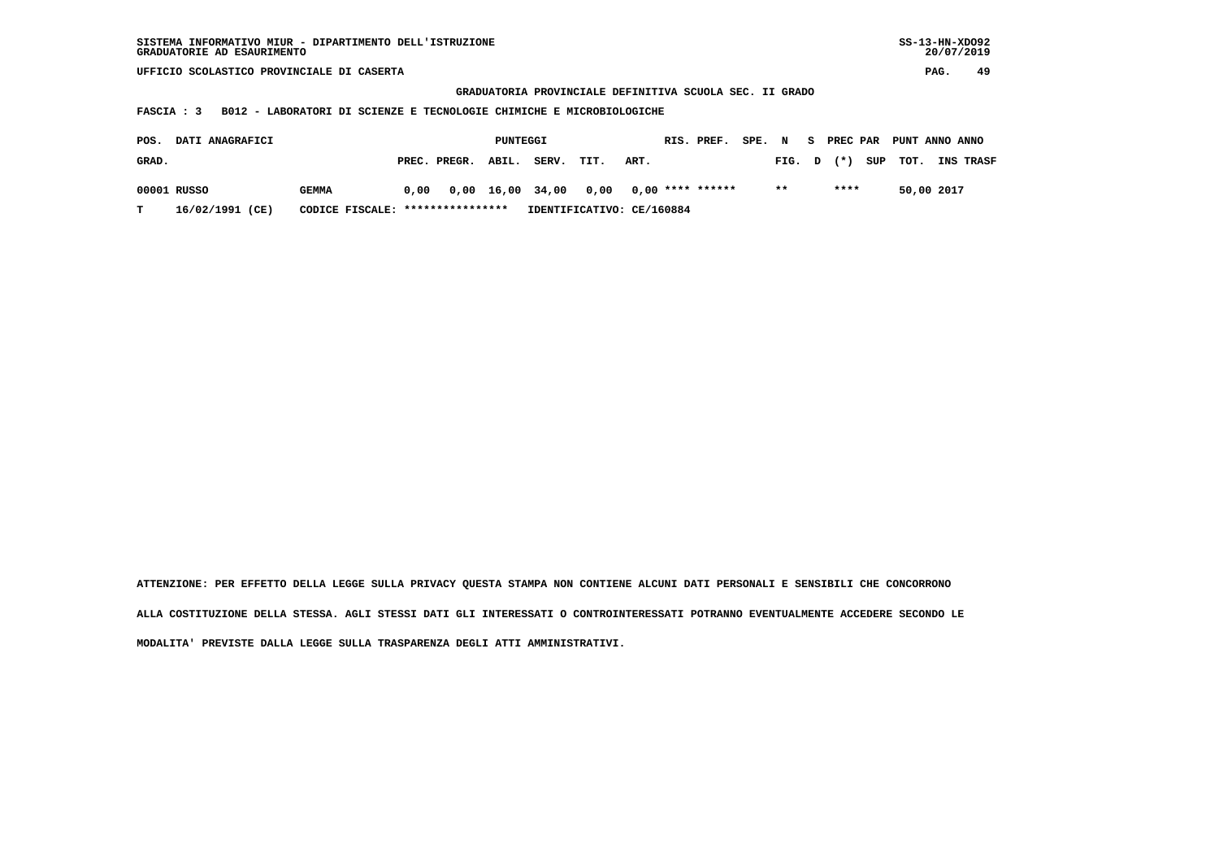| SISTEMA INFORMATIVO MIUR - DIPARTIMENTO DELL'ISTRUZIONE | SS-13-HN-XD092 |
|---------------------------------------------------------|----------------|
| GRADUATORIE AD ESAURIMENTO                              | 20/07/2019     |

 **GRADUATORIA PROVINCIALE DEFINITIVA SCUOLA SEC. II GRADO**

 **FASCIA : 3 B012 - LABORATORI DI SCIENZE E TECNOLOGIE CHIMICHE E MICROBIOLOGICHE**

| POS.<br><b>DATI ANAGRAFICI</b> |                 |                                  |      | RIS. PREF. SPE. N S PREC PAR PUNT ANNO ANNO<br>PUNTEGGI |       |                                        |      |  |  |        |        |          |            |                  |
|--------------------------------|-----------------|----------------------------------|------|---------------------------------------------------------|-------|----------------------------------------|------|--|--|--------|--------|----------|------------|------------------|
| GRAD.                          |                 |                                  |      | PREC. PREGR. ABIL.                                      | SERV. | TIT.                                   | ART. |  |  | FIG. D | $(* )$ | SUP TOT. |            | <b>INS TRASF</b> |
|                                | 00001 RUSSO     | GEMMA                            | 0.00 |                                                         |       | 0,00 16,00 34,00 0,00 0,00 **** ****** |      |  |  | $* *$  | ****   |          | 50,00 2017 |                  |
|                                | 16/02/1991 (CE) | CODICE FISCALE: **************** |      |                                                         |       | IDENTIFICATIVO: CE/160884              |      |  |  |        |        |          |            |                  |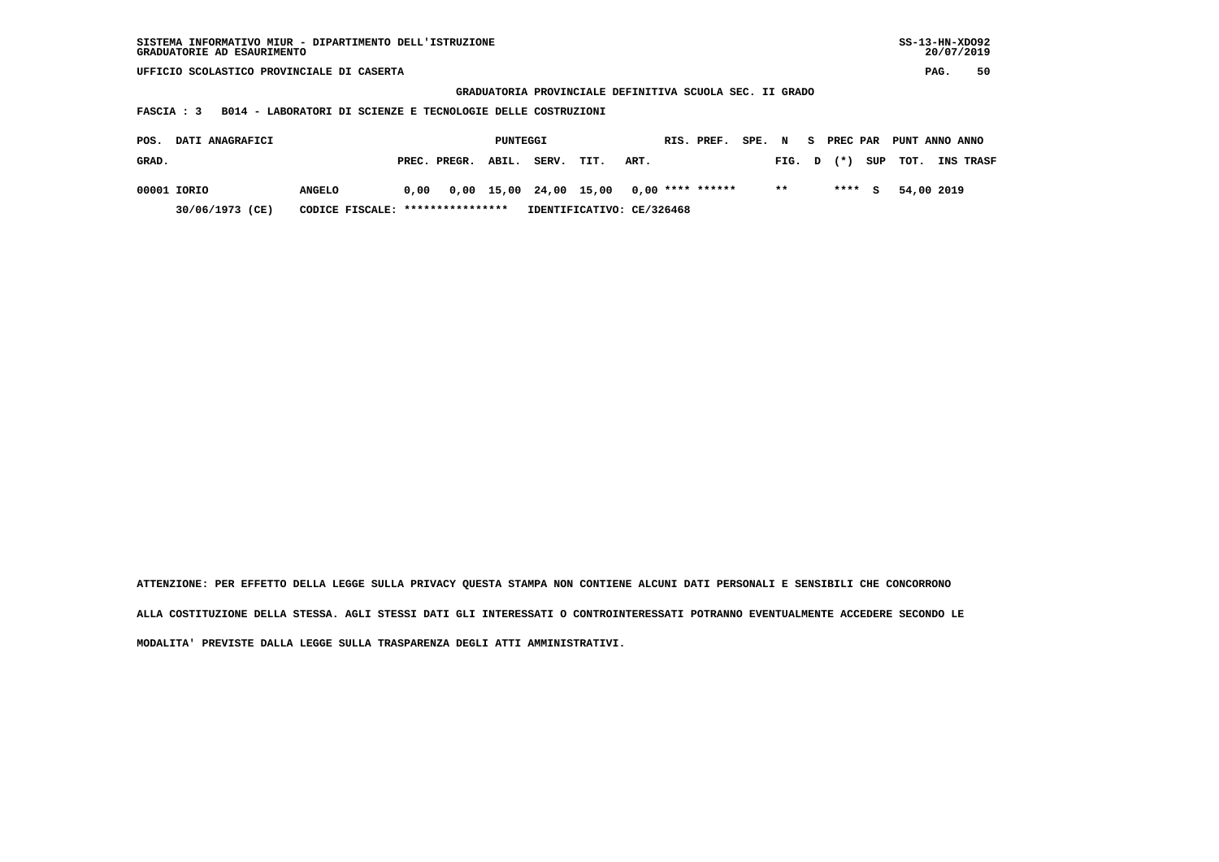| SISTEMA INFORMATIVO MIUR - DIPARTIMENTO DELL'ISTRUZIONE | SS-13-HN-XD092 |
|---------------------------------------------------------|----------------|
| GRADUATORIE AD ESAURIMENTO                              | 20/07/2019     |

 **GRADUATORIA PROVINCIALE DEFINITIVA SCUOLA SEC. II GRADO**

 **FASCIA : 3 B014 - LABORATORI DI SCIENZE E TECNOLOGIE DELLE COSTRUZIONI**

| POS.  | <b>DATI ANAGRAFICI</b> |                                  |      |                    | PUNTEGGI |       |      |                                         | RIS. PREF. SPE. N S PREC PAR PUNT ANNO ANNO |        |        |                    |                  |
|-------|------------------------|----------------------------------|------|--------------------|----------|-------|------|-----------------------------------------|---------------------------------------------|--------|--------|--------------------|------------------|
| GRAD. |                        |                                  |      | PREC. PREGR. ABIL. |          | SERV. | TIT. | ART.                                    |                                             | FIG. D |        | $(\star)$ SUP TOT. | <b>INS TRASF</b> |
|       | 00001 IORIO            | <b>ANGELO</b>                    | 0.00 |                    |          |       |      | 0,00 15,00 24,00 15,00 0,00 **** ****** |                                             | $* *$  | $***5$ | 54,00 2019         |                  |
|       | 30/06/1973 (CE)        | CODICE FISCALE: **************** |      |                    |          |       |      | IDENTIFICATIVO: CE/326468               |                                             |        |        |                    |                  |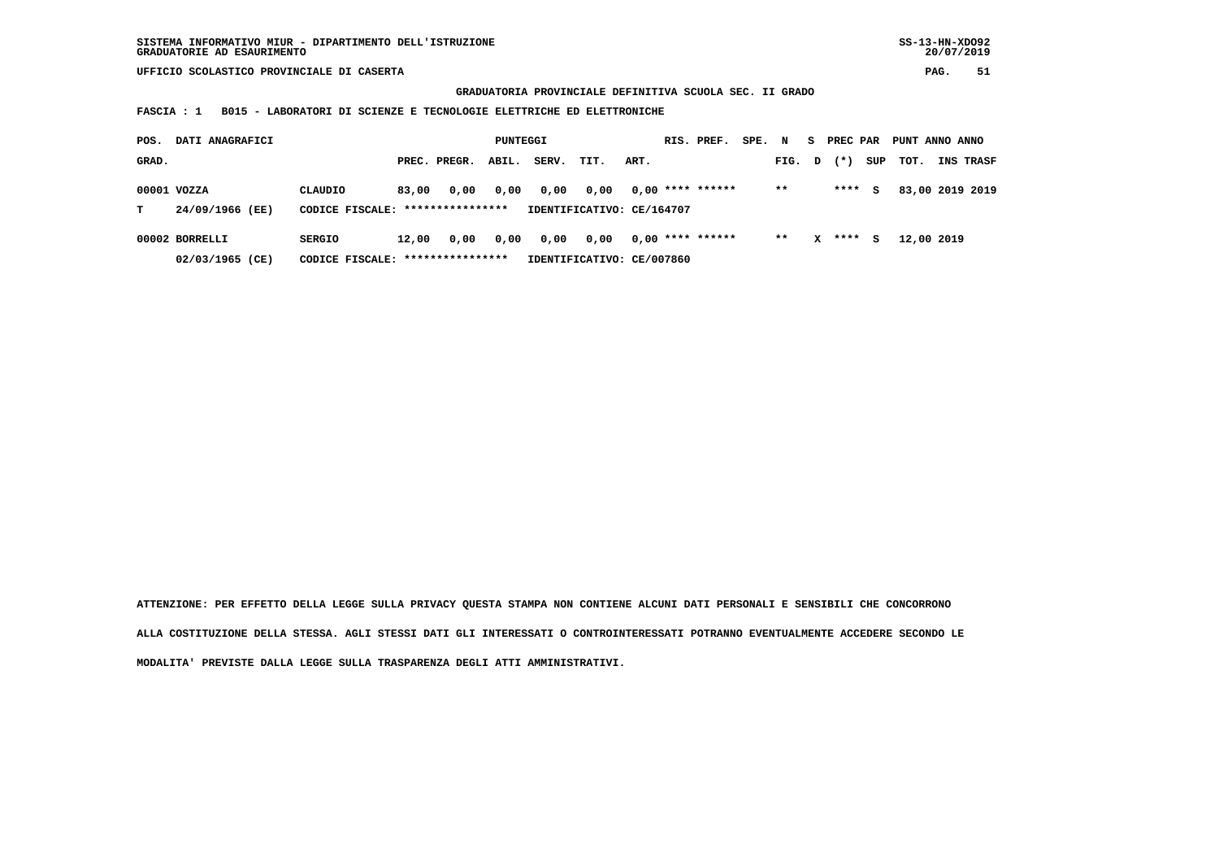**GRADUATORIA PROVINCIALE DEFINITIVA SCUOLA SEC. II GRADO**

 **FASCIA : 1 B015 - LABORATORI DI SCIENZE E TECNOLOGIE ELETTRICHE ED ELETTRONICHE**

| POS.  | DATI ANAGRAFICI                                      |                                   |       | PUNTEGGI     |       |       |                           |      | RIS. PREF.         | SPE. N |        | S. | PREC PAR |     | PUNT ANNO ANNO |                  |
|-------|------------------------------------------------------|-----------------------------------|-------|--------------|-------|-------|---------------------------|------|--------------------|--------|--------|----|----------|-----|----------------|------------------|
| GRAD. |                                                      |                                   |       | PREC. PREGR. | ABIL. | SERV. | TIT.                      | ART. |                    |        | FIG. D |    | $(*)$    | SUP | тот.           | <b>INS TRASF</b> |
|       | 00001 VOZZA                                          | CLAUDIO                           | 83,00 | 0.00         | 0,00  | 0,00  | 0.00                      |      | $0.00$ **** ****** |        | $* *$  |    | ****     | s   |                | 83,00 2019 2019  |
| т     | 24/09/1966 (EE)                                      | CODICE FISCALE: ***************** |       |              |       |       | IDENTIFICATIVO: CE/164707 |      |                    |        |        |    |          |     |                |                  |
|       | 00002 BORRELLI                                       | <b>SERGIO</b>                     | 12,00 | 0,00         | 0,00  | 0,00  | 0,00                      |      | $0,00$ **** ****** |        | $* *$  | x  | ****     | s   | 12,00 2019     |                  |
|       | CODICE FISCALE: *****************<br>02/03/1965 (CE) |                                   |       |              |       |       | IDENTIFICATIVO: CE/007860 |      |                    |        |        |    |          |     |                |                  |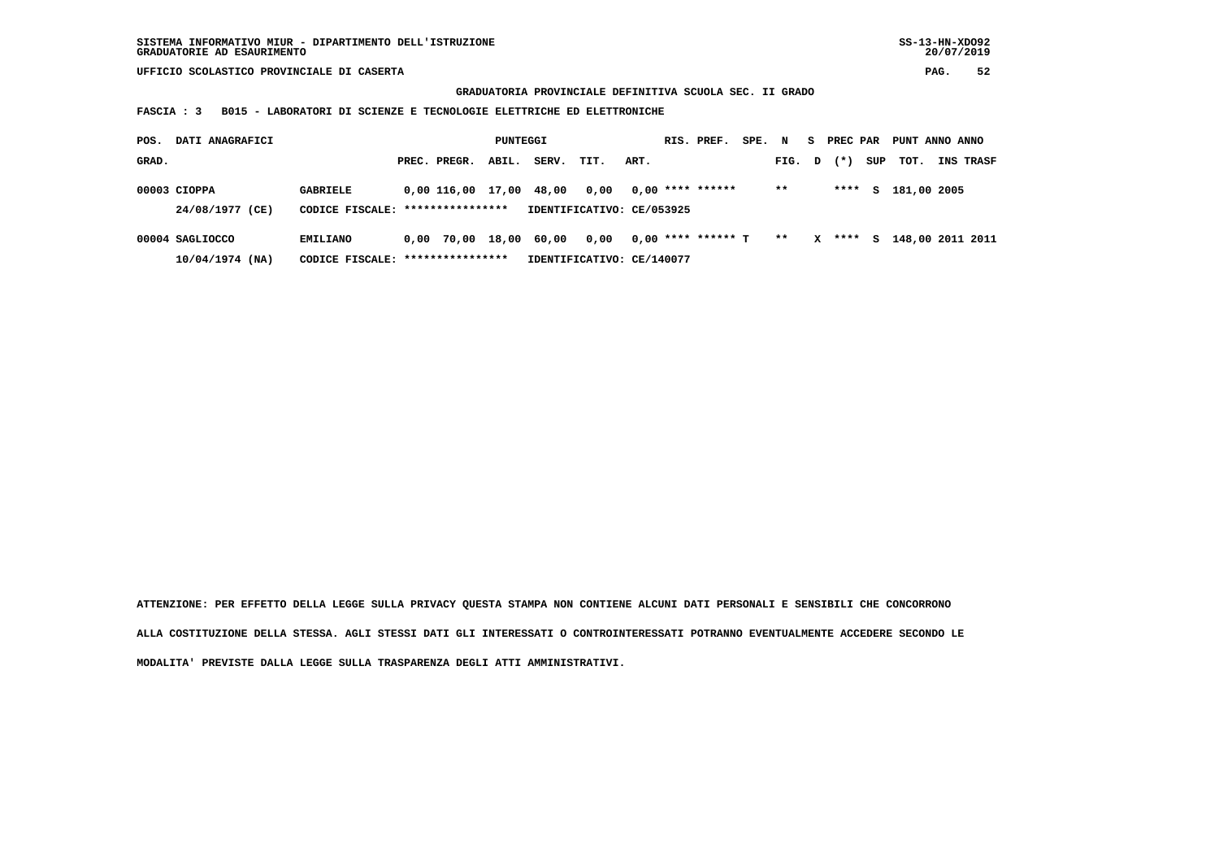**GRADUATORIA PROVINCIALE DEFINITIVA SCUOLA SEC. II GRADO**

 **FASCIA : 3 B015 - LABORATORI DI SCIENZE E TECNOLOGIE ELETTRICHE ED ELETTRONICHE**

| POS.  | DATI ANAGRAFICI                   |                                                     |  |                         |       | PUNTEGGI |                                   |      | RIS. PREF.           | SPE. N |        | s.           | PREC PAR |     | PUNT ANNO ANNO     |           |
|-------|-----------------------------------|-----------------------------------------------------|--|-------------------------|-------|----------|-----------------------------------|------|----------------------|--------|--------|--------------|----------|-----|--------------------|-----------|
| GRAD. |                                   |                                                     |  | PREC. PREGR.            | ABIL. | SERV.    | TIT.                              | ART. |                      |        | FIG. D |              | $(* )$   | SUP | тот.               | INS TRASF |
|       | $00003$ CIOPPA<br>24/08/1977 (CE) | <b>GABRIELE</b><br>CODICE FISCALE: **************** |  | 0,00 116,00 17,00 48,00 |       |          | 0,00<br>IDENTIFICATIVO: CE/053925 |      | $0.00$ **** ******   |        | $* *$  |              | ****     |     | S 181,00 2005      |           |
|       |                                   |                                                     |  |                         |       |          |                                   |      |                      |        |        |              |          |     |                    |           |
|       | 00004 SAGLIOCCO                   | EMILIANO                                            |  | 0,00 70,00 18,00 60,00  |       |          | 0,00                              |      | $0,00$ **** ****** T |        | $* *$  | $\mathbf{x}$ | ****     |     | S 148,00 2011 2011 |           |
|       | $10/04/1974$ (NA)                 | CODICE FISCALE:                                     |  | ****************        |       |          | IDENTIFICATIVO: CE/140077         |      |                      |        |        |              |          |     |                    |           |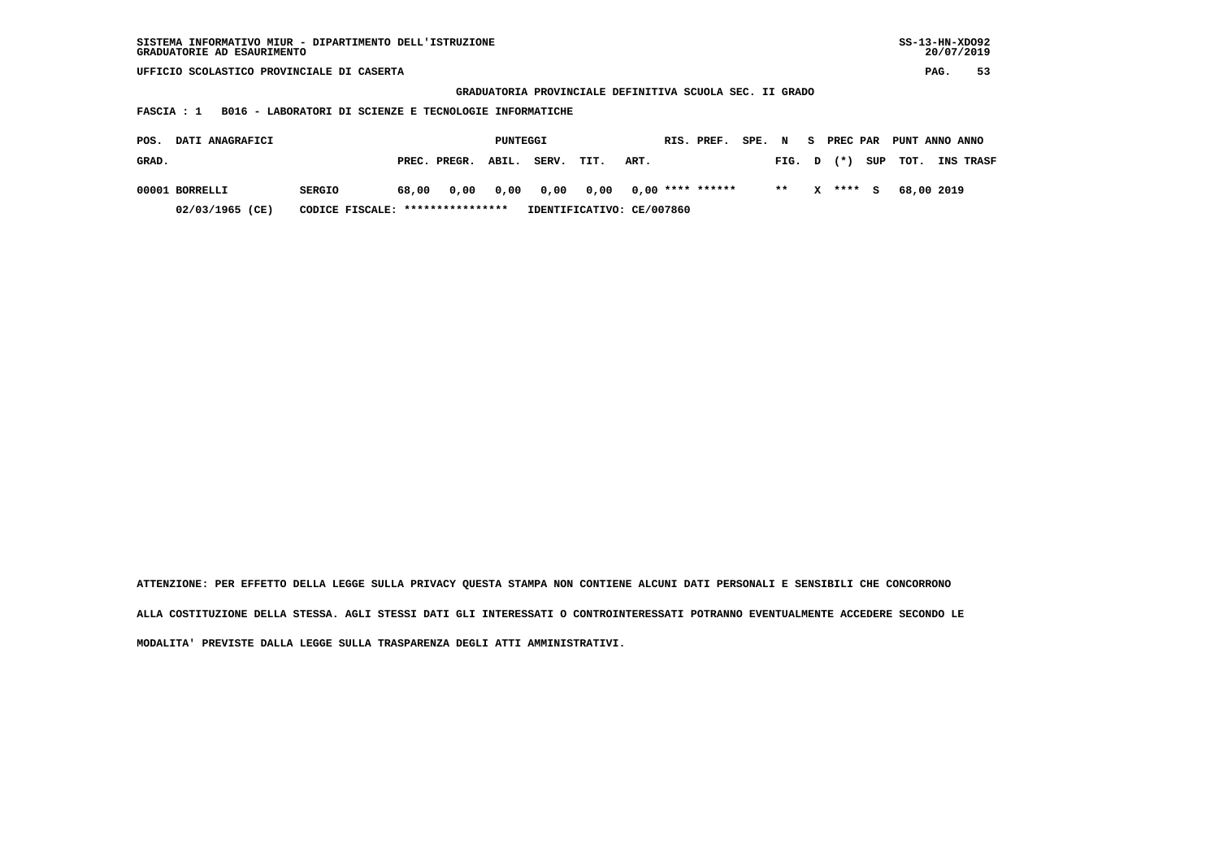| SS-13-HN-XDO92<br>SISTEMA INFORMATIVO MIUR - DIPARTIMENTO DELL'ISTRUZIONE<br>GRADUATORIE AD ESAURIMENTO |                       |                           |                    |                          |                          |  |  |  |  |  |  |  |
|---------------------------------------------------------------------------------------------------------|-----------------------|---------------------------|--------------------|--------------------------|--------------------------|--|--|--|--|--|--|--|
| UFFICIO SCOLASTICO PROVINCIALE DI CASERTA                                                               |                       |                           |                    |                          |                          |  |  |  |  |  |  |  |
| GRADUATORIA PROVINCIALE DEFINITIVA SCUOLA SEC. II GRADO                                                 |                       |                           |                    |                          |                          |  |  |  |  |  |  |  |
| B016 - LABORATORI DI SCIENZE E TECNOLOGIE INFORMATICHE<br>FASCIA : 1                                    |                       |                           |                    |                          |                          |  |  |  |  |  |  |  |
|                                                                                                         |                       |                           |                    |                          |                          |  |  |  |  |  |  |  |
| DATI ANAGRAFICI<br>POS.                                                                                 | PUNTEGGI              |                           | RIS. PREF.         | SPE. N<br>PREC PAR<br>S. | PUNT ANNO ANNO           |  |  |  |  |  |  |  |
| GRAD.                                                                                                   | PREC. PREGR.<br>ABIL. | SERV.<br>TIT.             | ART.               | $(* )$<br>SUP<br>FIG. D  | TOT.<br><b>INS TRASF</b> |  |  |  |  |  |  |  |
| 00001 BORRELLI<br><b>SERGIO</b>                                                                         | 0,00<br>0,00<br>68,00 | 0,00<br>0,00              | $0,00$ **** ****** | $* *$<br>****<br>x<br>s  | 68,00 2019               |  |  |  |  |  |  |  |
|                                                                                                         |                       |                           |                    |                          |                          |  |  |  |  |  |  |  |
| 02/03/1965 (CE)<br>CODICE FISCALE:                                                                      | ****************      | IDENTIFICATIVO: CE/007860 |                    |                          |                          |  |  |  |  |  |  |  |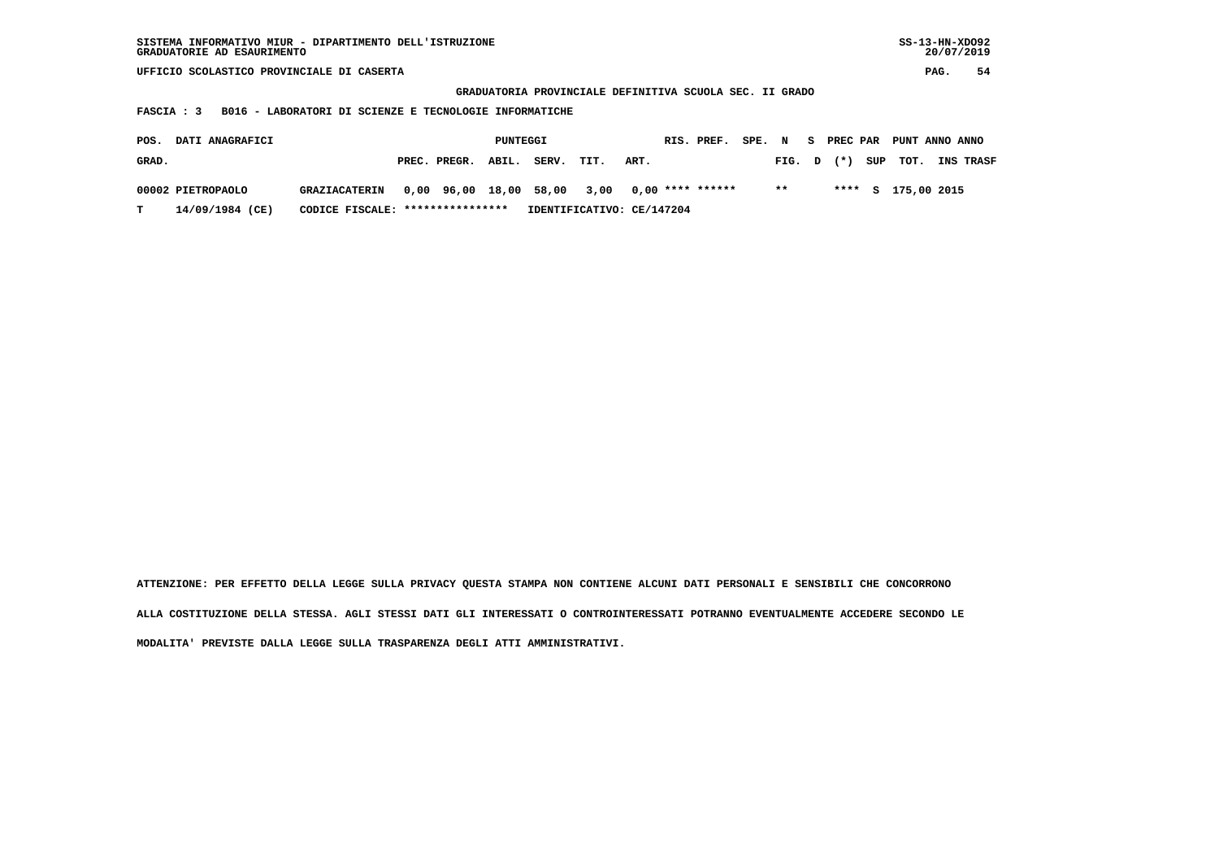| $SS-13-HN-XDO92$<br>SISTEMA INFORMATIVO MIUR - DIPARTIMENTO DELL'ISTRUZIONE<br>GRADUATORIE AD ESAURIMENTO |                                   |                           |                      |                         |                   |  |  |  |  |  |  |  |
|-----------------------------------------------------------------------------------------------------------|-----------------------------------|---------------------------|----------------------|-------------------------|-------------------|--|--|--|--|--|--|--|
| UFFICIO SCOLASTICO PROVINCIALE DI CASERTA                                                                 |                                   |                           |                      |                         |                   |  |  |  |  |  |  |  |
| GRADUATORIA PROVINCIALE DEFINITIVA SCUOLA SEC. II GRADO                                                   |                                   |                           |                      |                         |                   |  |  |  |  |  |  |  |
| B016 - LABORATORI DI SCIENZE E TECNOLOGIE INFORMATICHE<br>FASCIA : 3                                      |                                   |                           |                      |                         |                   |  |  |  |  |  |  |  |
|                                                                                                           |                                   |                           |                      |                         |                   |  |  |  |  |  |  |  |
| DATI ANAGRAFICI<br>POS.                                                                                   |                                   | PUNTEGGI                  | RIS. PREF.<br>SPE. N | S PREC PAR              | PUNT ANNO ANNO    |  |  |  |  |  |  |  |
| GRAD.                                                                                                     | ABIL.<br>PREC. PREGR.             | SERV.<br>TIT.             | ART.                 | SUP<br>$(* )$<br>FIG. D | TOT.<br>INS TRASF |  |  |  |  |  |  |  |
| 00002 PIETROPAOLO<br><b>GRAZIACATERIN</b>                                                                 | 0,00 96,00 18,00 58,00            | 3,00                      | $0.00$ **** ******   | $* *$<br>$***$ S        | 175,00 2015       |  |  |  |  |  |  |  |
|                                                                                                           |                                   |                           |                      |                         |                   |  |  |  |  |  |  |  |
| 14/09/1984 (CE)<br>т                                                                                      | CODICE FISCALE: ***************** | IDENTIFICATIVO: CE/147204 |                      |                         |                   |  |  |  |  |  |  |  |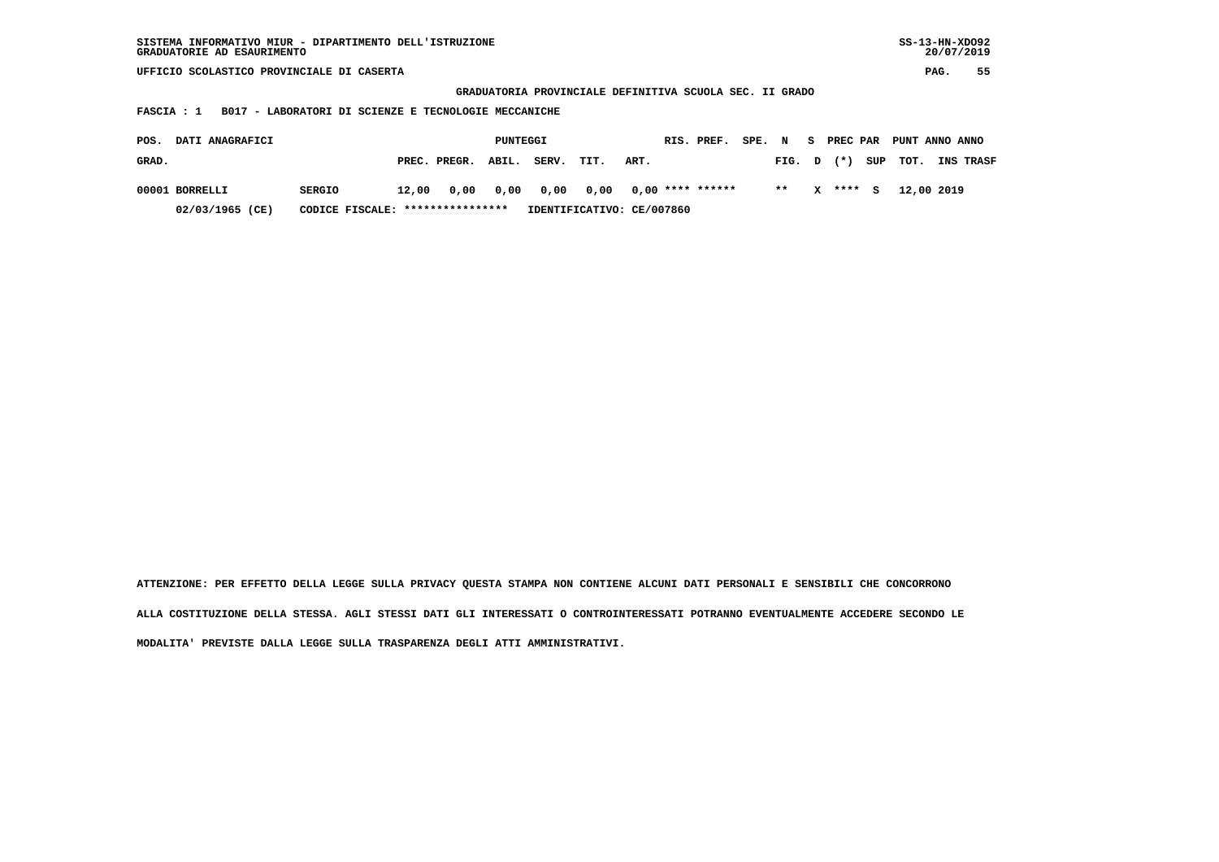| $SS-13-HN-XDO92$<br>SISTEMA INFORMATIVO MIUR - DIPARTIMENTO DELL'ISTRUZIONE<br>GRADUATORIE AD ESAURIMENTO |                       |                           |                      |                       |                                 |  |  |  |  |  |  |  |
|-----------------------------------------------------------------------------------------------------------|-----------------------|---------------------------|----------------------|-----------------------|---------------------------------|--|--|--|--|--|--|--|
| UFFICIO SCOLASTICO PROVINCIALE DI CASERTA                                                                 |                       |                           |                      |                       |                                 |  |  |  |  |  |  |  |
| GRADUATORIA PROVINCIALE DEFINITIVA SCUOLA SEC. II GRADO                                                   |                       |                           |                      |                       |                                 |  |  |  |  |  |  |  |
| B017 - LABORATORI DI SCIENZE E TECNOLOGIE MECCANICHE<br>FASCIA : 1                                        |                       |                           |                      |                       |                                 |  |  |  |  |  |  |  |
|                                                                                                           |                       |                           |                      |                       |                                 |  |  |  |  |  |  |  |
| DATI ANAGRAFICI<br>POS.                                                                                   | PUNTEGGI              |                           | RIS. PREF.<br>SPE. N | <b>PREC PAR</b><br>S. | PUNT ANNO ANNO                  |  |  |  |  |  |  |  |
| GRAD.                                                                                                     | ABIL.<br>PREC. PREGR. | SERV.<br>ART.<br>TIT.     |                      | $(* )$<br>FIG. D      | SUP<br>TOT.<br><b>INS TRASF</b> |  |  |  |  |  |  |  |
| 00001 BORRELLI<br><b>SERGIO</b>                                                                           | 0,00<br>12,00<br>0,00 | 0,00<br>0,00              | $0,00$ **** ******   | $* *$<br>x<br>**** S  | 12,00 2019                      |  |  |  |  |  |  |  |
|                                                                                                           |                       |                           |                      |                       |                                 |  |  |  |  |  |  |  |
| 02/03/1965 (CE)<br>CODICE FISCALE:                                                                        | ****************      | IDENTIFICATIVO: CE/007860 |                      |                       |                                 |  |  |  |  |  |  |  |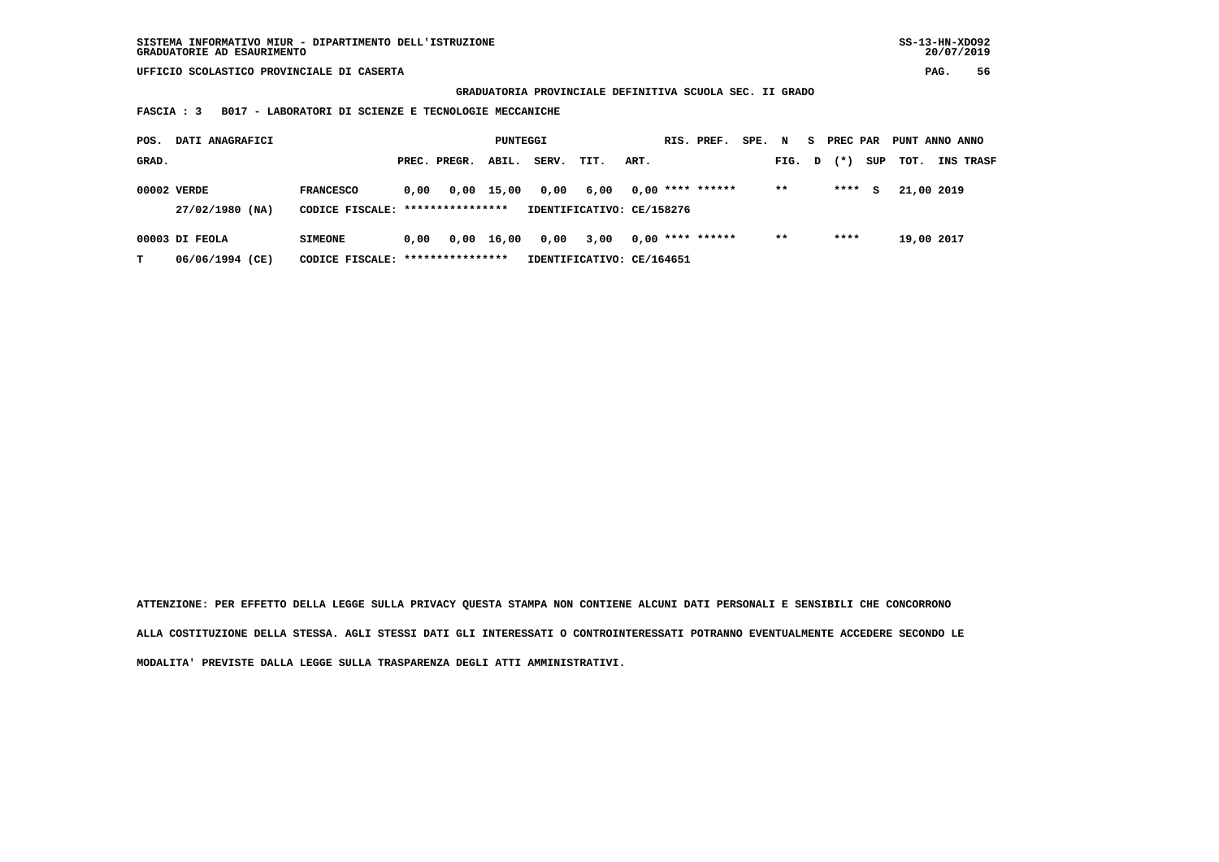**GRADUATORIA PROVINCIALE DEFINITIVA SCUOLA SEC. II GRADO**

 **FASCIA : 3 B017 - LABORATORI DI SCIENZE E TECNOLOGIE MECCANICHE**

| POS.<br>DATI ANAGRAFICI |                                   |                                                      | PUNTEGGI |              |            |       |                                   |      | RIS. PREF.         | SPE. N |        | S. | PREC PAR |     | PUNT ANNO ANNO |                  |
|-------------------------|-----------------------------------|------------------------------------------------------|----------|--------------|------------|-------|-----------------------------------|------|--------------------|--------|--------|----|----------|-----|----------------|------------------|
| GRAD.                   |                                   |                                                      |          | PREC. PREGR. | ABIL.      | SERV. | TIT.                              | ART. |                    |        | FIG. D |    | $(*)$    | SUP | тот.           | <b>INS TRASF</b> |
|                         | 00002 VERDE<br>27/02/1980 (NA)    | <b>FRANCESCO</b><br>CODICE FISCALE: **************** | 0.00     | 0,00         | 15,00      | 0,00  | 6,00<br>IDENTIFICATIVO: CE/158276 |      | $0,00$ **** ****** |        | $***$  |    | ****     | s   | 21,00 2019     |                  |
| т                       | 00003 DI FEOLA<br>06/06/1994 (CE) | <b>SIMEONE</b><br>CODICE FISCALE: *****************  | 0.00     |              | 0,00 16,00 | 0,00  | 3,00<br>IDENTIFICATIVO: CE/164651 |      | $0,00$ **** ****** |        | $***$  |    | ****     |     | 19,00 2017     |                  |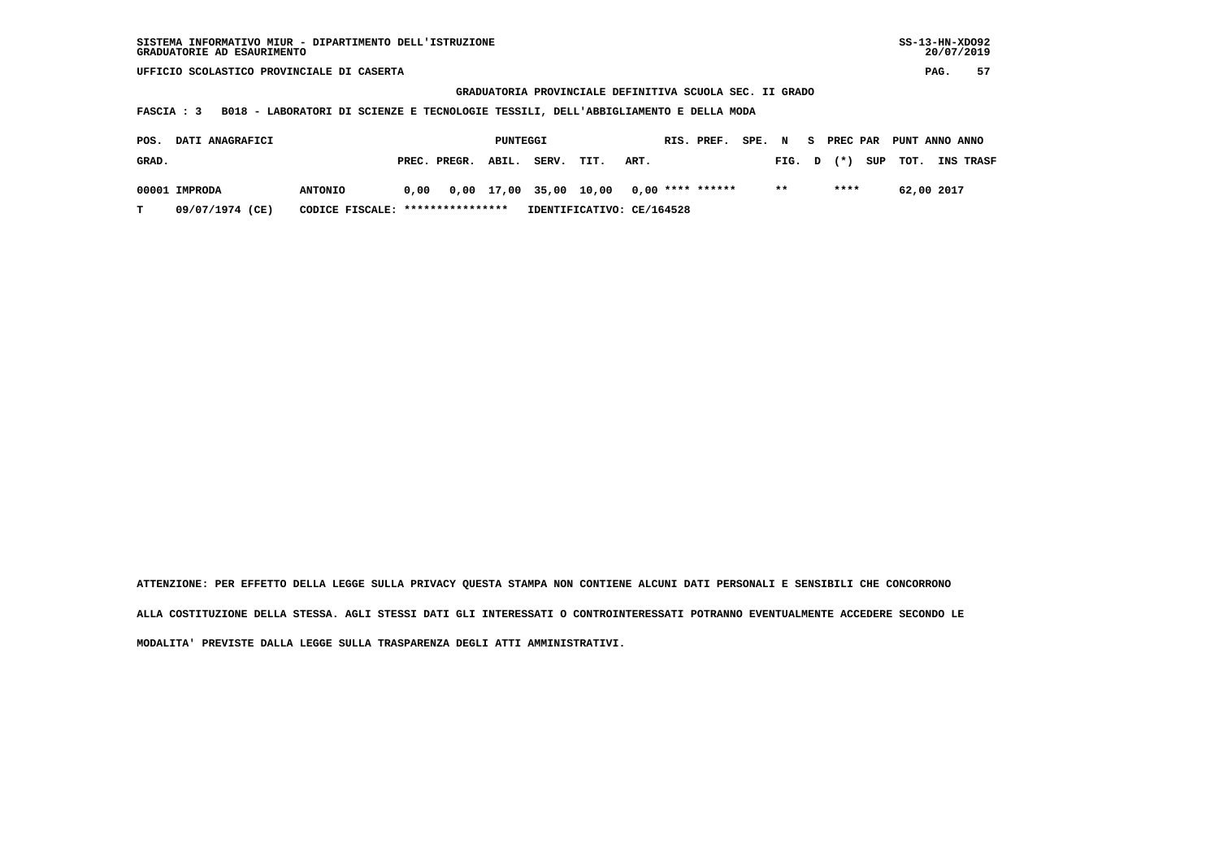| SISTEMA INFORMATIVO MIUR - DIPARTIMENTO DELL'ISTRUZIONE | SS-13-HN-XD092 |
|---------------------------------------------------------|----------------|
| GRADUATORIE AD ESAURIMENTO                              | 20/07/2019     |

 **GRADUATORIA PROVINCIALE DEFINITIVA SCUOLA SEC. II GRADO**

 **FASCIA : 3 B018 - LABORATORI DI SCIENZE E TECNOLOGIE TESSILI, DELL'ABBIGLIAMENTO E DELLA MODA**

| POS.<br><b>DATI ANAGRAFICI</b> |                 |                                  | PUNTEGGI |                    |  |       |      |                                         | RIS. PREF. | SPE. N |        |      | S PREC PAR PUNT ANNO ANNO |                  |
|--------------------------------|-----------------|----------------------------------|----------|--------------------|--|-------|------|-----------------------------------------|------------|--------|--------|------|---------------------------|------------------|
| GRAD.                          |                 |                                  |          | PREC. PREGR. ABIL. |  | SERV. | TIT. | ART.                                    |            |        | FIG. D |      | $(*)$ SUP TOT.            | <b>INS TRASF</b> |
|                                | 00001 IMPRODA   | <b>ANTONIO</b>                   | 0.00     |                    |  |       |      | 0,00 17,00 35,00 10,00 0,00 **** ****** |            |        | $* *$  | **** | 62,00 2017                |                  |
| т                              | 09/07/1974 (CE) | CODICE FISCALE: **************** |          |                    |  |       |      | IDENTIFICATIVO: CE/164528               |            |        |        |      |                           |                  |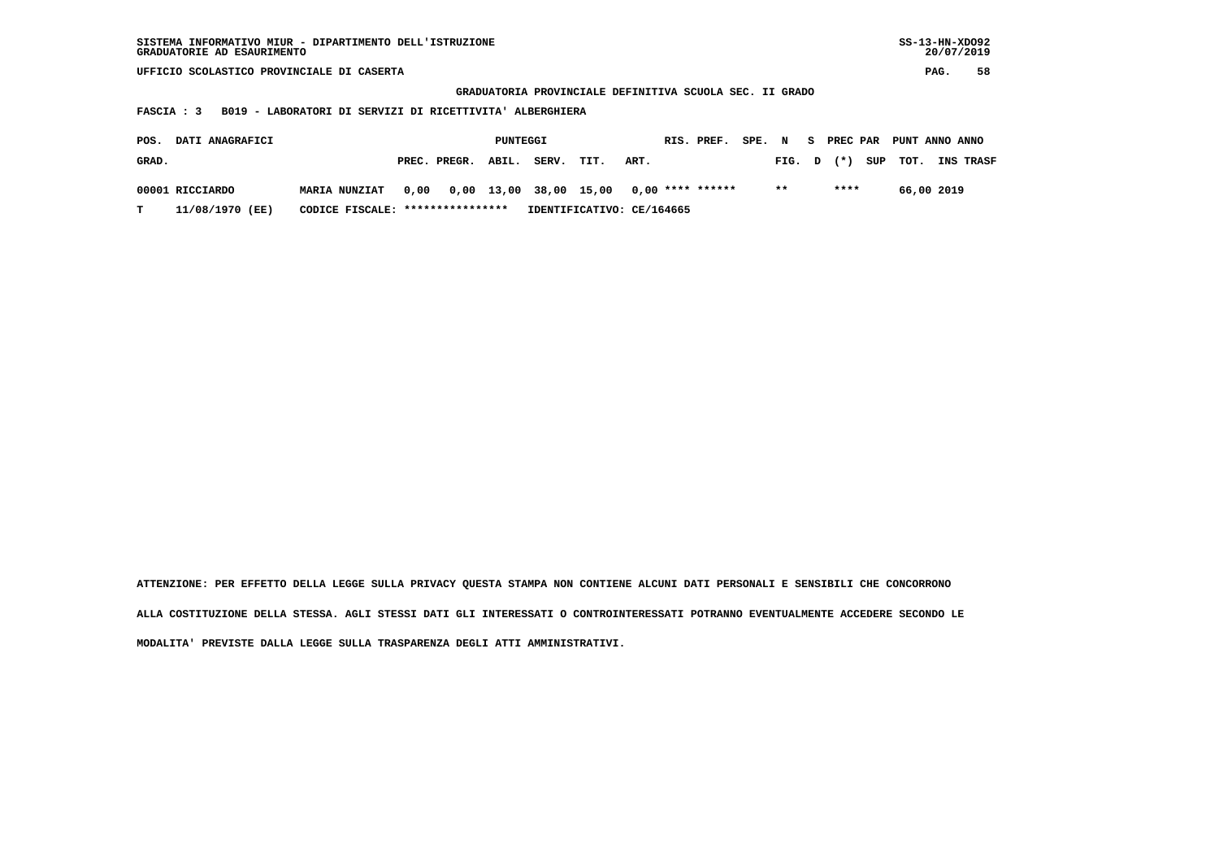| $SS-13-HN-XDO92$<br>SISTEMA INFORMATIVO MIUR - DIPARTIMENTO DELL'ISTRUZIONE<br>GRADUATORIE AD ESAURIMENTO |                       |                           |                      |                 |                          |  |  |  |  |  |  |  |
|-----------------------------------------------------------------------------------------------------------|-----------------------|---------------------------|----------------------|-----------------|--------------------------|--|--|--|--|--|--|--|
| UFFICIO SCOLASTICO PROVINCIALE DI CASERTA                                                                 |                       |                           |                      |                 |                          |  |  |  |  |  |  |  |
| GRADUATORIA PROVINCIALE DEFINITIVA SCUOLA SEC. II GRADO                                                   |                       |                           |                      |                 |                          |  |  |  |  |  |  |  |
| B019 - LABORATORI DI SERVIZI DI RICETTIVITA ' ALBERGHIERA<br>FASCIA : 3                                   |                       |                           |                      |                 |                          |  |  |  |  |  |  |  |
| DATI ANAGRAFICI<br>POS.                                                                                   | PUNTEGGI              |                           | RIS. PREF.<br>SPE. N | PREC PAR<br>S.  | PUNT ANNO ANNO           |  |  |  |  |  |  |  |
|                                                                                                           |                       |                           |                      |                 |                          |  |  |  |  |  |  |  |
| GRAD.                                                                                                     | PREC. PREGR.<br>ABIL. | SERV.<br>TIT.             | ART.                 | $(*)$<br>FIG. D | TOT.<br>SUP<br>INS TRASF |  |  |  |  |  |  |  |
| 00001 RICCIARDO<br><b>MARIA NUNZIAT</b>                                                                   | 0,00 13,00<br>0,00    | 38,00 15,00               | $0,00$ **** ******   | $* *$<br>****   | 66,00 2019               |  |  |  |  |  |  |  |
|                                                                                                           |                       |                           |                      |                 |                          |  |  |  |  |  |  |  |
| 11/08/1970 (EE)<br>т<br>CODICE FISCALE:                                                                   | ****************      | IDENTIFICATIVO: CE/164665 |                      |                 |                          |  |  |  |  |  |  |  |